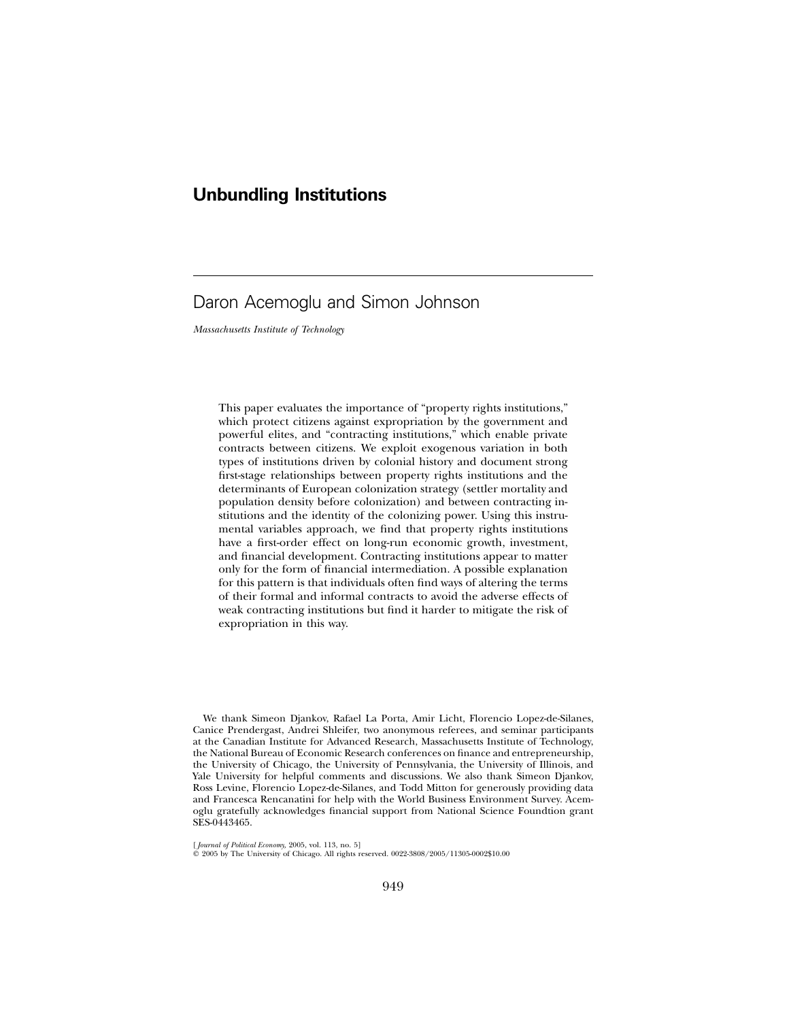# Daron Acemoglu and Simon Johnson

*Massachusetts Institute of Technology*

This paper evaluates the importance of "property rights institutions," which protect citizens against expropriation by the government and powerful elites, and "contracting institutions," which enable private contracts between citizens. We exploit exogenous variation in both types of institutions driven by colonial history and document strong first-stage relationships between property rights institutions and the determinants of European colonization strategy (settler mortality and population density before colonization) and between contracting institutions and the identity of the colonizing power. Using this instrumental variables approach, we find that property rights institutions have a first-order effect on long-run economic growth, investment, and financial development. Contracting institutions appear to matter only for the form of financial intermediation. A possible explanation for this pattern is that individuals often find ways of altering the terms of their formal and informal contracts to avoid the adverse effects of weak contracting institutions but find it harder to mitigate the risk of expropriation in this way.

We thank Simeon Djankov, Rafael La Porta, Amir Licht, Florencio Lopez-de-Silanes, Canice Prendergast, Andrei Shleifer, two anonymous referees, and seminar participants at the Canadian Institute for Advanced Research, Massachusetts Institute of Technology, the National Bureau of Economic Research conferences on finance and entrepreneurship, the University of Chicago, the University of Pennsylvania, the University of Illinois, and Yale University for helpful comments and discussions. We also thank Simeon Djankov, Ross Levine, Florencio Lopez-de-Silanes, and Todd Mitton for generously providing data and Francesca Rencanatini for help with the World Business Environment Survey. Acemoglu gratefully acknowledges financial support from National Science Foundtion grant SES-0443465.

[ *Journal of Political Economy,* 2005, vol. 113, no. 5]  $\degree$  2005 by The University of Chicago. All rights reserved. 0022-3808/2005/11305-0002\$10.00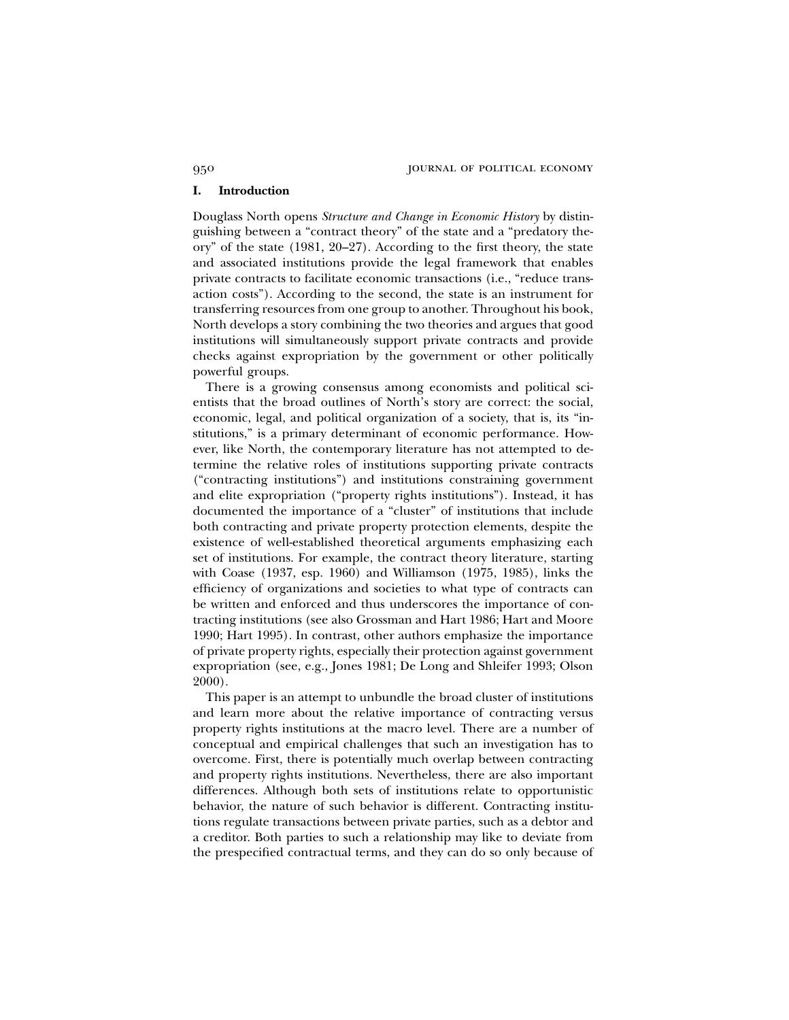#### **I. Introduction**

Douglass North opens *Structure and Change in Economic History* by distinguishing between a "contract theory" of the state and a "predatory theory" of the state (1981, 20–27). According to the first theory, the state and associated institutions provide the legal framework that enables private contracts to facilitate economic transactions (i.e., "reduce transaction costs"). According to the second, the state is an instrument for transferring resources from one group to another. Throughout his book, North develops a story combining the two theories and argues that good institutions will simultaneously support private contracts and provide checks against expropriation by the government or other politically powerful groups.

There is a growing consensus among economists and political scientists that the broad outlines of North's story are correct: the social, economic, legal, and political organization of a society, that is, its "institutions," is a primary determinant of economic performance. However, like North, the contemporary literature has not attempted to determine the relative roles of institutions supporting private contracts ("contracting institutions") and institutions constraining government and elite expropriation ("property rights institutions"). Instead, it has documented the importance of a "cluster" of institutions that include both contracting and private property protection elements, despite the existence of well-established theoretical arguments emphasizing each set of institutions. For example, the contract theory literature, starting with Coase (1937, esp. 1960) and Williamson (1975, 1985), links the efficiency of organizations and societies to what type of contracts can be written and enforced and thus underscores the importance of contracting institutions (see also Grossman and Hart 1986; Hart and Moore 1990; Hart 1995). In contrast, other authors emphasize the importance of private property rights, especially their protection against government expropriation (see, e.g., Jones 1981; De Long and Shleifer 1993; Olson 2000).

This paper is an attempt to unbundle the broad cluster of institutions and learn more about the relative importance of contracting versus property rights institutions at the macro level. There are a number of conceptual and empirical challenges that such an investigation has to overcome. First, there is potentially much overlap between contracting and property rights institutions. Nevertheless, there are also important differences. Although both sets of institutions relate to opportunistic behavior, the nature of such behavior is different. Contracting institutions regulate transactions between private parties, such as a debtor and a creditor. Both parties to such a relationship may like to deviate from the prespecified contractual terms, and they can do so only because of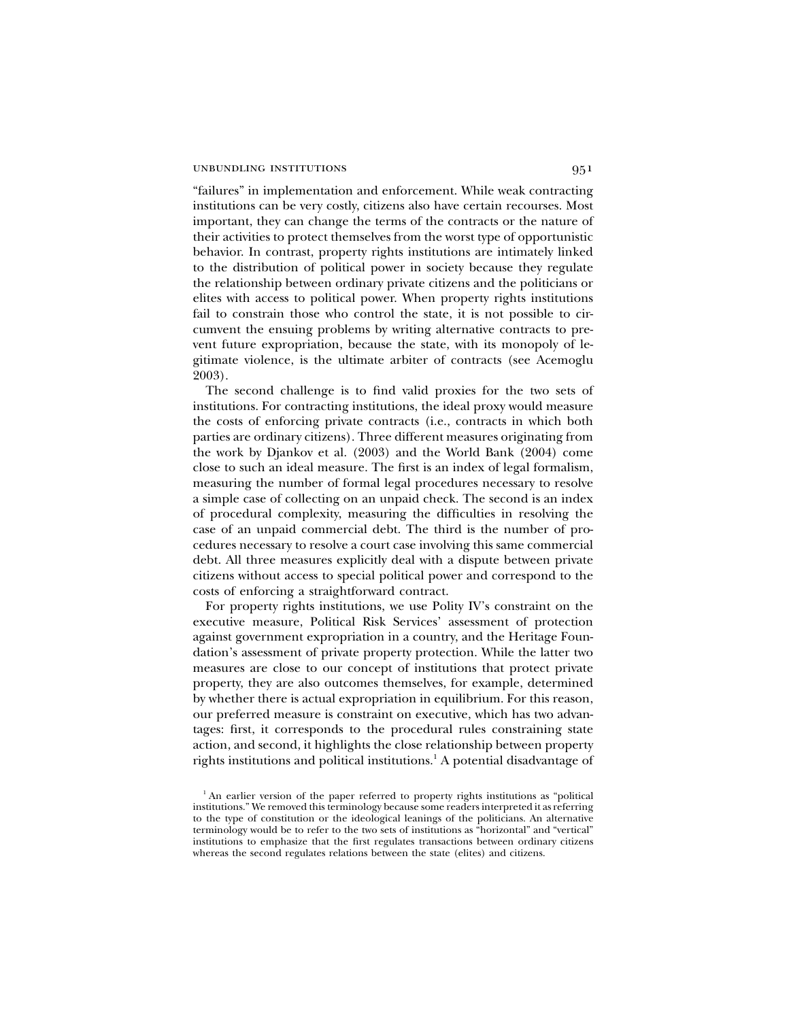"failures" in implementation and enforcement. While weak contracting institutions can be very costly, citizens also have certain recourses. Most important, they can change the terms of the contracts or the nature of their activities to protect themselves from the worst type of opportunistic behavior. In contrast, property rights institutions are intimately linked to the distribution of political power in society because they regulate the relationship between ordinary private citizens and the politicians or elites with access to political power. When property rights institutions fail to constrain those who control the state, it is not possible to circumvent the ensuing problems by writing alternative contracts to prevent future expropriation, because the state, with its monopoly of legitimate violence, is the ultimate arbiter of contracts (see Acemoglu 2003).

The second challenge is to find valid proxies for the two sets of institutions. For contracting institutions, the ideal proxy would measure the costs of enforcing private contracts (i.e., contracts in which both parties are ordinary citizens). Three different measures originating from the work by Djankov et al. (2003) and the World Bank (2004) come close to such an ideal measure. The first is an index of legal formalism, measuring the number of formal legal procedures necessary to resolve a simple case of collecting on an unpaid check. The second is an index of procedural complexity, measuring the difficulties in resolving the case of an unpaid commercial debt. The third is the number of procedures necessary to resolve a court case involving this same commercial debt. All three measures explicitly deal with a dispute between private citizens without access to special political power and correspond to the costs of enforcing a straightforward contract.

For property rights institutions, we use Polity IV's constraint on the executive measure, Political Risk Services' assessment of protection against government expropriation in a country, and the Heritage Foundation's assessment of private property protection. While the latter two measures are close to our concept of institutions that protect private property, they are also outcomes themselves, for example, determined by whether there is actual expropriation in equilibrium. For this reason, our preferred measure is constraint on executive, which has two advantages: first, it corresponds to the procedural rules constraining state action, and second, it highlights the close relationship between property rights institutions and political institutions.<sup>1</sup> A potential disadvantage of

<sup>&</sup>lt;sup>1</sup> An earlier version of the paper referred to property rights institutions as "political" institutions." We removed this terminology because some readers interpreted it as referring to the type of constitution or the ideological leanings of the politicians. An alternative terminology would be to refer to the two sets of institutions as "horizontal" and "vertical" institutions to emphasize that the first regulates transactions between ordinary citizens whereas the second regulates relations between the state (elites) and citizens.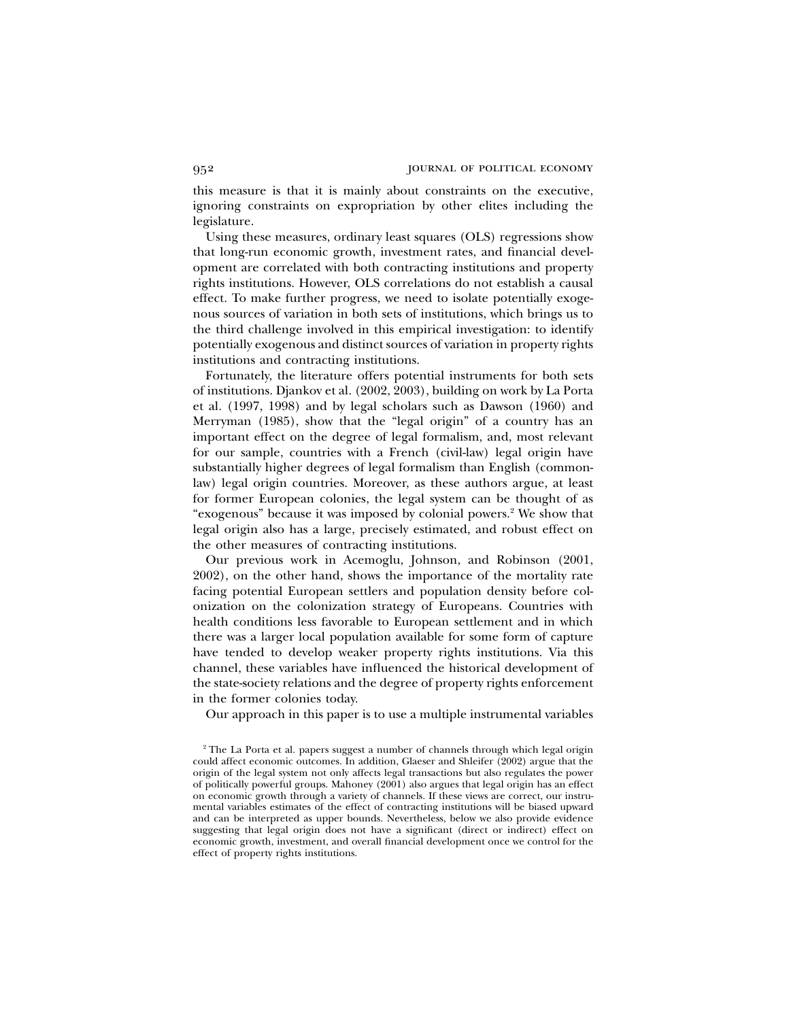this measure is that it is mainly about constraints on the executive, ignoring constraints on expropriation by other elites including the legislature.

Using these measures, ordinary least squares (OLS) regressions show that long-run economic growth, investment rates, and financial development are correlated with both contracting institutions and property rights institutions. However, OLS correlations do not establish a causal effect. To make further progress, we need to isolate potentially exogenous sources of variation in both sets of institutions, which brings us to the third challenge involved in this empirical investigation: to identify potentially exogenous and distinct sources of variation in property rights institutions and contracting institutions.

Fortunately, the literature offers potential instruments for both sets of institutions. Djankov et al. (2002, 2003), building on work by La Porta et al. (1997, 1998) and by legal scholars such as Dawson (1960) and Merryman (1985), show that the "legal origin" of a country has an important effect on the degree of legal formalism, and, most relevant for our sample, countries with a French (civil-law) legal origin have substantially higher degrees of legal formalism than English (commonlaw) legal origin countries. Moreover, as these authors argue, at least for former European colonies, the legal system can be thought of as "exogenous" because it was imposed by colonial powers.<sup>2</sup> We show that legal origin also has a large, precisely estimated, and robust effect on the other measures of contracting institutions.

Our previous work in Acemoglu, Johnson, and Robinson (2001, 2002), on the other hand, shows the importance of the mortality rate facing potential European settlers and population density before colonization on the colonization strategy of Europeans. Countries with health conditions less favorable to European settlement and in which there was a larger local population available for some form of capture have tended to develop weaker property rights institutions. Via this channel, these variables have influenced the historical development of the state-society relations and the degree of property rights enforcement in the former colonies today.

Our approach in this paper is to use a multiple instrumental variables

<sup>&</sup>lt;sup>2</sup> The La Porta et al. papers suggest a number of channels through which legal origin could affect economic outcomes. In addition, Glaeser and Shleifer (2002) argue that the origin of the legal system not only affects legal transactions but also regulates the power of politically powerful groups. Mahoney (2001) also argues that legal origin has an effect on economic growth through a variety of channels. If these views are correct, our instrumental variables estimates of the effect of contracting institutions will be biased upward and can be interpreted as upper bounds. Nevertheless, below we also provide evidence suggesting that legal origin does not have a significant (direct or indirect) effect on economic growth, investment, and overall financial development once we control for the effect of property rights institutions.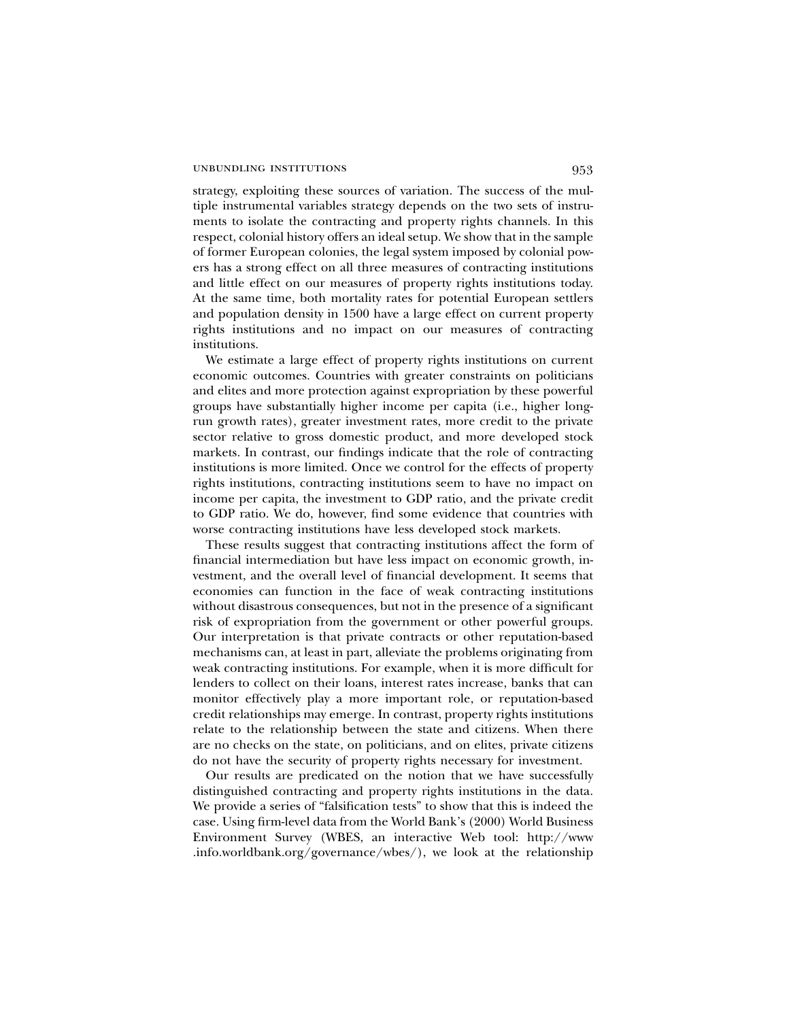strategy, exploiting these sources of variation. The success of the multiple instrumental variables strategy depends on the two sets of instruments to isolate the contracting and property rights channels. In this respect, colonial history offers an ideal setup. We show that in the sample of former European colonies, the legal system imposed by colonial powers has a strong effect on all three measures of contracting institutions and little effect on our measures of property rights institutions today. At the same time, both mortality rates for potential European settlers and population density in 1500 have a large effect on current property rights institutions and no impact on our measures of contracting institutions.

We estimate a large effect of property rights institutions on current economic outcomes. Countries with greater constraints on politicians and elites and more protection against expropriation by these powerful groups have substantially higher income per capita (i.e., higher longrun growth rates), greater investment rates, more credit to the private sector relative to gross domestic product, and more developed stock markets. In contrast, our findings indicate that the role of contracting institutions is more limited. Once we control for the effects of property rights institutions, contracting institutions seem to have no impact on income per capita, the investment to GDP ratio, and the private credit to GDP ratio. We do, however, find some evidence that countries with worse contracting institutions have less developed stock markets.

These results suggest that contracting institutions affect the form of financial intermediation but have less impact on economic growth, investment, and the overall level of financial development. It seems that economies can function in the face of weak contracting institutions without disastrous consequences, but not in the presence of a significant risk of expropriation from the government or other powerful groups. Our interpretation is that private contracts or other reputation-based mechanisms can, at least in part, alleviate the problems originating from weak contracting institutions. For example, when it is more difficult for lenders to collect on their loans, interest rates increase, banks that can monitor effectively play a more important role, or reputation-based credit relationships may emerge. In contrast, property rights institutions relate to the relationship between the state and citizens. When there are no checks on the state, on politicians, and on elites, private citizens do not have the security of property rights necessary for investment.

Our results are predicated on the notion that we have successfully distinguished contracting and property rights institutions in the data. We provide a series of "falsification tests" to show that this is indeed the case. Using firm-level data from the World Bank's (2000) World Business Environment Survey (WBES, an interactive Web tool: http://www .info.worldbank.org/governance/wbes/), we look at the relationship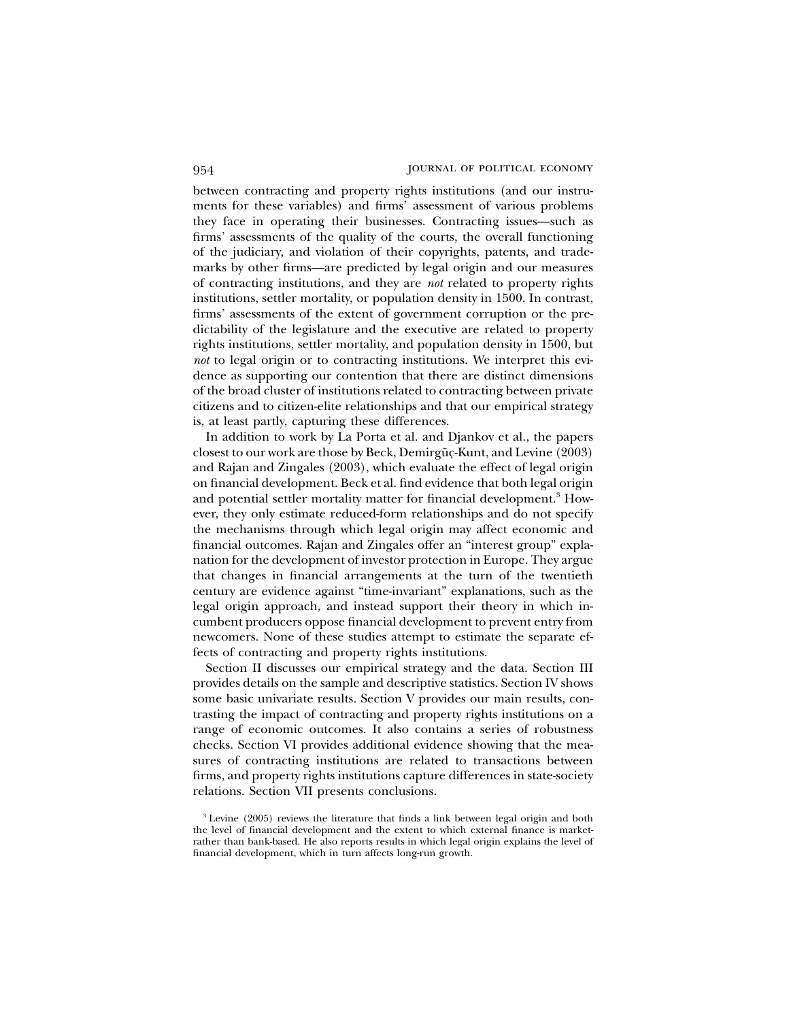between contracting and property rights institutions (and our instruments for these variables) and firms' assessment of various problems they face in operating their businesses. Contracting issues—such as firms' assessments of the quality of the courts, the overall functioning of the judiciary, and violation of their copyrights, patents, and trademarks by other firms—are predicted by legal origin and our measures of contracting institutions, and they are *not* related to property rights institutions, settler mortality, or population density in 1500. In contrast, firms' assessments of the extent of government corruption or the predictability of the legislature and the executive are related to property rights institutions, settler mortality, and population density in 1500, but *not* to legal origin or to contracting institutions. We interpret this evidence as supporting our contention that there are distinct dimensions of the broad cluster of institutions related to contracting between private citizens and to citizen-elite relationships and that our empirical strategy is, at least partly, capturing these differences.

In addition to work by La Porta et al. and Djankov et al., the papers closest to our work are those by Beck, Demirgüç-Kunt, and Levine (2003) and Rajan and Zingales (2003), which evaluate the effect of legal origin on financial development. Beck et al. find evidence that both legal origin and potential settler mortality matter for financial development.<sup>3</sup> However, they only estimate reduced-form relationships and do not specify the mechanisms through which legal origin may affect economic and financial outcomes. Rajan and Zingales offer an "interest group" explanation for the development of investor protection in Europe. They argue that changes in financial arrangements at the turn of the twentieth century are evidence against "time-invariant" explanations, such as the legal origin approach, and instead support their theory in which incumbent producers oppose financial development to prevent entry from newcomers. None of these studies attempt to estimate the separate effects of contracting and property rights institutions.

Section II discusses our empirical strategy and the data. Section III provides details on the sample and descriptive statistics. Section IV shows some basic univariate results. Section V provides our main results, contrasting the impact of contracting and property rights institutions on a range of economic outcomes. It also contains a series of robustness checks. Section VI provides additional evidence showing that the measures of contracting institutions are related to transactions between firms, and property rights institutions capture differences in state-society relations. Section VII presents conclusions.

<sup>3</sup> Levine (2005) reviews the literature that finds a link between legal origin and both the level of financial development and the extent to which external finance is marketrather than bank-based. He also reports results in which legal origin explains the level of financial development, which in turn affects long-run growth.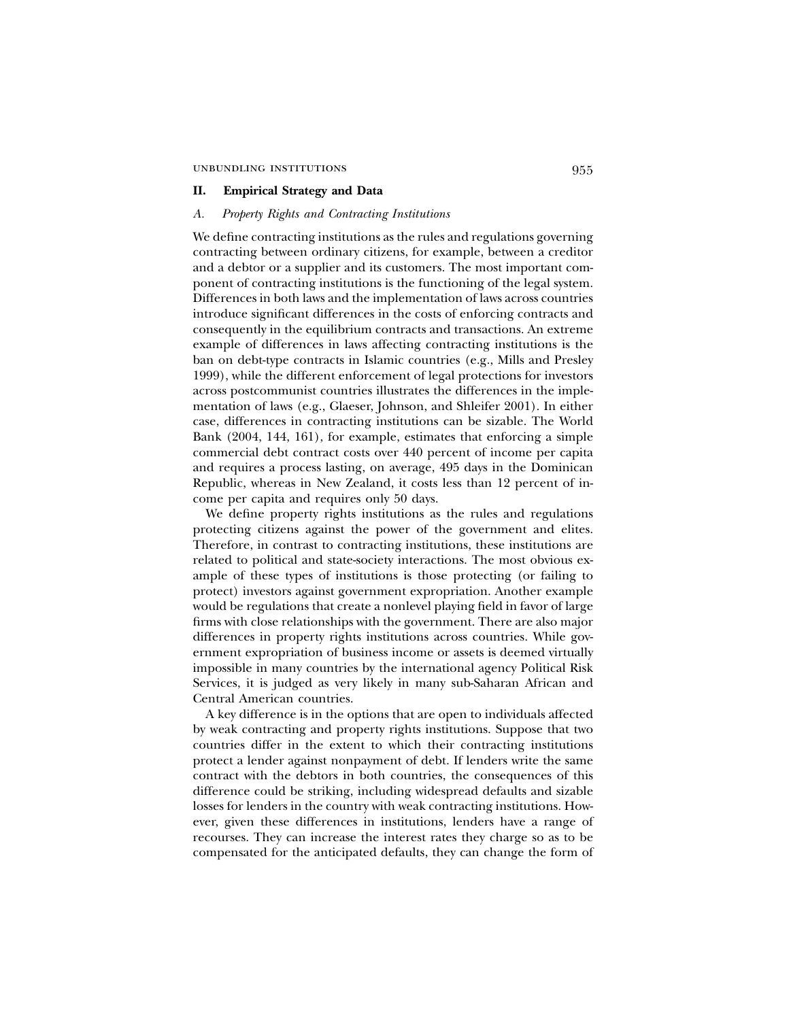UNBUNDLING INSTITUTIONS 955

## **II. Empirical Strategy and Data**

#### *A. Property Rights and Contracting Institutions*

We define contracting institutions as the rules and regulations governing contracting between ordinary citizens, for example, between a creditor and a debtor or a supplier and its customers. The most important component of contracting institutions is the functioning of the legal system. Differences in both laws and the implementation of laws across countries introduce significant differences in the costs of enforcing contracts and consequently in the equilibrium contracts and transactions. An extreme example of differences in laws affecting contracting institutions is the ban on debt-type contracts in Islamic countries (e.g., Mills and Presley 1999), while the different enforcement of legal protections for investors across postcommunist countries illustrates the differences in the implementation of laws (e.g., Glaeser, Johnson, and Shleifer 2001). In either case, differences in contracting institutions can be sizable. The World Bank (2004, 144, 161), for example, estimates that enforcing a simple commercial debt contract costs over 440 percent of income per capita and requires a process lasting, on average, 495 days in the Dominican Republic, whereas in New Zealand, it costs less than 12 percent of income per capita and requires only 50 days.

We define property rights institutions as the rules and regulations protecting citizens against the power of the government and elites. Therefore, in contrast to contracting institutions, these institutions are related to political and state-society interactions. The most obvious example of these types of institutions is those protecting (or failing to protect) investors against government expropriation. Another example would be regulations that create a nonlevel playing field in favor of large firms with close relationships with the government. There are also major differences in property rights institutions across countries. While government expropriation of business income or assets is deemed virtually impossible in many countries by the international agency Political Risk Services, it is judged as very likely in many sub-Saharan African and Central American countries.

A key difference is in the options that are open to individuals affected by weak contracting and property rights institutions. Suppose that two countries differ in the extent to which their contracting institutions protect a lender against nonpayment of debt. If lenders write the same contract with the debtors in both countries, the consequences of this difference could be striking, including widespread defaults and sizable losses for lenders in the country with weak contracting institutions. However, given these differences in institutions, lenders have a range of recourses. They can increase the interest rates they charge so as to be compensated for the anticipated defaults, they can change the form of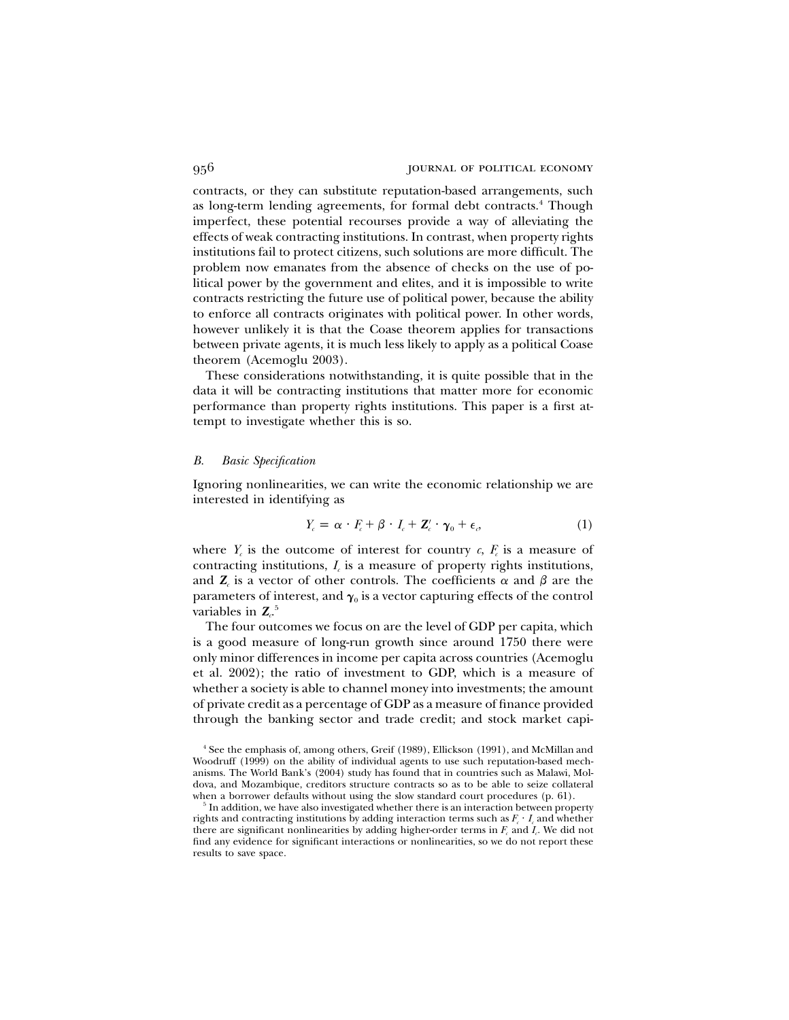contracts, or they can substitute reputation-based arrangements, such as long-term lending agreements, for formal debt contracts.<sup>4</sup> Though imperfect, these potential recourses provide a way of alleviating the effects of weak contracting institutions. In contrast, when property rights institutions fail to protect citizens, such solutions are more difficult. The problem now emanates from the absence of checks on the use of political power by the government and elites, and it is impossible to write contracts restricting the future use of political power, because the ability to enforce all contracts originates with political power. In other words, however unlikely it is that the Coase theorem applies for transactions between private agents, it is much less likely to apply as a political Coase theorem (Acemoglu 2003).

These considerations notwithstanding, it is quite possible that in the data it will be contracting institutions that matter more for economic performance than property rights institutions. This paper is a first attempt to investigate whether this is so.

#### *B. Basic Specification*

Ignoring nonlinearities, we can write the economic relationship we are interested in identifying as

$$
Y_c = \alpha \cdot F_c + \beta \cdot I_c + \mathbf{Z}'_c \cdot \mathbf{\gamma}_0 + \epsilon_c, \tag{1}
$$

where  $Y_c$  is the outcome of interest for country  $c$ ,  $F_c$  is a measure of contracting institutions,  $I_c$  is a measure of property rights institutions, and  $\mathbb{Z}_c$  is a vector of other controls. The coefficients  $\alpha$  and  $\beta$  are the parameters of interest, and  $\gamma_0$  is a vector capturing effects of the control variables in  $Z_c^5$ 

The four outcomes we focus on are the level of GDP per capita, which is a good measure of long-run growth since around 1750 there were only minor differences in income per capita across countries (Acemoglu et al. 2002); the ratio of investment to GDP, which is a measure of whether a society is able to channel money into investments; the amount of private credit as a percentage of GDP as a measure of finance provided through the banking sector and trade credit; and stock market capi-

<sup>4</sup> See the emphasis of, among others, Greif (1989), Ellickson (1991), and McMillan and Woodruff (1999) on the ability of individual agents to use such reputation-based mechanisms. The World Bank's (2004) study has found that in countries such as Malawi, Moldova, and Mozambique, creditors structure contracts so as to be able to seize collateral when a borrower defaults without using the slow standard court procedures (p. 61).

<sup>&</sup>lt;sup>5</sup> In addition, we have also investigated whether there is an interaction between property rights and contracting institutions by adding interaction terms such as  $F_c \cdot I_c$  and whether there are significant nonlinearities by adding higher-order terms in  $F_{\epsilon}$  and  $I_{\epsilon}$ . We did not find any evidence for significant interactions or nonlinearities, so we do not report these results to save space.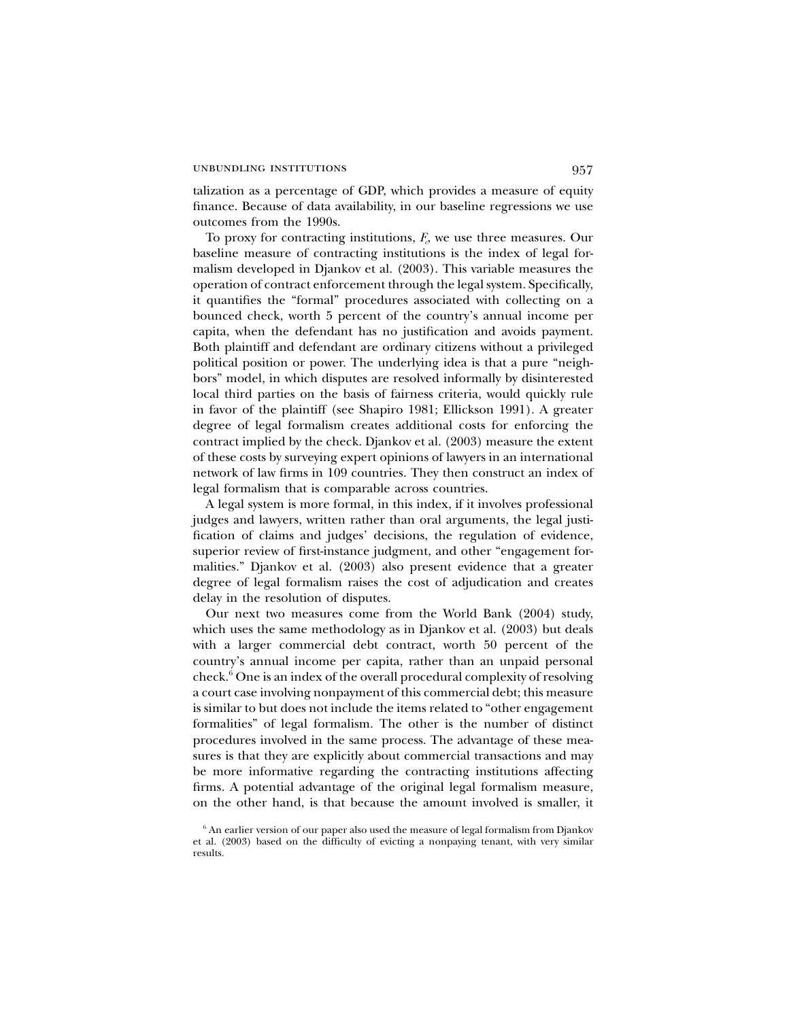talization as a percentage of GDP, which provides a measure of equity finance. Because of data availability, in our baseline regressions we use outcomes from the 1990s.

To proxy for contracting institutions,  $F_c$ , we use three measures. Our baseline measure of contracting institutions is the index of legal formalism developed in Djankov et al. (2003). This variable measures the operation of contract enforcement through the legal system. Specifically, it quantifies the "formal" procedures associated with collecting on a bounced check, worth 5 percent of the country's annual income per capita, when the defendant has no justification and avoids payment. Both plaintiff and defendant are ordinary citizens without a privileged political position or power. The underlying idea is that a pure "neighbors" model, in which disputes are resolved informally by disinterested local third parties on the basis of fairness criteria, would quickly rule in favor of the plaintiff (see Shapiro 1981; Ellickson 1991). A greater degree of legal formalism creates additional costs for enforcing the contract implied by the check. Djankov et al. (2003) measure the extent of these costs by surveying expert opinions of lawyers in an international network of law firms in 109 countries. They then construct an index of legal formalism that is comparable across countries.

A legal system is more formal, in this index, if it involves professional judges and lawyers, written rather than oral arguments, the legal justification of claims and judges' decisions, the regulation of evidence, superior review of first-instance judgment, and other "engagement formalities." Djankov et al. (2003) also present evidence that a greater degree of legal formalism raises the cost of adjudication and creates delay in the resolution of disputes.

Our next two measures come from the World Bank (2004) study, which uses the same methodology as in Djankov et al. (2003) but deals with a larger commercial debt contract, worth 50 percent of the country's annual income per capita, rather than an unpaid personal check.<sup>6</sup> One is an index of the overall procedural complexity of resolving a court case involving nonpayment of this commercial debt; this measure is similar to but does not include the items related to "other engagement formalities" of legal formalism. The other is the number of distinct procedures involved in the same process. The advantage of these measures is that they are explicitly about commercial transactions and may be more informative regarding the contracting institutions affecting firms. A potential advantage of the original legal formalism measure, on the other hand, is that because the amount involved is smaller, it

<sup>&</sup>lt;sup>6</sup> An earlier version of our paper also used the measure of legal formalism from Djankov et al. (2003) based on the difficulty of evicting a nonpaying tenant, with very similar results.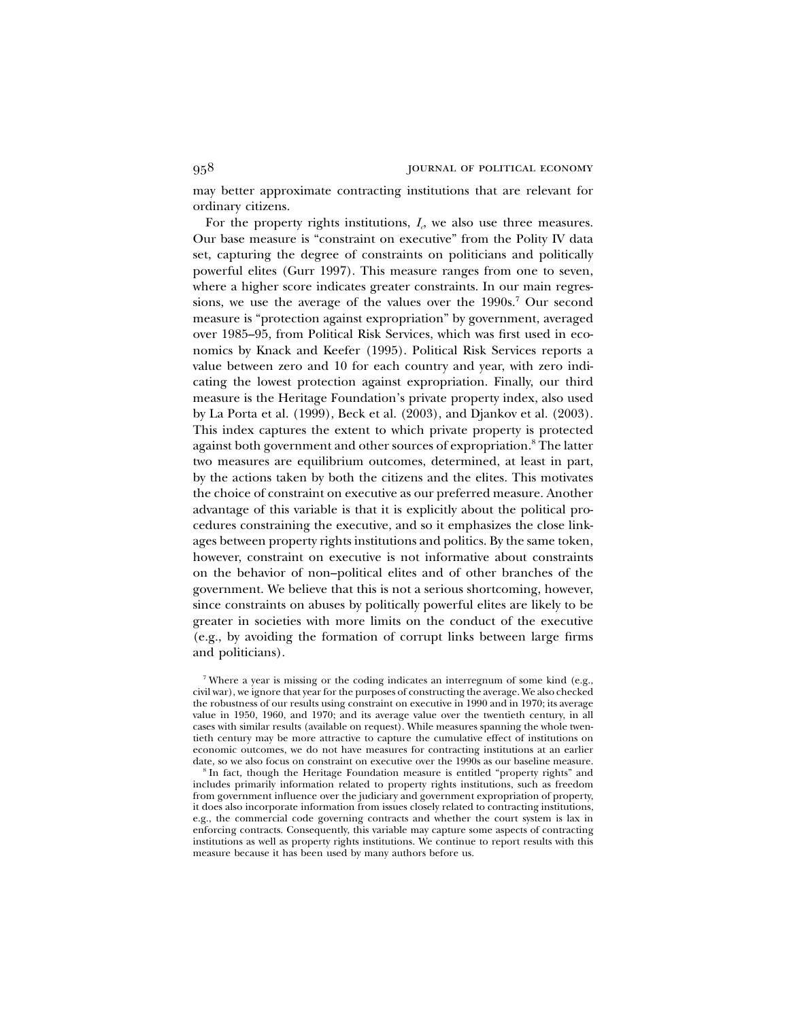may better approximate contracting institutions that are relevant for ordinary citizens.

For the property rights institutions,  $I<sub>c</sub>$ , we also use three measures. Our base measure is "constraint on executive" from the Polity IV data set, capturing the degree of constraints on politicians and politically powerful elites (Gurr 1997). This measure ranges from one to seven, where a higher score indicates greater constraints. In our main regressions, we use the average of the values over the 1990s.<sup>7</sup> Our second measure is "protection against expropriation" by government, averaged over 1985–95, from Political Risk Services, which was first used in economics by Knack and Keefer (1995). Political Risk Services reports a value between zero and 10 for each country and year, with zero indicating the lowest protection against expropriation. Finally, our third measure is the Heritage Foundation's private property index, also used by La Porta et al. (1999), Beck et al. (2003), and Djankov et al. (2003). This index captures the extent to which private property is protected against both government and other sources of expropriation.<sup>8</sup> The latter two measures are equilibrium outcomes, determined, at least in part, by the actions taken by both the citizens and the elites. This motivates the choice of constraint on executive as our preferred measure. Another advantage of this variable is that it is explicitly about the political procedures constraining the executive, and so it emphasizes the close linkages between property rights institutions and politics. By the same token, however, constraint on executive is not informative about constraints on the behavior of non–political elites and of other branches of the government. We believe that this is not a serious shortcoming, however, since constraints on abuses by politically powerful elites are likely to be greater in societies with more limits on the conduct of the executive (e.g., by avoiding the formation of corrupt links between large firms and politicians).

<sup>7</sup> Where a year is missing or the coding indicates an interregnum of some kind (e.g., civil war), we ignore that year for the purposes of constructing the average. We also checked the robustness of our results using constraint on executive in 1990 and in 1970; its average value in 1950, 1960, and 1970; and its average value over the twentieth century, in all cases with similar results (available on request). While measures spanning the whole twentieth century may be more attractive to capture the cumulative effect of institutions on economic outcomes, we do not have measures for contracting institutions at an earlier date, so we also focus on constraint on executive over the 1990s as our baseline measure.

<sup>&</sup>lt;sup>8</sup> In fact, though the Heritage Foundation measure is entitled "property rights" and includes primarily information related to property rights institutions, such as freedom from government influence over the judiciary and government expropriation of property, it does also incorporate information from issues closely related to contracting institutions, e.g., the commercial code governing contracts and whether the court system is lax in enforcing contracts. Consequently, this variable may capture some aspects of contracting institutions as well as property rights institutions. We continue to report results with this measure because it has been used by many authors before us.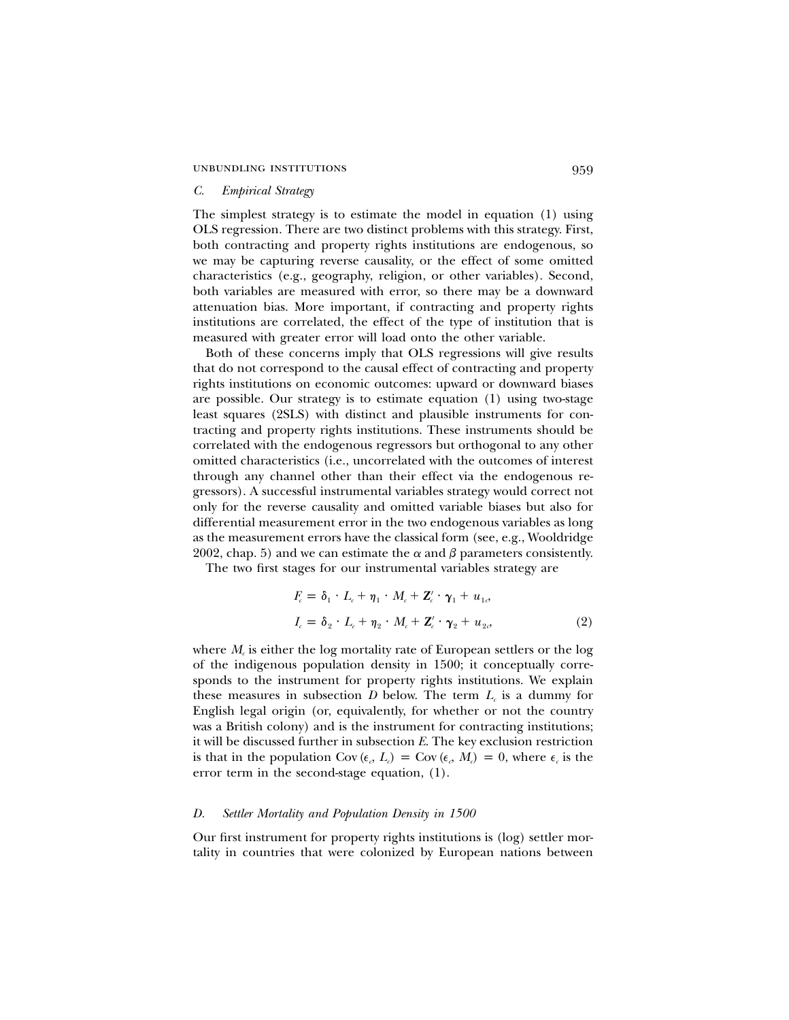## *C. Empirical Strategy*

The simplest strategy is to estimate the model in equation (1) using OLS regression. There are two distinct problems with this strategy. First, both contracting and property rights institutions are endogenous, so we may be capturing reverse causality, or the effect of some omitted characteristics (e.g., geography, religion, or other variables). Second, both variables are measured with error, so there may be a downward attenuation bias. More important, if contracting and property rights institutions are correlated, the effect of the type of institution that is measured with greater error will load onto the other variable.

Both of these concerns imply that OLS regressions will give results that do not correspond to the causal effect of contracting and property rights institutions on economic outcomes: upward or downward biases are possible. Our strategy is to estimate equation (1) using two-stage least squares (2SLS) with distinct and plausible instruments for contracting and property rights institutions. These instruments should be correlated with the endogenous regressors but orthogonal to any other omitted characteristics (i.e., uncorrelated with the outcomes of interest through any channel other than their effect via the endogenous regressors). A successful instrumental variables strategy would correct not only for the reverse causality and omitted variable biases but also for differential measurement error in the two endogenous variables as long as the measurement errors have the classical form (see, e.g., Wooldridge 2002, chap. 5) and we can estimate the  $\alpha$  and  $\beta$  parameters consistently.

The two first stages for our instrumental variables strategy are

$$
F_c = \delta_1 \cdot L_c + \eta_1 \cdot M_c + \mathbf{Z}'_c \cdot \boldsymbol{\gamma}_1 + u_{1c},
$$
  
\n
$$
I_c = \delta_2 \cdot L_c + \eta_2 \cdot M_c + \mathbf{Z}'_c \cdot \boldsymbol{\gamma}_2 + u_{2c},
$$
\n(2)

where  $M<sub>c</sub>$  is either the log mortality rate of European settlers or the log of the indigenous population density in 1500; it conceptually corresponds to the instrument for property rights institutions. We explain these measures in subsection *D* below. The term  $L<sub>c</sub>$  is a dummy for English legal origin (or, equivalently, for whether or not the country was a British colony) and is the instrument for contracting institutions; it will be discussed further in subsection *E*. The key exclusion restriction is that in the population Cov ( $\epsilon$ ,  $L$ ) = Cov ( $\epsilon$ ,  $M$ ) = 0, where  $\epsilon$  is the error term in the second-stage equation, (1).

#### *D. Settler Mortality and Population Density in 1500*

Our first instrument for property rights institutions is (log) settler mortality in countries that were colonized by European nations between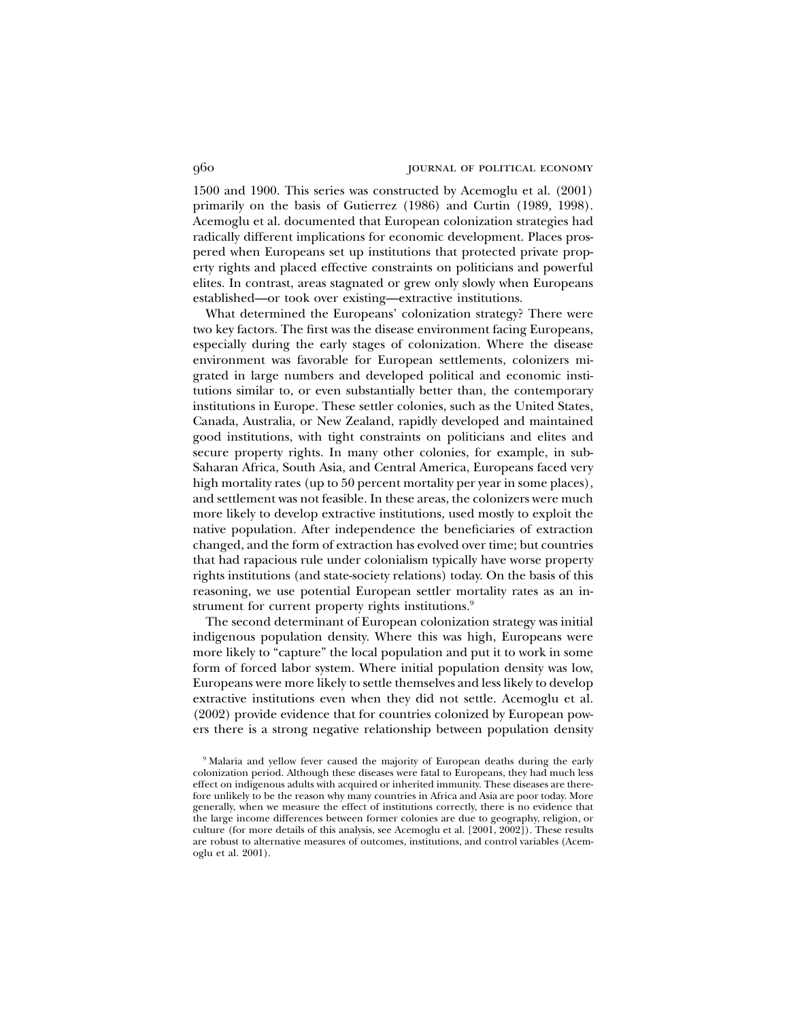1500 and 1900. This series was constructed by Acemoglu et al. (2001) primarily on the basis of Gutierrez (1986) and Curtin (1989, 1998). Acemoglu et al. documented that European colonization strategies had radically different implications for economic development. Places prospered when Europeans set up institutions that protected private property rights and placed effective constraints on politicians and powerful elites. In contrast, areas stagnated or grew only slowly when Europeans established—or took over existing—extractive institutions.

What determined the Europeans' colonization strategy? There were two key factors. The first was the disease environment facing Europeans, especially during the early stages of colonization. Where the disease environment was favorable for European settlements, colonizers migrated in large numbers and developed political and economic institutions similar to, or even substantially better than, the contemporary institutions in Europe. These settler colonies, such as the United States, Canada, Australia, or New Zealand, rapidly developed and maintained good institutions, with tight constraints on politicians and elites and secure property rights. In many other colonies, for example, in sub-Saharan Africa, South Asia, and Central America, Europeans faced very high mortality rates (up to 50 percent mortality per year in some places), and settlement was not feasible. In these areas, the colonizers were much more likely to develop extractive institutions, used mostly to exploit the native population. After independence the beneficiaries of extraction changed, and the form of extraction has evolved over time; but countries that had rapacious rule under colonialism typically have worse property rights institutions (and state-society relations) today. On the basis of this reasoning, we use potential European settler mortality rates as an instrument for current property rights institutions.<sup>9</sup>

The second determinant of European colonization strategy was initial indigenous population density. Where this was high, Europeans were more likely to "capture" the local population and put it to work in some form of forced labor system. Where initial population density was low, Europeans were more likely to settle themselves and less likely to develop extractive institutions even when they did not settle. Acemoglu et al. (2002) provide evidence that for countries colonized by European powers there is a strong negative relationship between population density

<sup>9</sup> Malaria and yellow fever caused the majority of European deaths during the early colonization period. Although these diseases were fatal to Europeans, they had much less effect on indigenous adults with acquired or inherited immunity. These diseases are therefore unlikely to be the reason why many countries in Africa and Asia are poor today. More generally, when we measure the effect of institutions correctly, there is no evidence that the large income differences between former colonies are due to geography, religion, or culture (for more details of this analysis, see Acemoglu et al. [2001, 2002]). These results are robust to alternative measures of outcomes, institutions, and control variables (Acemoglu et al. 2001).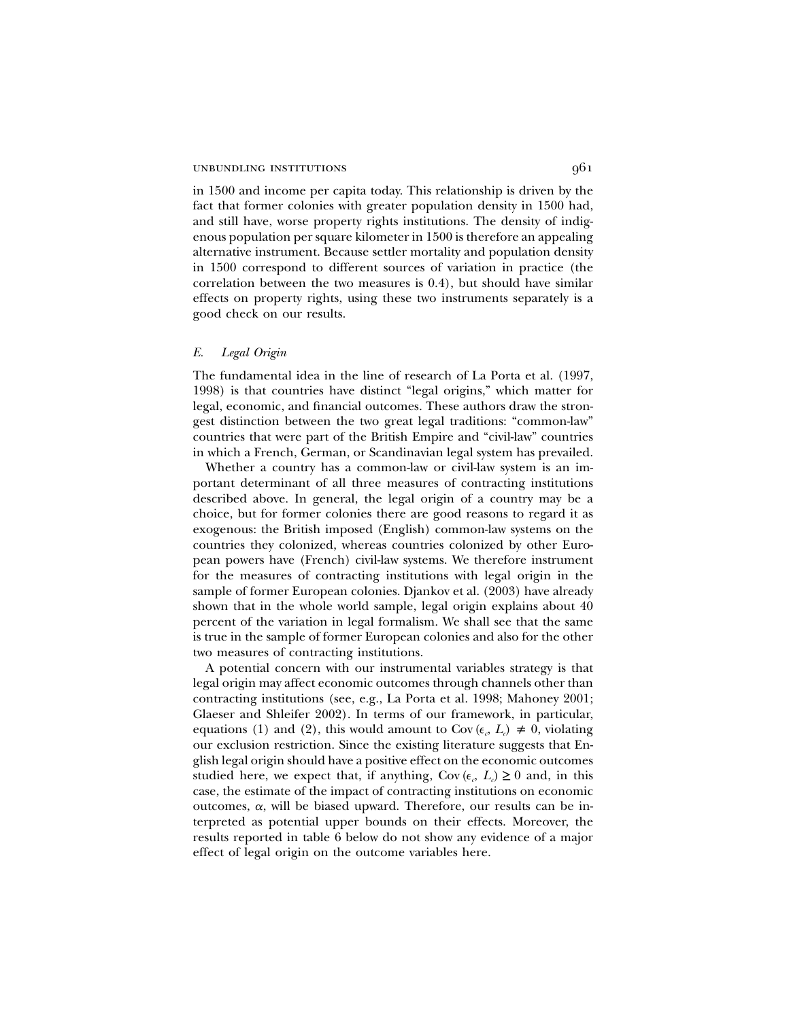in 1500 and income per capita today. This relationship is driven by the fact that former colonies with greater population density in 1500 had, and still have, worse property rights institutions. The density of indigenous population per square kilometer in 1500 is therefore an appealing alternative instrument. Because settler mortality and population density in 1500 correspond to different sources of variation in practice (the correlation between the two measures is 0.4), but should have similar effects on property rights, using these two instruments separately is a good check on our results.

## *E. Legal Origin*

The fundamental idea in the line of research of La Porta et al. (1997, 1998) is that countries have distinct "legal origins," which matter for legal, economic, and financial outcomes. These authors draw the strongest distinction between the two great legal traditions: "common-law" countries that were part of the British Empire and "civil-law" countries in which a French, German, or Scandinavian legal system has prevailed.

Whether a country has a common-law or civil-law system is an important determinant of all three measures of contracting institutions described above. In general, the legal origin of a country may be a choice, but for former colonies there are good reasons to regard it as exogenous: the British imposed (English) common-law systems on the countries they colonized, whereas countries colonized by other European powers have (French) civil-law systems. We therefore instrument for the measures of contracting institutions with legal origin in the sample of former European colonies. Djankov et al. (2003) have already shown that in the whole world sample, legal origin explains about 40 percent of the variation in legal formalism. We shall see that the same is true in the sample of former European colonies and also for the other two measures of contracting institutions.

A potential concern with our instrumental variables strategy is that legal origin may affect economic outcomes through channels other than contracting institutions (see, e.g., La Porta et al. 1998; Mahoney 2001; Glaeser and Shleifer 2002). In terms of our framework, in particular, equations (1) and (2), this would amount to Cov ( $\epsilon_{c}$ ,  $L_{c}$ )  $\neq$  0, violating our exclusion restriction. Since the existing literature suggests that English legal origin should have a positive effect on the economic outcomes studied here, we expect that, if anything,  $Cov(\epsilon_{\alpha}, L_{\alpha}) \geq 0$  and, in this case, the estimate of the impact of contracting institutions on economic outcomes,  $\alpha$ , will be biased upward. Therefore, our results can be interpreted as potential upper bounds on their effects. Moreover, the results reported in table 6 below do not show any evidence of a major effect of legal origin on the outcome variables here.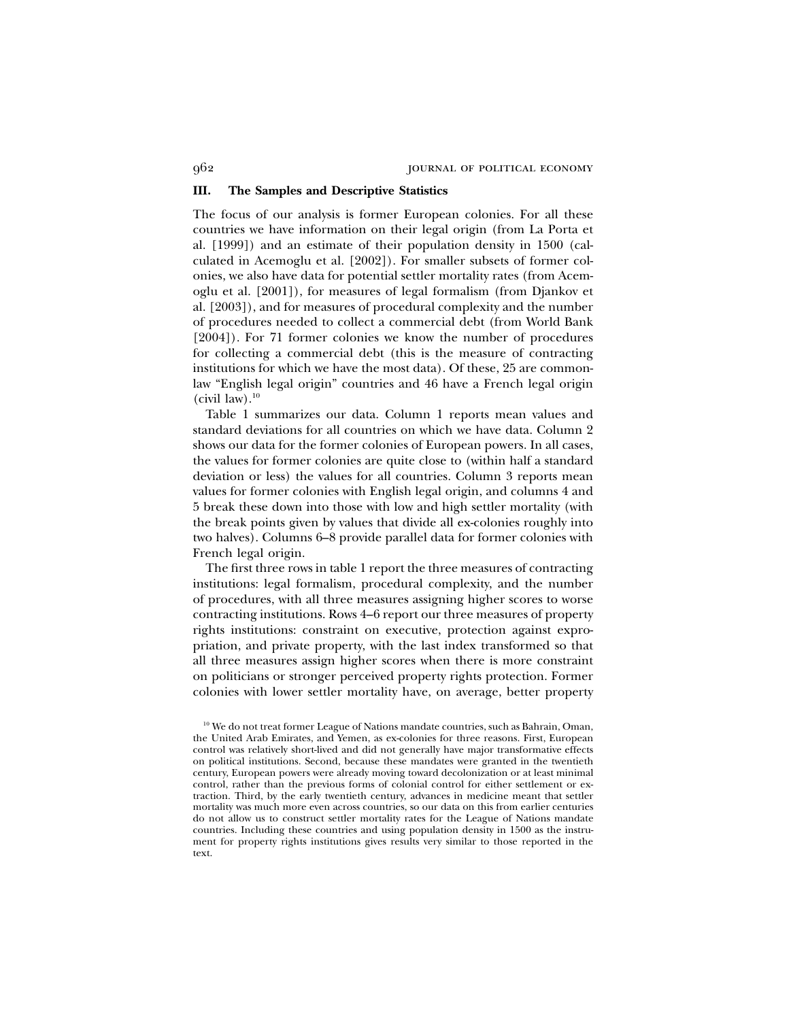### **III. The Samples and Descriptive Statistics**

The focus of our analysis is former European colonies. For all these countries we have information on their legal origin (from La Porta et al. [1999]) and an estimate of their population density in 1500 (calculated in Acemoglu et al. [2002]). For smaller subsets of former colonies, we also have data for potential settler mortality rates (from Acemoglu et al. [2001]), for measures of legal formalism (from Djankov et al. [2003]), and for measures of procedural complexity and the number of procedures needed to collect a commercial debt (from World Bank [2004]). For 71 former colonies we know the number of procedures for collecting a commercial debt (this is the measure of contracting institutions for which we have the most data). Of these, 25 are commonlaw "English legal origin" countries and 46 have a French legal origin (civil law). $^{10}$ 

Table 1 summarizes our data. Column 1 reports mean values and standard deviations for all countries on which we have data. Column 2 shows our data for the former colonies of European powers. In all cases, the values for former colonies are quite close to (within half a standard deviation or less) the values for all countries. Column 3 reports mean values for former colonies with English legal origin, and columns 4 and 5 break these down into those with low and high settler mortality (with the break points given by values that divide all ex-colonies roughly into two halves). Columns 6–8 provide parallel data for former colonies with French legal origin.

The first three rows in table 1 report the three measures of contracting institutions: legal formalism, procedural complexity, and the number of procedures, with all three measures assigning higher scores to worse contracting institutions. Rows 4–6 report our three measures of property rights institutions: constraint on executive, protection against expropriation, and private property, with the last index transformed so that all three measures assign higher scores when there is more constraint on politicians or stronger perceived property rights protection. Former colonies with lower settler mortality have, on average, better property

 $10$  We do not treat former League of Nations mandate countries, such as Bahrain, Oman, the United Arab Emirates, and Yemen, as ex-colonies for three reasons. First, European control was relatively short-lived and did not generally have major transformative effects on political institutions. Second, because these mandates were granted in the twentieth century, European powers were already moving toward decolonization or at least minimal control, rather than the previous forms of colonial control for either settlement or extraction. Third, by the early twentieth century, advances in medicine meant that settler mortality was much more even across countries, so our data on this from earlier centuries do not allow us to construct settler mortality rates for the League of Nations mandate countries. Including these countries and using population density in 1500 as the instrument for property rights institutions gives results very similar to those reported in the text.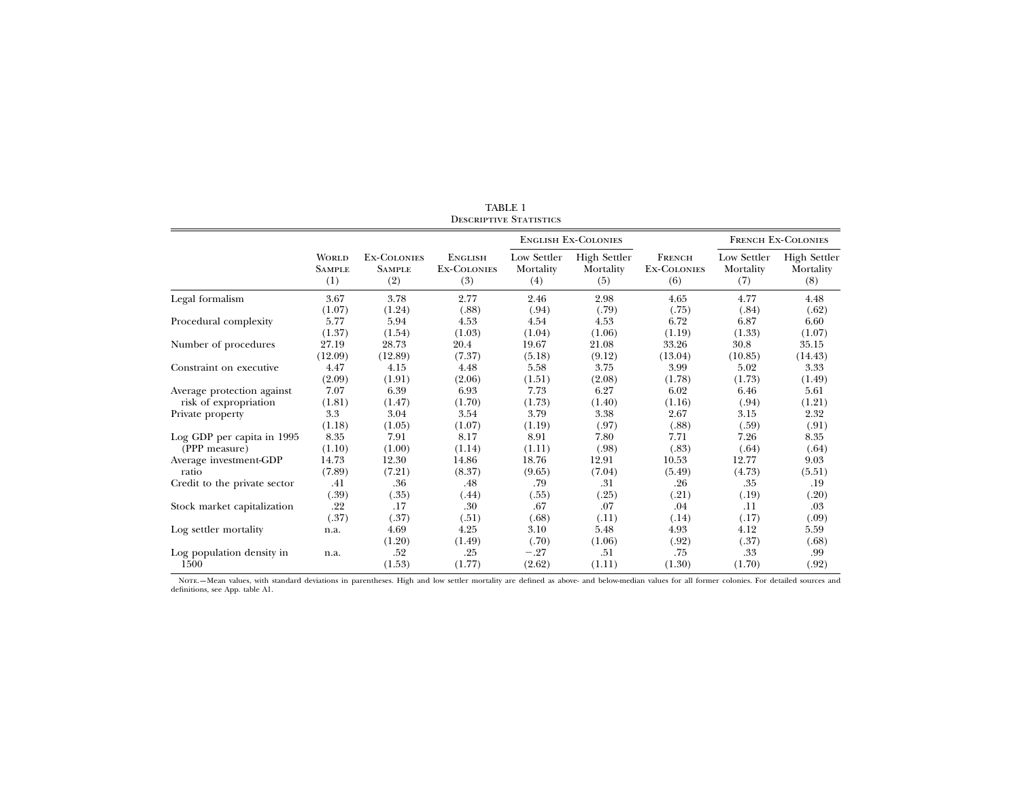|                              |                                      |                                            |                                             |                                 | <b>ENGLISH EX-COLONIES</b>       |                                     |                                 | <b>FRENCH EX-COLONIES</b>               |
|------------------------------|--------------------------------------|--------------------------------------------|---------------------------------------------|---------------------------------|----------------------------------|-------------------------------------|---------------------------------|-----------------------------------------|
|                              | <b>WORLD</b><br><b>SAMPLE</b><br>(1) | <b>EX-COLONIES</b><br><b>SAMPLE</b><br>(2) | <b>ENGLISH</b><br><b>EX-COLONIES</b><br>(3) | Low Settler<br>Mortality<br>(4) | High Settler<br>Mortality<br>(5) | FRENCH<br><b>EX-COLONIES</b><br>(6) | Low Settler<br>Mortality<br>(7) | <b>High Settler</b><br>Mortality<br>(8) |
| Legal formalism              | 3.67                                 | 3.78                                       | 2.77                                        | 2.46                            | 2.98                             | 4.65                                | 4.77                            | 4.48                                    |
|                              | (1.07)                               | (1.24)                                     | (.88)                                       | (.94)                           | (.79)                            | (.75)                               | (.84)                           | (.62)                                   |
| Procedural complexity        | 5.77                                 | 5.94                                       | 4.53                                        | 4.54                            | 4.53                             | 6.72                                | 6.87                            | 6.60                                    |
|                              | (1.37)                               | (1.54)                                     | (1.03)                                      | (1.04)                          | (1.06)                           | (1.19)                              | (1.33)                          | (1.07)                                  |
| Number of procedures         | 27.19                                | 28.73                                      | 20.4                                        | 19.67                           | 21.08                            | 33.26                               | 30.8                            | 35.15                                   |
|                              | (12.09)                              | (12.89)                                    | (7.37)                                      | (5.18)                          | (9.12)                           | (13.04)                             | (10.85)                         | (14.43)                                 |
| Constraint on executive      | 4.47                                 | 4.15                                       | 4.48                                        | 5.58                            | 3.75                             | 3.99                                | 5.02                            | 3.33                                    |
|                              | (2.09)                               | (1.91)                                     | (2.06)                                      | (1.51)                          | (2.08)                           | (1.78)                              | (1.73)                          | (1.49)                                  |
| Average protection against   | 7.07                                 | 6.39                                       | 6.93                                        | 7.73                            | 6.27                             | 6.02                                | 6.46                            | 5.61                                    |
| risk of expropriation        | (1.81)                               | (1.47)                                     | (1.70)                                      | (1.73)                          | (1.40)                           | (1.16)                              | (.94)                           | (1.21)                                  |
| Private property             | 3.3                                  | 3.04                                       | 3.54                                        | 3.79                            | 3.38                             | 2.67                                | 3.15                            | 2.32                                    |
|                              | (1.18)                               | (1.05)                                     | (1.07)                                      | (1.19)                          | (.97)                            | (.88)                               | (.59)                           | (.91)                                   |
| Log GDP per capita in 1995   | 8.35                                 | 7.91                                       | 8.17                                        | 8.91                            | 7.80                             | 7.71                                | 7.26                            | 8.35                                    |
| (PPP measure)                | (1.10)                               | (1.00)                                     | (1.14)                                      | (1.11)                          | (.98)                            | (.83)                               | (.64)                           | (.64)                                   |
| Average investment-GDP       | 14.73                                | 12.30                                      | 14.86                                       | 18.76                           | 12.91                            | 10.53                               | 12.77                           | 9.03                                    |
| ratio                        | (7.89)                               | (7.21)                                     | (8.37)                                      | (9.65)                          | (7.04)                           | (5.49)                              | (4.73)                          | (5.51)                                  |
| Credit to the private sector | .41                                  | .36                                        | .48                                         | .79                             | .31                              | .26                                 | .35                             | .19                                     |
|                              | (.39)                                | (.35)                                      | (.44)                                       | (.55)                           | (.25)                            | (.21)                               | (.19)                           | (.20)                                   |
| Stock market capitalization  | .22                                  | .17                                        | .30                                         | .67                             | .07                              | .04                                 | .11                             | .03                                     |
|                              | (.37)                                | (.37)                                      | (.51)                                       | (.68)                           | (.11)                            | (.14)                               | (.17)                           | (.09)                                   |
| Log settler mortality        | n.a.                                 | 4.69                                       | 4.25                                        | 3.10                            | 5.48                             | 4.93                                | 4.12                            | 5.59                                    |
|                              |                                      | (1.20)                                     | (1.49)                                      | (.70)                           | (1.06)                           | (.92)                               | (.37)                           | (.68)                                   |
| Log population density in    | n.a.                                 | .52                                        | .25                                         | $-.27$                          | .51                              | .75                                 | .33                             | .99                                     |
| 1500                         |                                      | (1.53)                                     | (1.77)                                      | (2.62)                          | (1.11)                           | (1.30)                              | (1.70)                          | (.92)                                   |

TABLE 1Descriptive Statistics

Norr.—Mean values, with standard deviations in parentheses. High and low settler mortality are defined as above- and below-median values for all former colonies. For detailed sources and<br>definitions, see App. table A1.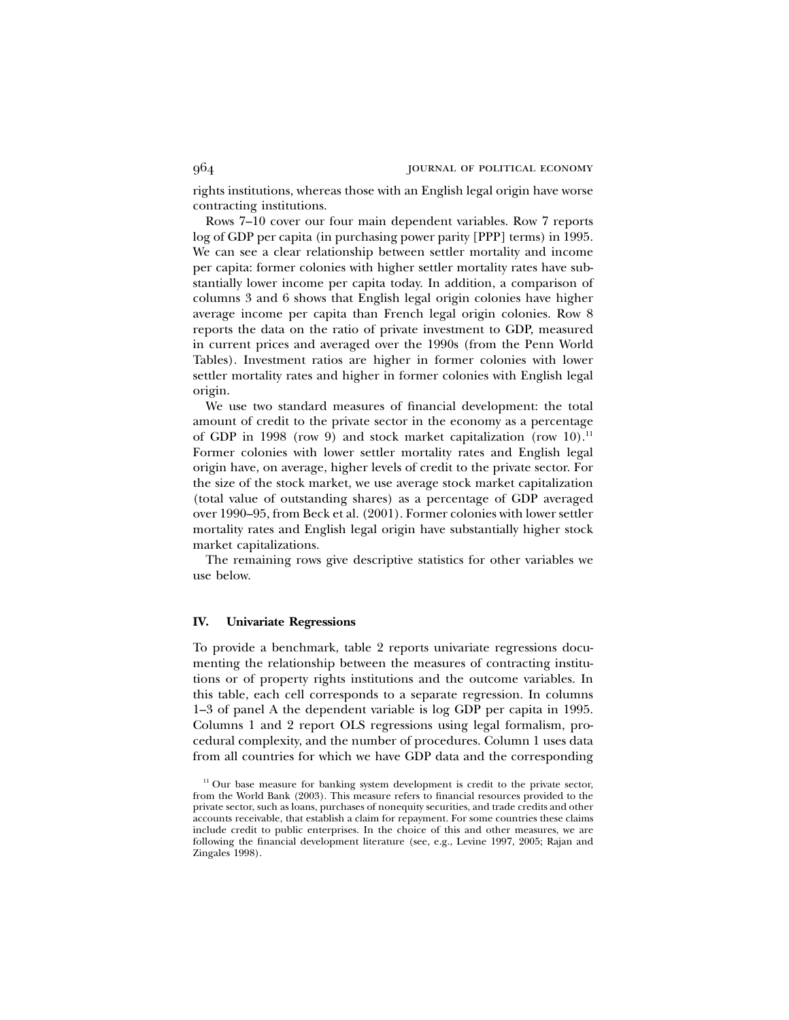rights institutions, whereas those with an English legal origin have worse contracting institutions.

Rows 7–10 cover our four main dependent variables. Row 7 reports log of GDP per capita (in purchasing power parity [PPP] terms) in 1995. We can see a clear relationship between settler mortality and income per capita: former colonies with higher settler mortality rates have substantially lower income per capita today. In addition, a comparison of columns 3 and 6 shows that English legal origin colonies have higher average income per capita than French legal origin colonies. Row 8 reports the data on the ratio of private investment to GDP, measured in current prices and averaged over the 1990s (from the Penn World Tables). Investment ratios are higher in former colonies with lower settler mortality rates and higher in former colonies with English legal origin.

We use two standard measures of financial development: the total amount of credit to the private sector in the economy as a percentage of GDP in 1998 (row 9) and stock market capitalization (row 10).<sup>11</sup> Former colonies with lower settler mortality rates and English legal origin have, on average, higher levels of credit to the private sector. For the size of the stock market, we use average stock market capitalization (total value of outstanding shares) as a percentage of GDP averaged over 1990–95, from Beck et al. (2001). Former colonies with lower settler mortality rates and English legal origin have substantially higher stock market capitalizations.

The remaining rows give descriptive statistics for other variables we use below.

## **IV. Univariate Regressions**

To provide a benchmark, table 2 reports univariate regressions documenting the relationship between the measures of contracting institutions or of property rights institutions and the outcome variables. In this table, each cell corresponds to a separate regression. In columns 1–3 of panel A the dependent variable is log GDP per capita in 1995. Columns 1 and 2 report OLS regressions using legal formalism, procedural complexity, and the number of procedures. Column 1 uses data from all countries for which we have GDP data and the corresponding

<sup>&</sup>lt;sup>11</sup> Our base measure for banking system development is credit to the private sector, from the World Bank (2003). This measure refers to financial resources provided to the private sector, such as loans, purchases of nonequity securities, and trade credits and other accounts receivable, that establish a claim for repayment. For some countries these claims include credit to public enterprises. In the choice of this and other measures, we are following the financial development literature (see, e.g., Levine 1997, 2005; Rajan and Zingales 1998).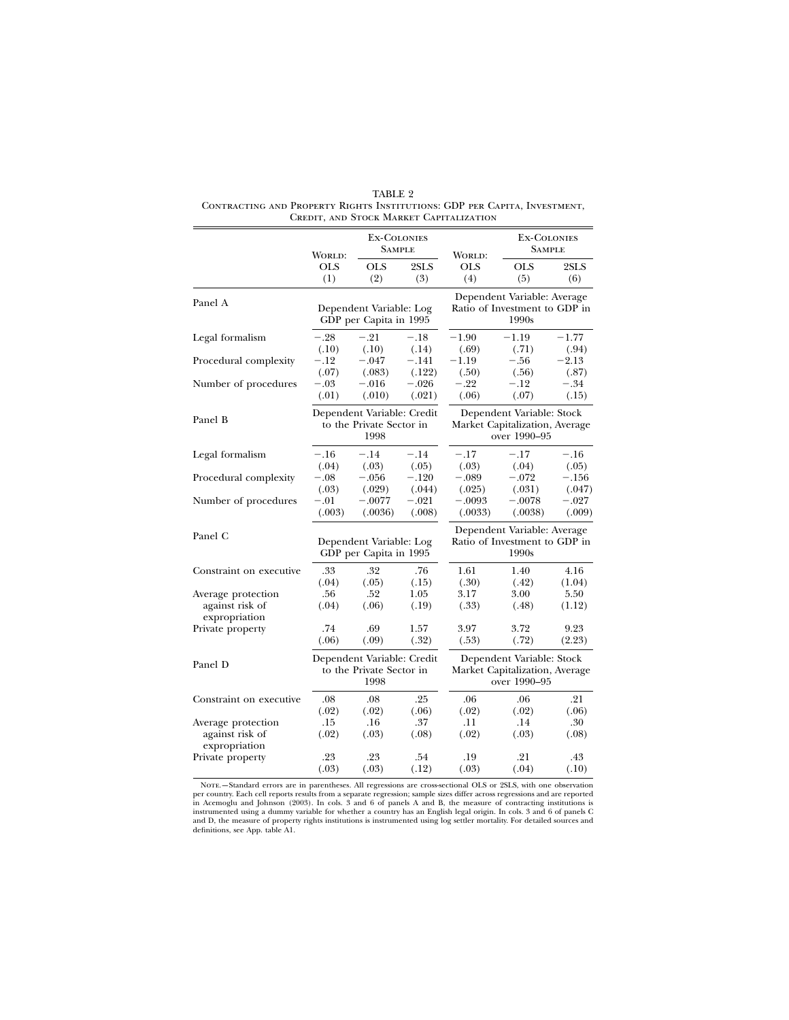|                                                        | WORLD:                                            | <b>EX-COLONIES</b><br><b>SAMPLE</b>                            |                            | WORLD:                                                                | <b>EX-COLONIES</b><br><b>SAMPLE</b>                                         |                            |  |  |
|--------------------------------------------------------|---------------------------------------------------|----------------------------------------------------------------|----------------------------|-----------------------------------------------------------------------|-----------------------------------------------------------------------------|----------------------------|--|--|
|                                                        | <b>OLS</b><br>(1)                                 | <b>OLS</b><br>(2)                                              | 2SLS<br>(3)                | <b>OLS</b><br>(4)                                                     | <b>OLS</b><br>(5)                                                           | 2SLS<br>(6)                |  |  |
| Panel A                                                | Dependent Variable: Log<br>GDP per Capita in 1995 |                                                                |                            | Dependent Variable: Average<br>Ratio of Investment to GDP in<br>1990s |                                                                             |                            |  |  |
| Legal formalism                                        | $-.28$                                            | $-.21$                                                         | $-.18$                     | $-1.90$                                                               | $-1.19$                                                                     | $-1.77$                    |  |  |
| Procedural complexity                                  | (.10)<br>$-.12$<br>(.07)                          | (.10)<br>$-.047$<br>(.083)                                     | (.14)<br>$-.141$<br>(.122) | (.69)<br>$-1.19$<br>(.50)                                             | (.71)<br>$-.56$<br>(.56)                                                    | (.94)<br>$-2.13$<br>(.87)  |  |  |
| Number of procedures                                   | $-.03$<br>(.01)                                   | $-.016$<br>(.010)                                              | $-.026$<br>(.021)          | $-.22$<br>(.06)                                                       | $-.12$<br>(.07)                                                             | $-.34$<br>(.15)            |  |  |
| Panel B                                                |                                                   | Dependent Variable: Credit<br>to the Private Sector in<br>1998 |                            |                                                                       | Dependent Variable: Stock<br>Market Capitalization, Average<br>over 1990–95 |                            |  |  |
| Legal formalism                                        | $-.16$<br>(.04)                                   | $-.14$<br>(.03)                                                | $-.14$<br>(.05)            | $-.17$<br>(.03)                                                       | $-.17$<br>(.04)                                                             | $-.16$                     |  |  |
| Procedural complexity                                  | $-.08$<br>(.03)                                   | $-.056$<br>(.029)                                              | $-.120$<br>(.044)          | $-.089$<br>(.025)                                                     | $-.072$<br>(.031)                                                           | (.05)<br>$-.156$<br>(.047) |  |  |
| Number of procedures                                   | $-.01$<br>(.003)                                  | $-.0077$<br>(.0036)                                            | $-.021$<br>(.008)          | $-.0093$<br>(.0033)                                                   | $-.0078$<br>(.0038)                                                         | $-.027$<br>(.009)          |  |  |
| Panel C                                                |                                                   | Dependent Variable: Log<br>GDP per Capita in 1995              |                            | Dependent Variable: Average<br>Ratio of Investment to GDP in<br>1990s |                                                                             |                            |  |  |
| Constraint on executive                                | .33<br>(.04)                                      | .32<br>(.05)                                                   | .76<br>(.15)               | 1.61<br>(.30)                                                         | 1.40<br>(.42)                                                               | 4.16<br>(1.04)             |  |  |
| Average protection<br>against risk of<br>expropriation | .56<br>(.04)                                      | .52<br>(.06)                                                   | 1.05<br>(.19)              | 3.17<br>(.33)                                                         | 3.00<br>(.48)                                                               | 5.50<br>(1.12)             |  |  |
| Private property                                       | .74<br>(.06)                                      | .69<br>(.09)                                                   | 1.57<br>(.32)              | 3.97<br>(.53)                                                         | 3.72<br>(.72)                                                               | 9.23<br>(2.23)             |  |  |
| Panel D                                                |                                                   | Dependent Variable: Credit<br>to the Private Sector in<br>1998 |                            |                                                                       | Dependent Variable: Stock<br>Market Capitalization, Average<br>over 1990–95 |                            |  |  |
| Constraint on executive                                | .08                                               | .08                                                            | .25                        | .06                                                                   | .06                                                                         | .21                        |  |  |
|                                                        | (.02)                                             | (.02)                                                          | (.06)<br>.37               | (.02)                                                                 | (.02)                                                                       | (.06)                      |  |  |
| Average protection<br>against risk of<br>expropriation | .15<br>(.02)                                      | .16<br>(.03)                                                   | (.08)                      | .11<br>(.02)                                                          | .14<br>(.03)                                                                | .30<br>(.08)               |  |  |
| Private property                                       | .23<br>(.03)                                      | .23<br>(.03)                                                   | .54<br>(.12)               | .19<br>(.03)                                                          | .21<br>(.04)                                                                | .43<br>(.10)               |  |  |

TABLE 2 Contracting and Property Rights Institutions: GDP per Capita, Investment, Credit, and Stock Market Capitalization

Nore.—Standard errors are in parentheses. All regressions are cross-sectional OLS or 2SLS, with one observation<br>per country. Each cell reports results from a separate regression; sample sizes differ across regressions and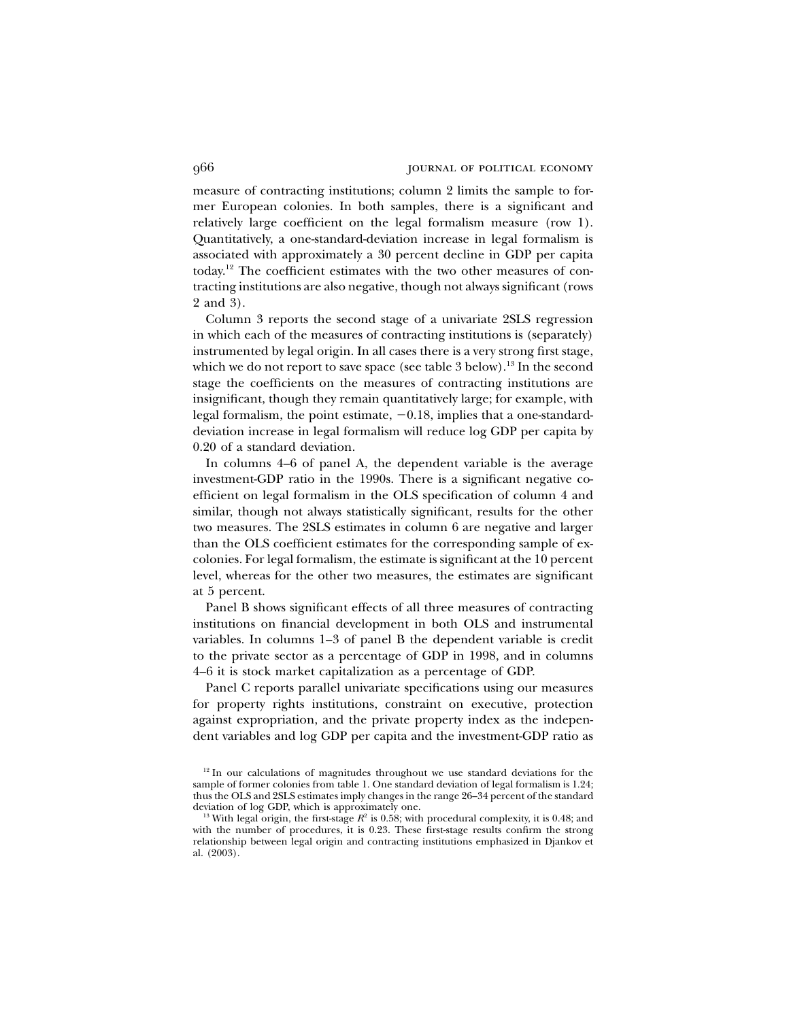measure of contracting institutions; column 2 limits the sample to former European colonies. In both samples, there is a significant and relatively large coefficient on the legal formalism measure (row 1). Quantitatively, a one-standard-deviation increase in legal formalism is associated with approximately a 30 percent decline in GDP per capita today.<sup>12</sup> The coefficient estimates with the two other measures of contracting institutions are also negative, though not always significant (rows 2 and 3).

Column 3 reports the second stage of a univariate 2SLS regression in which each of the measures of contracting institutions is (separately) instrumented by legal origin. In all cases there is a very strong first stage, which we do not report to save space (see table 3 below).<sup>13</sup> In the second stage the coefficients on the measures of contracting institutions are insignificant, though they remain quantitatively large; for example, with legal formalism, the point estimate,  $-0.18$ , implies that a one-standarddeviation increase in legal formalism will reduce log GDP per capita by 0.20 of a standard deviation.

In columns 4–6 of panel A, the dependent variable is the average investment-GDP ratio in the 1990s. There is a significant negative coefficient on legal formalism in the OLS specification of column 4 and similar, though not always statistically significant, results for the other two measures. The 2SLS estimates in column 6 are negative and larger than the OLS coefficient estimates for the corresponding sample of excolonies. For legal formalism, the estimate is significant at the 10 percent level, whereas for the other two measures, the estimates are significant at 5 percent.

Panel B shows significant effects of all three measures of contracting institutions on financial development in both OLS and instrumental variables. In columns 1–3 of panel B the dependent variable is credit to the private sector as a percentage of GDP in 1998, and in columns 4–6 it is stock market capitalization as a percentage of GDP.

Panel C reports parallel univariate specifications using our measures for property rights institutions, constraint on executive, protection against expropriation, and the private property index as the independent variables and log GDP per capita and the investment-GDP ratio as

 $12$  In our calculations of magnitudes throughout we use standard deviations for the sample of former colonies from table 1. One standard deviation of legal formalism is 1.24; thus the OLS and 2SLS estimates imply changes in the range 26–34 percent of the standard deviation of log GDP, which is approximately one.

<sup>&</sup>lt;sup>13</sup> With legal origin, the first-stage  $R^2$  is 0.58; with procedural complexity, it is 0.48; and with the number of procedures, it is 0.23. These first-stage results confirm the strong relationship between legal origin and contracting institutions emphasized in Djankov et al. (2003).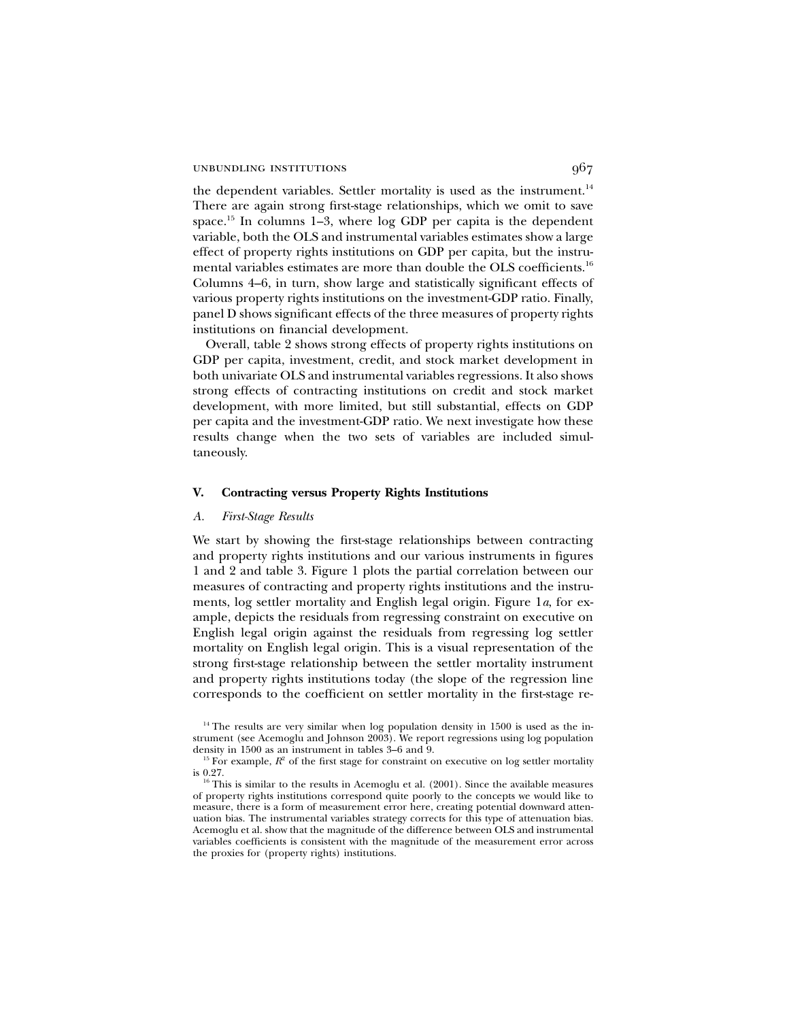the dependent variables. Settler mortality is used as the instrument.<sup>14</sup> There are again strong first-stage relationships, which we omit to save space.<sup>15</sup> In columns 1–3, where  $log$  GDP per capita is the dependent variable, both the OLS and instrumental variables estimates show a large effect of property rights institutions on GDP per capita, but the instrumental variables estimates are more than double the OLS coefficients.<sup>16</sup> Columns 4–6, in turn, show large and statistically significant effects of various property rights institutions on the investment-GDP ratio. Finally, panel D shows significant effects of the three measures of property rights institutions on financial development.

Overall, table 2 shows strong effects of property rights institutions on GDP per capita, investment, credit, and stock market development in both univariate OLS and instrumental variables regressions. It also shows strong effects of contracting institutions on credit and stock market development, with more limited, but still substantial, effects on GDP per capita and the investment-GDP ratio. We next investigate how these results change when the two sets of variables are included simultaneously.

#### **V. Contracting versus Property Rights Institutions**

### *A. First-Stage Results*

We start by showing the first-stage relationships between contracting and property rights institutions and our various instruments in figures 1 and 2 and table 3. Figure 1 plots the partial correlation between our measures of contracting and property rights institutions and the instruments, log settler mortality and English legal origin. Figure 1*a*, for example, depicts the residuals from regressing constraint on executive on English legal origin against the residuals from regressing log settler mortality on English legal origin. This is a visual representation of the strong first-stage relationship between the settler mortality instrument and property rights institutions today (the slope of the regression line corresponds to the coefficient on settler mortality in the first-stage re-

 $14$  The results are very similar when log population density in 1500 is used as the instrument (see Acemoglu and Johnson 2003). We report regressions using log population density in 1500 as an instrument in tables 3–6 and 9.

<sup>&</sup>lt;sup>15</sup> For example,  $R^2$  of the first stage for constraint on executive on log settler mortality is 0.27.

 $16$  This is similar to the results in Acemoglu et al. (2001). Since the available measures of property rights institutions correspond quite poorly to the concepts we would like to measure, there is a form of measurement error here, creating potential downward attenuation bias. The instrumental variables strategy corrects for this type of attenuation bias. Acemoglu et al. show that the magnitude of the difference between OLS and instrumental variables coefficients is consistent with the magnitude of the measurement error across the proxies for (property rights) institutions.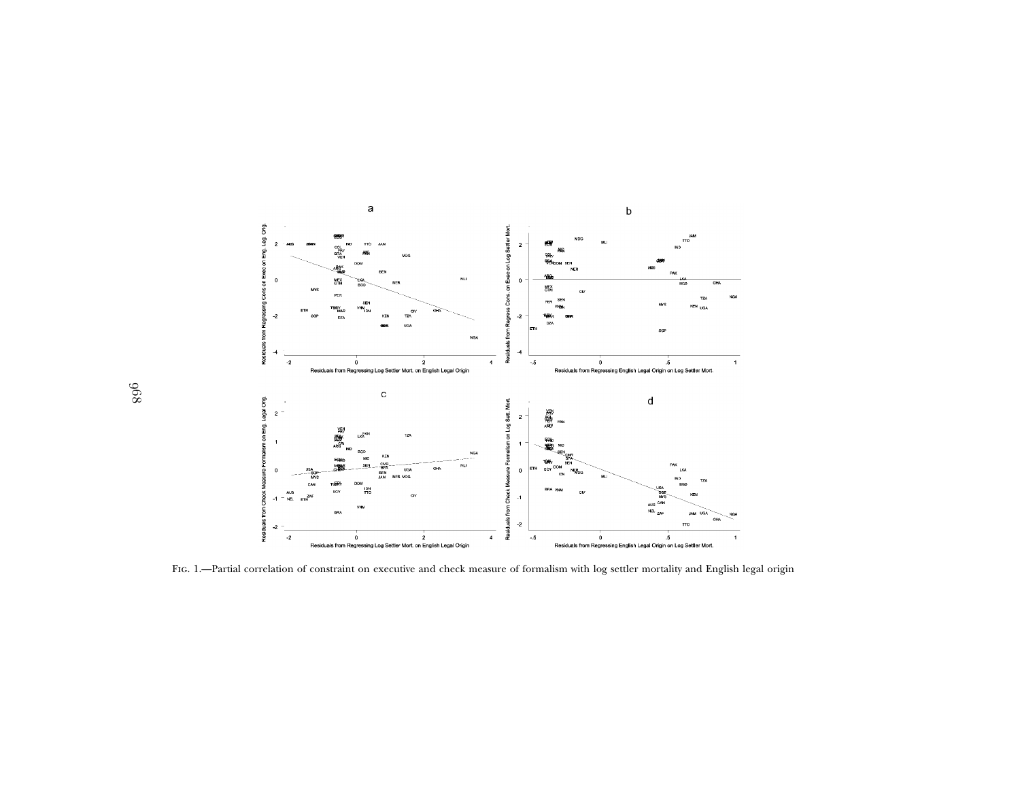

Fig. 1.—Partial correlation of constraint on executive and check measure of formalism with log settler mortality and English legal origin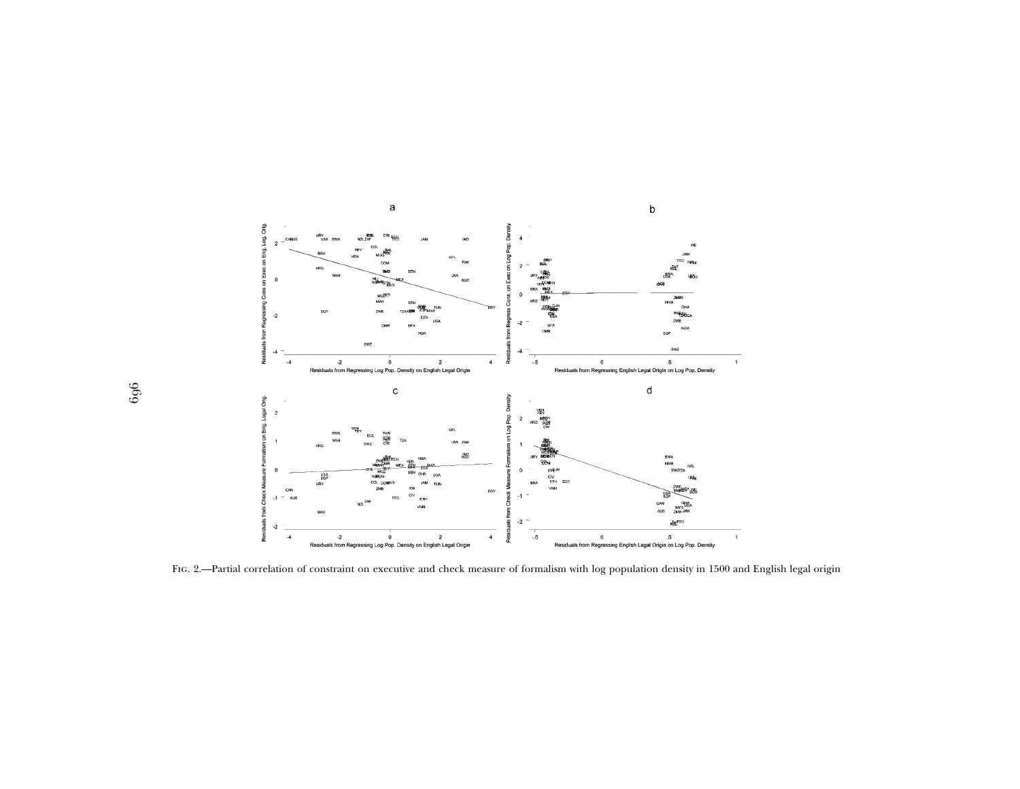

Fig. 2.—Partial correlation of constraint on executive and check measure of formalism with log population density in 1500 and English legal origin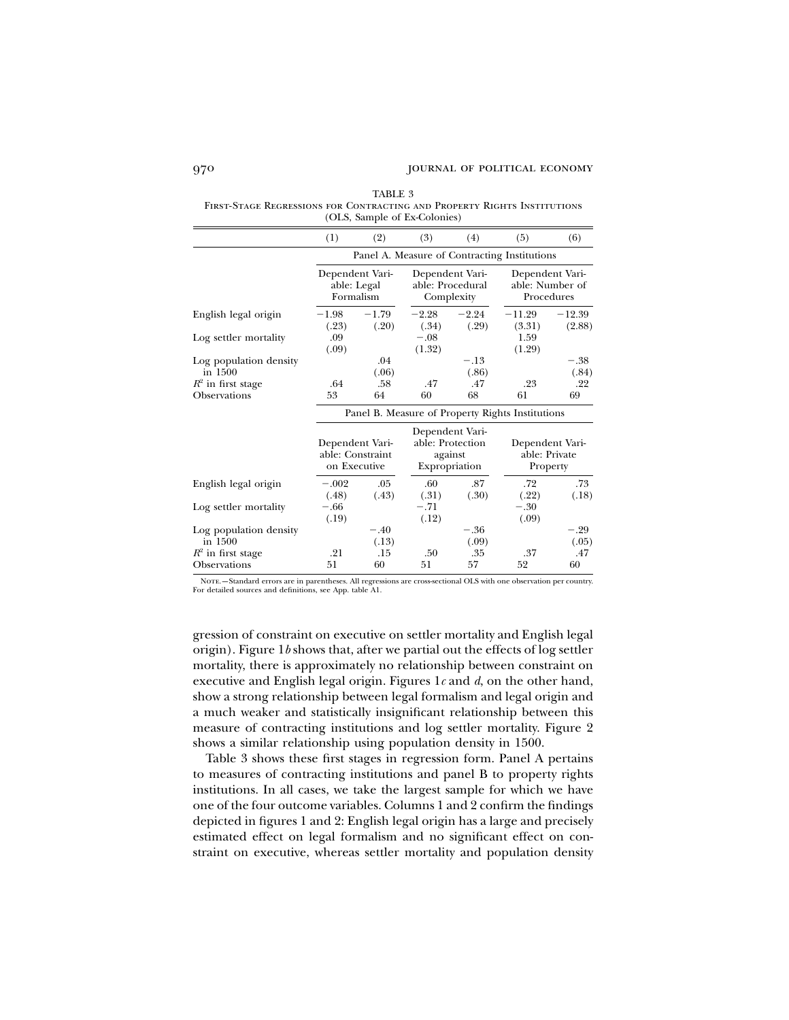TABLE 3 First-Stage Regressions for Contracting and Property Rights Institutions (OLS, Sample of Ex-Colonies)

|                                      | (1)                                                 | (2)                                         | (3)              | (4)                                                             | (5)                                          | (6)                                              |  |  |  |  |
|--------------------------------------|-----------------------------------------------------|---------------------------------------------|------------------|-----------------------------------------------------------------|----------------------------------------------|--------------------------------------------------|--|--|--|--|
|                                      |                                                     |                                             |                  |                                                                 | Panel A. Measure of Contracting Institutions |                                                  |  |  |  |  |
|                                      |                                                     | Dependent Vari-<br>able: Legal<br>Formalism |                  | Dependent Vari-<br>able: Procedural<br>Complexity               |                                              | Dependent Vari-<br>able: Number of<br>Procedures |  |  |  |  |
| English legal origin                 | $-1.98$<br>(.23)                                    | $-1.79$<br>(.20)                            | $-2.28$<br>(.34) | $-2.24$<br>(.29)                                                | $-11.29$<br>(3.31)                           | $-12.39$<br>(2.88)                               |  |  |  |  |
| Log settler mortality                | .09<br>(.09)                                        |                                             | $-.08$<br>(1.32) |                                                                 | 1.59<br>(1.29)                               |                                                  |  |  |  |  |
| Log population density<br>in 1500    |                                                     | .04<br>(.06)                                |                  | $-.13$<br>(.86)                                                 |                                              | $-.38$<br>(.84)                                  |  |  |  |  |
| $R^2$ in first stage<br>Observations | .64<br>53                                           | .58<br>64                                   | .47<br>60        | .47<br>68                                                       | .23<br>61                                    | .22<br>69                                        |  |  |  |  |
|                                      | Panel B. Measure of Property Rights Institutions    |                                             |                  |                                                                 |                                              |                                                  |  |  |  |  |
|                                      | Dependent Vari-<br>able: Constraint<br>on Executive |                                             |                  | Dependent Vari-<br>able: Protection<br>against<br>Expropriation | Dependent Vari-<br>able: Private<br>Property |                                                  |  |  |  |  |
| English legal origin                 | $-.002$<br>(.48)                                    | .05<br>(.43)                                | .60<br>(.31)     | .87<br>(.30)                                                    | .72<br>(.22)                                 | .73<br>(.18)                                     |  |  |  |  |
| Log settler mortality                | $-.66$<br>(.19)                                     |                                             | $-.71$<br>(.12)  |                                                                 | $-.30$<br>(.09)                              |                                                  |  |  |  |  |
| Log population density<br>in 1500    |                                                     | $-.40$<br>(.13)                             |                  | $-.36$<br>(.09)                                                 |                                              | $-.29$<br>(.05)                                  |  |  |  |  |
| $R^2$ in first stage<br>Observations | .21<br>51                                           | .15<br>60                                   | .50<br>51        | .35<br>57                                                       | .37<br>52                                    | .47<br>60                                        |  |  |  |  |

Note.—Standard errors are in parentheses. All regressions are cross-sectional OLS with one observation per country. For detailed sources and definitions, see App. table A1.

gression of constraint on executive on settler mortality and English legal origin). Figure 1*b* shows that, after we partial out the effects of log settler mortality, there is approximately no relationship between constraint on executive and English legal origin. Figures 1*c* and *d*, on the other hand, show a strong relationship between legal formalism and legal origin and a much weaker and statistically insignificant relationship between this measure of contracting institutions and log settler mortality. Figure 2 shows a similar relationship using population density in 1500.

Table 3 shows these first stages in regression form. Panel A pertains to measures of contracting institutions and panel B to property rights institutions. In all cases, we take the largest sample for which we have one of the four outcome variables. Columns 1 and 2 confirm the findings depicted in figures 1 and 2: English legal origin has a large and precisely estimated effect on legal formalism and no significant effect on constraint on executive, whereas settler mortality and population density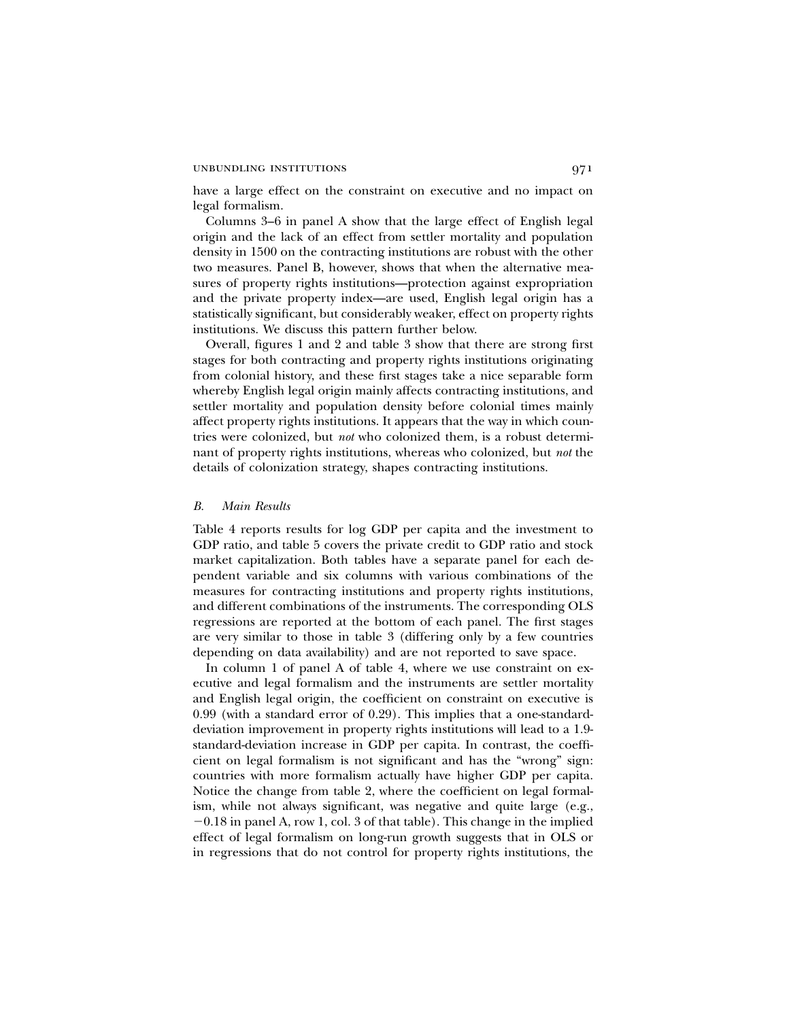have a large effect on the constraint on executive and no impact on legal formalism.

Columns 3–6 in panel A show that the large effect of English legal origin and the lack of an effect from settler mortality and population density in 1500 on the contracting institutions are robust with the other two measures. Panel B, however, shows that when the alternative measures of property rights institutions—protection against expropriation and the private property index—are used, English legal origin has a statistically significant, but considerably weaker, effect on property rights institutions. We discuss this pattern further below.

Overall, figures 1 and 2 and table 3 show that there are strong first stages for both contracting and property rights institutions originating from colonial history, and these first stages take a nice separable form whereby English legal origin mainly affects contracting institutions, and settler mortality and population density before colonial times mainly affect property rights institutions. It appears that the way in which countries were colonized, but *not* who colonized them, is a robust determinant of property rights institutions, whereas who colonized, but *not* the details of colonization strategy, shapes contracting institutions.

#### *B. Main Results*

Table 4 reports results for log GDP per capita and the investment to GDP ratio, and table 5 covers the private credit to GDP ratio and stock market capitalization. Both tables have a separate panel for each dependent variable and six columns with various combinations of the measures for contracting institutions and property rights institutions, and different combinations of the instruments. The corresponding OLS regressions are reported at the bottom of each panel. The first stages are very similar to those in table 3 (differing only by a few countries depending on data availability) and are not reported to save space.

In column 1 of panel A of table 4, where we use constraint on executive and legal formalism and the instruments are settler mortality and English legal origin, the coefficient on constraint on executive is 0.99 (with a standard error of 0.29). This implies that a one-standarddeviation improvement in property rights institutions will lead to a 1.9 standard-deviation increase in GDP per capita. In contrast, the coefficient on legal formalism is not significant and has the "wrong" sign: countries with more formalism actually have higher GDP per capita. Notice the change from table 2, where the coefficient on legal formalism, while not always significant, was negative and quite large (e.g., -0.18 in panel A, row 1, col. 3 of that table). This change in the implied effect of legal formalism on long-run growth suggests that in OLS or in regressions that do not control for property rights institutions, the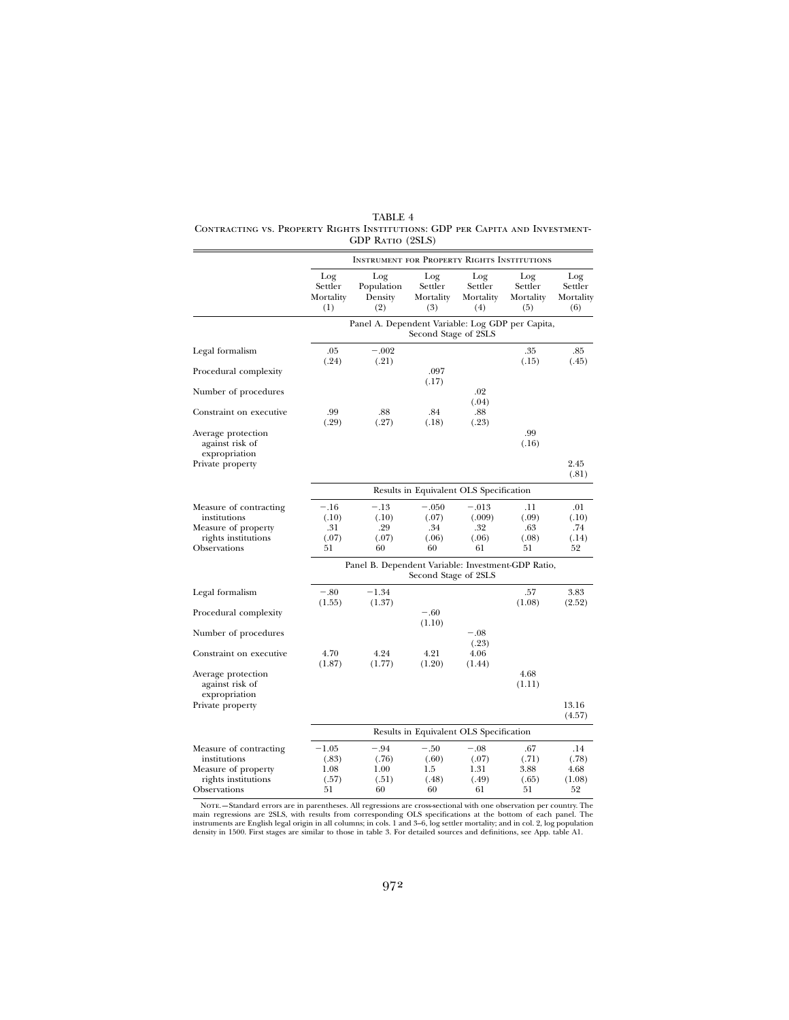| TABLE 4                                                                      |  |
|------------------------------------------------------------------------------|--|
| CONTRACTING VS. PROPERTY RIGHTS INSTITUTIONS: GDP PER CAPITA AND INVESTMENT- |  |
| <b>GDP RATIO (2SLS)</b>                                                      |  |

|                                                                                                      | <b>INSTRUMENT FOR PROPERTY RIGHTS INSTITUTIONS</b> |                                                                          |                                        |                                                    |                                     |                                      |  |  |  |  |
|------------------------------------------------------------------------------------------------------|----------------------------------------------------|--------------------------------------------------------------------------|----------------------------------------|----------------------------------------------------|-------------------------------------|--------------------------------------|--|--|--|--|
|                                                                                                      | Log<br>Settler<br>Mortality<br>(1)                 | Log<br>Population<br>Density<br>(2)                                      | Log<br>Settler<br>Mortality<br>(3)     | Log<br>Settler<br>Mortality<br>(4)                 | Log<br>Settler<br>Mortality<br>(5)  | Log<br>Settler<br>Mortality<br>(6)   |  |  |  |  |
|                                                                                                      |                                                    | Panel A. Dependent Variable: Log GDP per Capita,<br>Second Stage of 2SLS |                                        |                                                    |                                     |                                      |  |  |  |  |
| Legal formalism                                                                                      | .05<br>(.24)                                       | $-.002$<br>(.21)                                                         |                                        |                                                    | .35<br>(.15)                        | .85<br>(.45)                         |  |  |  |  |
| Procedural complexity                                                                                |                                                    |                                                                          | .097<br>(.17)                          |                                                    |                                     |                                      |  |  |  |  |
| Number of procedures                                                                                 |                                                    |                                                                          |                                        | .02<br>(.04)                                       |                                     |                                      |  |  |  |  |
| Constraint on executive                                                                              | .99<br>(.29)                                       | .88<br>(.27)                                                             | .84<br>(.18)                           | .88<br>(.23)                                       |                                     |                                      |  |  |  |  |
| Average protection<br>against risk of<br>expropriation                                               |                                                    |                                                                          |                                        |                                                    | .99<br>(.16)                        |                                      |  |  |  |  |
| Private property                                                                                     |                                                    |                                                                          |                                        |                                                    |                                     | 2.45<br>(.81)                        |  |  |  |  |
|                                                                                                      |                                                    |                                                                          |                                        | Results in Equivalent OLS Specification            |                                     |                                      |  |  |  |  |
| Measure of contracting<br>institutions<br>Measure of property<br>rights institutions<br>Observations | $-.16$<br>(.10)<br>.31<br>(.07)<br>51              | $-.13$<br>(.10)<br>.29<br>(.07)<br>60                                    | $-.050$<br>(.07)<br>.34<br>(.06)<br>60 | $-.013$<br>(.009)<br>.32<br>(.06)<br>61            | .11<br>(.09)<br>.63<br>(.08)<br>51  | .01<br>(.10)<br>.74<br>(.14)<br>52   |  |  |  |  |
|                                                                                                      |                                                    |                                                                          | Second Stage of 2SLS                   | Panel B. Dependent Variable: Investment-GDP Ratio, |                                     |                                      |  |  |  |  |
| Legal formalism                                                                                      | $-.80$<br>(1.55)                                   | $-1.34$<br>(1.37)                                                        |                                        |                                                    | .57<br>(1.08)                       | 3.83<br>(2.52)                       |  |  |  |  |
| Procedural complexity                                                                                |                                                    |                                                                          | $-.60$<br>(1.10)                       |                                                    |                                     |                                      |  |  |  |  |
| Number of procedures<br>Constraint on executive                                                      | 4.70<br>(1.87)                                     | 4.24<br>(1.77)                                                           | 4.21<br>(1.20)                         | $-.08$<br>(.23)<br>4.06<br>(1.44)                  |                                     |                                      |  |  |  |  |
| Average protection<br>against risk of<br>expropriation                                               |                                                    |                                                                          |                                        |                                                    | 4.68<br>(1.11)                      |                                      |  |  |  |  |
| Private property                                                                                     |                                                    |                                                                          |                                        |                                                    |                                     | 13.16<br>(4.57)                      |  |  |  |  |
|                                                                                                      | Results in Equivalent OLS Specification            |                                                                          |                                        |                                                    |                                     |                                      |  |  |  |  |
| Measure of contracting<br>institutions<br>Measure of property<br>rights institutions<br>Observations | $-1.05$<br>(.83)<br>1.08<br>(.57)<br>51            | $-.94$<br>(.76)<br>1.00<br>(.51)<br>60                                   | $-.50$<br>(.60)<br>1.5<br>(.48)<br>60  | $-.08$<br>(.07)<br>1.31<br>(.49)<br>61             | .67<br>(.71)<br>3.88<br>(.65)<br>51 | .14<br>(.78)<br>4.68<br>(1.08)<br>52 |  |  |  |  |

Norr.—Standard errors are in parentheses. All regressions are cross-sectional with one observation per country. The main regressions are 2SLS, with results from corresponding OLS specifications at the bottom of each panel.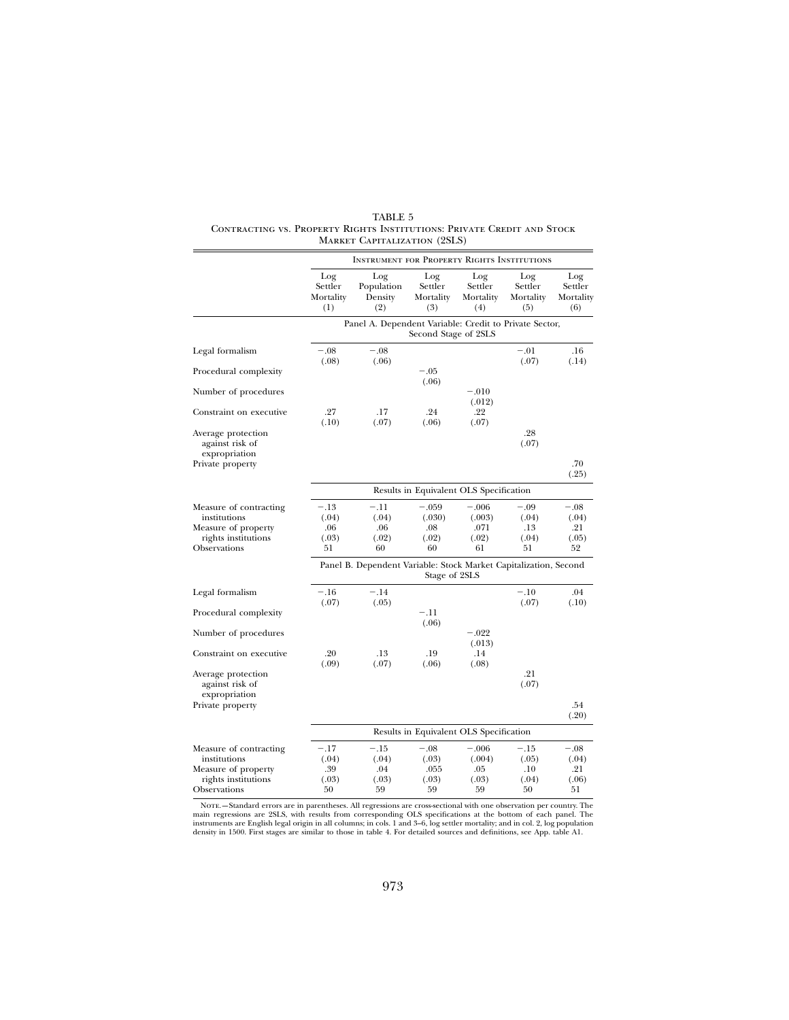|                                                                                                      |                                                                                   | <b>INSTRUMENT FOR PROPERTY RIGHTS INSTITUTIONS</b>     |                                         |                                          |                                       |                                       |  |  |  |
|------------------------------------------------------------------------------------------------------|-----------------------------------------------------------------------------------|--------------------------------------------------------|-----------------------------------------|------------------------------------------|---------------------------------------|---------------------------------------|--|--|--|
|                                                                                                      | Log<br>Settler<br>Mortality<br>(1)                                                | Log<br>Population<br>Density<br>(2)                    | Log<br>Settler<br>Mortality<br>(3)      | Log<br>Settler<br>Mortality<br>(4)       | Log<br>Settler<br>Mortality<br>(5)    | Log<br>Settler<br>Mortality<br>(6)    |  |  |  |
|                                                                                                      |                                                                                   | Panel A. Dependent Variable: Credit to Private Sector, | Second Stage of 2SLS                    |                                          |                                       |                                       |  |  |  |
| Legal formalism                                                                                      | $-.08$<br>(.08)                                                                   | $-.08$<br>(.06)                                        |                                         |                                          | $-.01$<br>(.07)                       | .16<br>(.14)                          |  |  |  |
| Procedural complexity                                                                                |                                                                                   |                                                        | $-.05$<br>(.06)                         |                                          |                                       |                                       |  |  |  |
| Number of procedures                                                                                 |                                                                                   |                                                        |                                         | $-.010$<br>(.012)                        |                                       |                                       |  |  |  |
| Constraint on executive                                                                              | .27<br>(.10)                                                                      | .17<br>(.07)                                           | .24<br>(.06)                            | .22<br>(.07)                             |                                       |                                       |  |  |  |
| Average protection<br>against risk of<br>expropriation                                               |                                                                                   |                                                        |                                         |                                          | .28<br>(.07)                          |                                       |  |  |  |
| Private property                                                                                     |                                                                                   |                                                        |                                         |                                          |                                       | .70<br>(.25)                          |  |  |  |
|                                                                                                      |                                                                                   |                                                        |                                         | Results in Equivalent OLS Specification  |                                       |                                       |  |  |  |
| Measure of contracting<br>institutions<br>Measure of property<br>rights institutions<br>Observations | $-.13$<br>(.04)<br>.06<br>(.03)<br>51                                             | $-.11$<br>(.04)<br>.06<br>(.02)<br>60                  | $-.059$<br>(.030)<br>.08<br>(.02)<br>60 | $-.006$<br>(.003)<br>.071<br>(.02)<br>61 | $-.09$<br>(.04)<br>.13<br>(.04)<br>51 | $-.08$<br>(.04)<br>.21<br>(.05)<br>52 |  |  |  |
|                                                                                                      | Panel B. Dependent Variable: Stock Market Capitalization, Second<br>Stage of 2SLS |                                                        |                                         |                                          |                                       |                                       |  |  |  |
| Legal formalism                                                                                      | $-.16$<br>(.07)                                                                   | $-.14$<br>(.05)                                        |                                         |                                          | $-.10$<br>(.07)                       | .04<br>(.10)                          |  |  |  |
| Procedural complexity                                                                                |                                                                                   |                                                        | $-.11$                                  |                                          |                                       |                                       |  |  |  |
| Number of procedures                                                                                 |                                                                                   |                                                        | (.06)                                   | $-.022$<br>(.013)                        |                                       |                                       |  |  |  |
| Constraint on executive                                                                              | .20<br>(.09)                                                                      | .13<br>(.07)                                           | .19<br>(.06)                            | .14<br>(.08)                             |                                       |                                       |  |  |  |
| Average protection<br>against risk of<br>expropriation                                               |                                                                                   |                                                        |                                         |                                          | .21<br>(.07)                          |                                       |  |  |  |
| Private property                                                                                     |                                                                                   |                                                        |                                         |                                          |                                       | .54<br>(.20)                          |  |  |  |
|                                                                                                      |                                                                                   |                                                        |                                         | Results in Equivalent OLS Specification  |                                       |                                       |  |  |  |
| Measure of contracting<br>institutions<br>Measure of property                                        | $-.17$<br>(.04)<br>.39<br>(.03)                                                   | $-.15$<br>(.04)<br>.04<br>(.03)                        | $-.08$<br>(.03)<br>.055<br>(.03)        | $-.006$<br>(.004)<br>.05<br>(.03)        | $-.15$<br>(.05)<br>$.10\,$            | $-.08$<br>(.04)<br>.21                |  |  |  |
| rights institutions<br>Observations                                                                  | 50                                                                                | 59                                                     | 59                                      | 59                                       | (.04)<br>50                           | (.06)<br>51                           |  |  |  |

| TABLE 5                                                                |  |  |  |  |  |  |  |  |
|------------------------------------------------------------------------|--|--|--|--|--|--|--|--|
| CONTRACTING VS. PROPERTY RIGHTS INSTITUTIONS: PRIVATE CREDIT AND STOCK |  |  |  |  |  |  |  |  |
| <b>MARKET CAPITALIZATION (2SLS)</b>                                    |  |  |  |  |  |  |  |  |

Norr.—Standard errors are in parentheses. All regressions are cross-sectional with one observation per country. The main regressions are 2SLS, with results from corresponding OLS specifications at the bottom of each panel.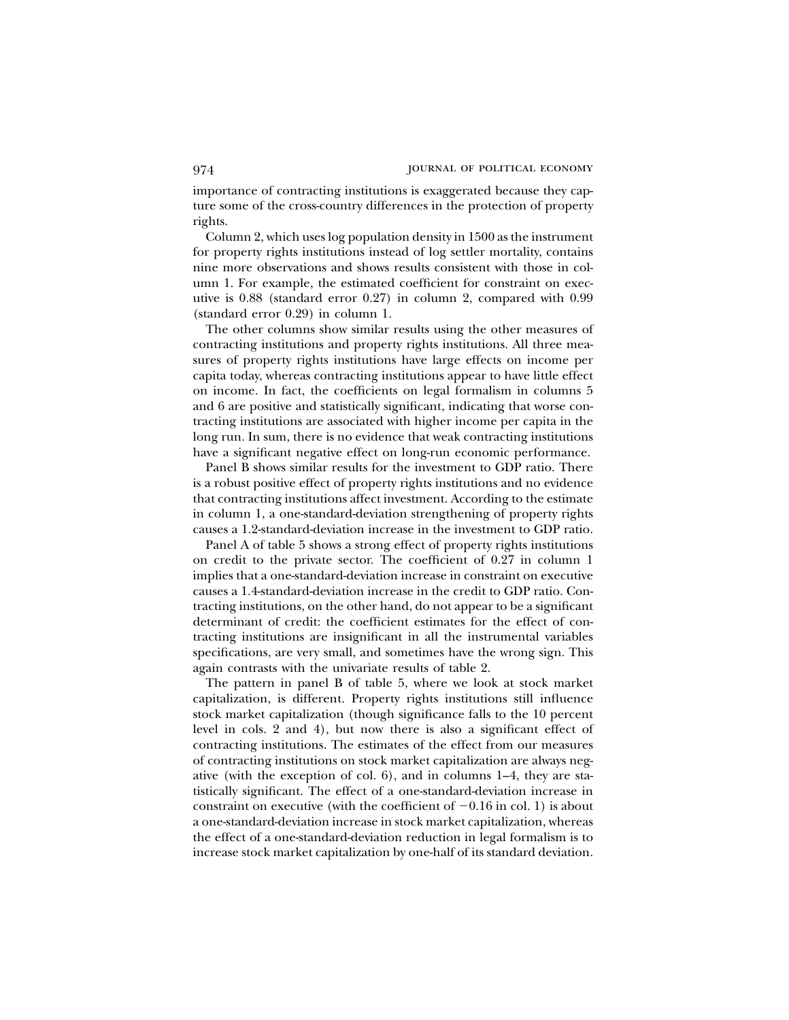importance of contracting institutions is exaggerated because they capture some of the cross-country differences in the protection of property rights.

Column 2, which uses log population density in 1500 as the instrument for property rights institutions instead of log settler mortality, contains nine more observations and shows results consistent with those in column 1. For example, the estimated coefficient for constraint on executive is 0.88 (standard error 0.27) in column 2, compared with 0.99 (standard error 0.29) in column 1.

The other columns show similar results using the other measures of contracting institutions and property rights institutions. All three measures of property rights institutions have large effects on income per capita today, whereas contracting institutions appear to have little effect on income. In fact, the coefficients on legal formalism in columns 5 and 6 are positive and statistically significant, indicating that worse contracting institutions are associated with higher income per capita in the long run. In sum, there is no evidence that weak contracting institutions have a significant negative effect on long-run economic performance.

Panel B shows similar results for the investment to GDP ratio. There is a robust positive effect of property rights institutions and no evidence that contracting institutions affect investment. According to the estimate in column 1, a one-standard-deviation strengthening of property rights causes a 1.2-standard-deviation increase in the investment to GDP ratio.

Panel A of table 5 shows a strong effect of property rights institutions on credit to the private sector. The coefficient of 0.27 in column 1 implies that a one-standard-deviation increase in constraint on executive causes a 1.4-standard-deviation increase in the credit to GDP ratio. Contracting institutions, on the other hand, do not appear to be a significant determinant of credit: the coefficient estimates for the effect of contracting institutions are insignificant in all the instrumental variables specifications, are very small, and sometimes have the wrong sign. This again contrasts with the univariate results of table 2.

The pattern in panel B of table 5, where we look at stock market capitalization, is different. Property rights institutions still influence stock market capitalization (though significance falls to the 10 percent level in cols. 2 and 4), but now there is also a significant effect of contracting institutions. The estimates of the effect from our measures of contracting institutions on stock market capitalization are always negative (with the exception of col. 6), and in columns 1–4, they are statistically significant. The effect of a one-standard-deviation increase in constraint on executive (with the coefficient of  $-0.16$  in col. 1) is about a one-standard-deviation increase in stock market capitalization, whereas the effect of a one-standard-deviation reduction in legal formalism is to increase stock market capitalization by one-half of its standard deviation.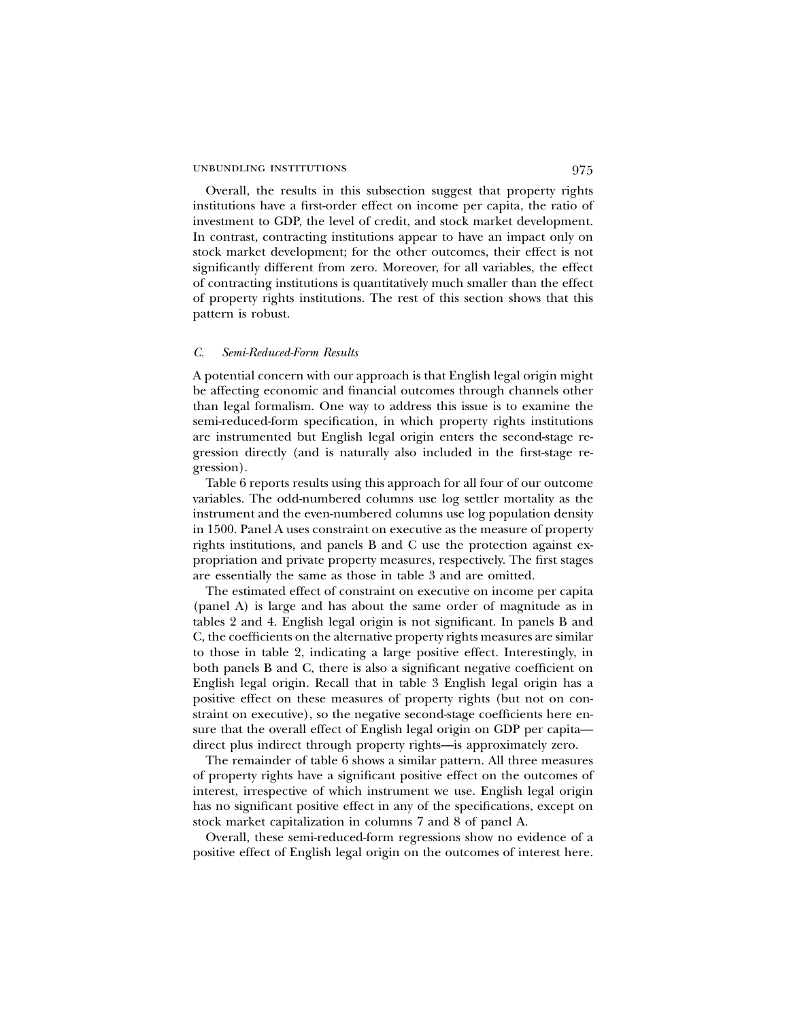Overall, the results in this subsection suggest that property rights institutions have a first-order effect on income per capita, the ratio of investment to GDP, the level of credit, and stock market development. In contrast, contracting institutions appear to have an impact only on stock market development; for the other outcomes, their effect is not significantly different from zero. Moreover, for all variables, the effect of contracting institutions is quantitatively much smaller than the effect of property rights institutions. The rest of this section shows that this pattern is robust.

## *C. Semi-Reduced-Form Results*

A potential concern with our approach is that English legal origin might be affecting economic and financial outcomes through channels other than legal formalism. One way to address this issue is to examine the semi-reduced-form specification, in which property rights institutions are instrumented but English legal origin enters the second-stage regression directly (and is naturally also included in the first-stage regression).

Table 6 reports results using this approach for all four of our outcome variables. The odd-numbered columns use log settler mortality as the instrument and the even-numbered columns use log population density in 1500. Panel A uses constraint on executive as the measure of property rights institutions, and panels B and C use the protection against expropriation and private property measures, respectively. The first stages are essentially the same as those in table 3 and are omitted.

The estimated effect of constraint on executive on income per capita (panel A) is large and has about the same order of magnitude as in tables 2 and 4. English legal origin is not significant. In panels B and C, the coefficients on the alternative property rights measures are similar to those in table 2, indicating a large positive effect. Interestingly, in both panels B and C, there is also a significant negative coefficient on English legal origin. Recall that in table 3 English legal origin has a positive effect on these measures of property rights (but not on constraint on executive), so the negative second-stage coefficients here ensure that the overall effect of English legal origin on GDP per capita direct plus indirect through property rights—is approximately zero.

The remainder of table 6 shows a similar pattern. All three measures of property rights have a significant positive effect on the outcomes of interest, irrespective of which instrument we use. English legal origin has no significant positive effect in any of the specifications, except on stock market capitalization in columns 7 and 8 of panel A.

Overall, these semi-reduced-form regressions show no evidence of a positive effect of English legal origin on the outcomes of interest here.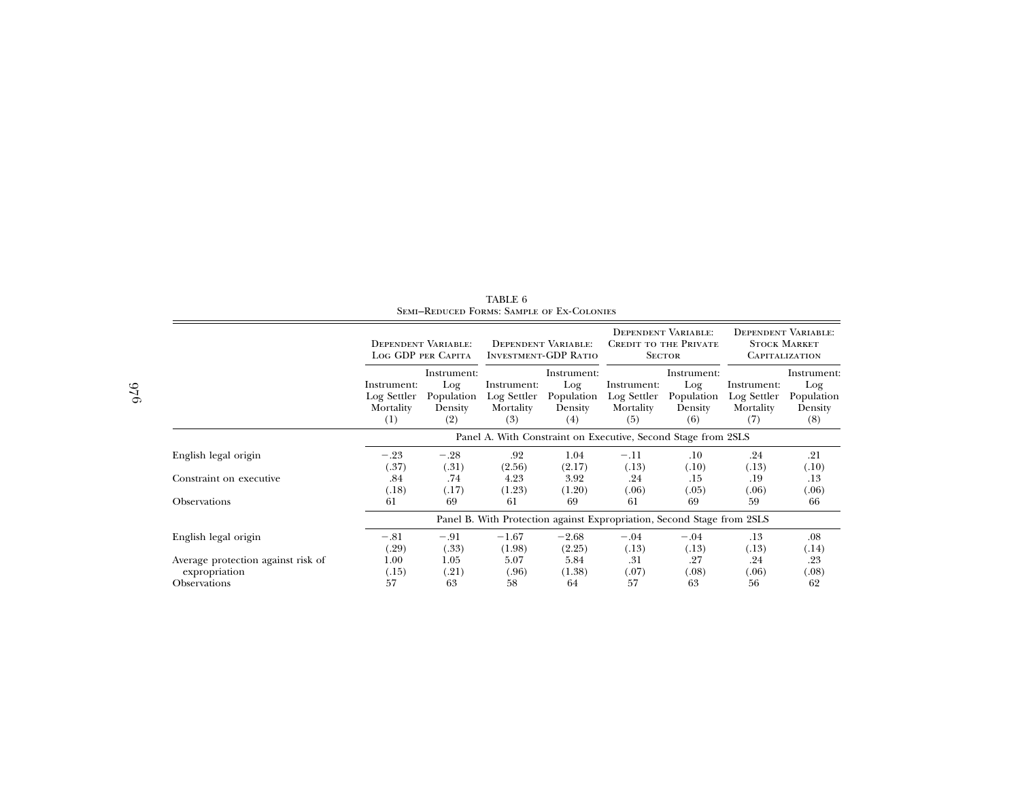|                                                     |                                                               | <b>DEPENDENT VARIABLE:</b><br>LOG GDP PER CAPITA   |                                                                        | <b>DEPENDENT VARIABLE:</b><br><b>INVESTMENT-GDP RATIO</b> |                                                | <b>DEPENDENT VARIABLE:</b><br><b>CREDIT TO THE PRIVATE</b><br><b>SECTOR</b> |                                                | <b>DEPENDENT VARIABLE:</b><br><b>STOCK MARKET</b><br><b>CAPITALIZATION</b> |  |
|-----------------------------------------------------|---------------------------------------------------------------|----------------------------------------------------|------------------------------------------------------------------------|-----------------------------------------------------------|------------------------------------------------|-----------------------------------------------------------------------------|------------------------------------------------|----------------------------------------------------------------------------|--|
|                                                     | Instrument:<br>Log Settler<br>Mortality<br>(1)                | Instrument:<br>Log<br>Population<br>Density<br>(2) | Instrument:<br>Log Settler<br>Mortality<br>(3)                         | Instrument:<br>Log<br>Population<br>Density<br>(4)        | Instrument:<br>Log Settler<br>Mortality<br>(5) | Instrument:<br>Log<br>Population<br>Density<br>(6)                          | Instrument:<br>Log Settler<br>Mortality<br>(7) | Instrument:<br>Log<br>Population<br>Density<br>(8)                         |  |
|                                                     | Panel A. With Constraint on Executive, Second Stage from 2SLS |                                                    |                                                                        |                                                           |                                                |                                                                             |                                                |                                                                            |  |
| English legal origin                                | $-.23$<br>(.37)                                               | $-.28$<br>(.31)                                    | .92<br>(2.56)                                                          | 1.04<br>(2.17)                                            | $-.11$<br>(.13)                                | $.10\,$<br>(.10)                                                            | .24<br>(.13)                                   | .21<br>(.10)                                                               |  |
| Constraint on executive                             | .84<br>(.18)                                                  | .74<br>(.17)                                       | 4.23<br>(1.23)                                                         | 3.92<br>(1.20)                                            | .24<br>(.06)                                   | .15<br>(.05)                                                                | .19<br>(.06)                                   | .13<br>(.06)                                                               |  |
| <b>Observations</b>                                 | 61                                                            | 69                                                 | 61                                                                     | 69                                                        | 61                                             | 69                                                                          | 59                                             | 66                                                                         |  |
|                                                     |                                                               |                                                    | Panel B. With Protection against Expropriation, Second Stage from 2SLS |                                                           |                                                |                                                                             |                                                |                                                                            |  |
| English legal origin                                | $-.81$<br>(.29)                                               | $-.91$<br>(.33)                                    | $-1.67$<br>(1.98)                                                      | $-2.68$<br>(2.25)                                         | $-.04$<br>(.13)                                | $-.04$<br>(.13)                                                             | .13<br>(.13)                                   | $.08\,$<br>(.14)                                                           |  |
| Average protection against risk of<br>expropriation | $1.00\,$<br>(.15)                                             | 1.05<br>(.21)                                      | 5.07<br>(.96)                                                          | 5.84<br>(1.38)                                            | .31<br>(.07)                                   | .27<br>(.08)                                                                | .24<br>(0.06)                                  | .23<br>(.08)                                                               |  |
| Observations                                        | 57                                                            | 63                                                 | 58                                                                     | 64                                                        | 57                                             | 63                                                                          | 56                                             | 62                                                                         |  |

TABLE 6 Semi–Reduced Forms: Sample of Ex-Colonies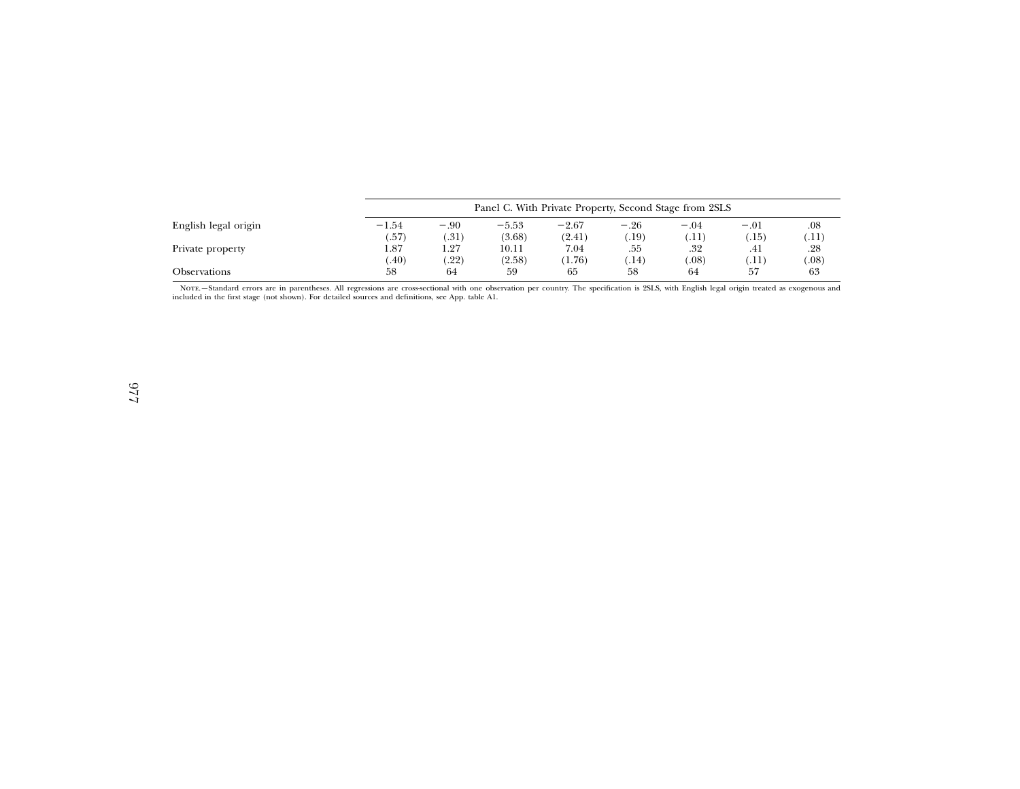|                      |         |        | Panel C. With Private Property, Second Stage from 2SLS |         |                     |        |        |        |  |  |  |  |  |
|----------------------|---------|--------|--------------------------------------------------------|---------|---------------------|--------|--------|--------|--|--|--|--|--|
| English legal origin | $-1.54$ | $-.90$ | $-5.53$                                                | $-2.67$ | $-.26$              | $-.04$ | $-.01$ | .08    |  |  |  |  |  |
|                      | .57)    | (31)   | (3.68)                                                 | (2.41)  | $\left( .19\right)$ | (11)   | .15)   | (.11)  |  |  |  |  |  |
| Private property     | 1.87    | 1.27   | 10.11                                                  | 7.04    | .55                 | .32    | .41    | .28    |  |  |  |  |  |
|                      | (.40)   | .22)   | (2.58)                                                 | (1.76)  | (14)                | (0.08) | (.11)  | (0.08) |  |  |  |  |  |
| Observations         | 58      | 64     | 59                                                     | 65      | 58                  | 64     | 57     | 63     |  |  |  |  |  |

Norr.—Standard errors are in parentheses. All regressions are cross-sectional with one observation per country. The specification is 2SLS, with English legal origin treated as exogenous and included in the first stage (not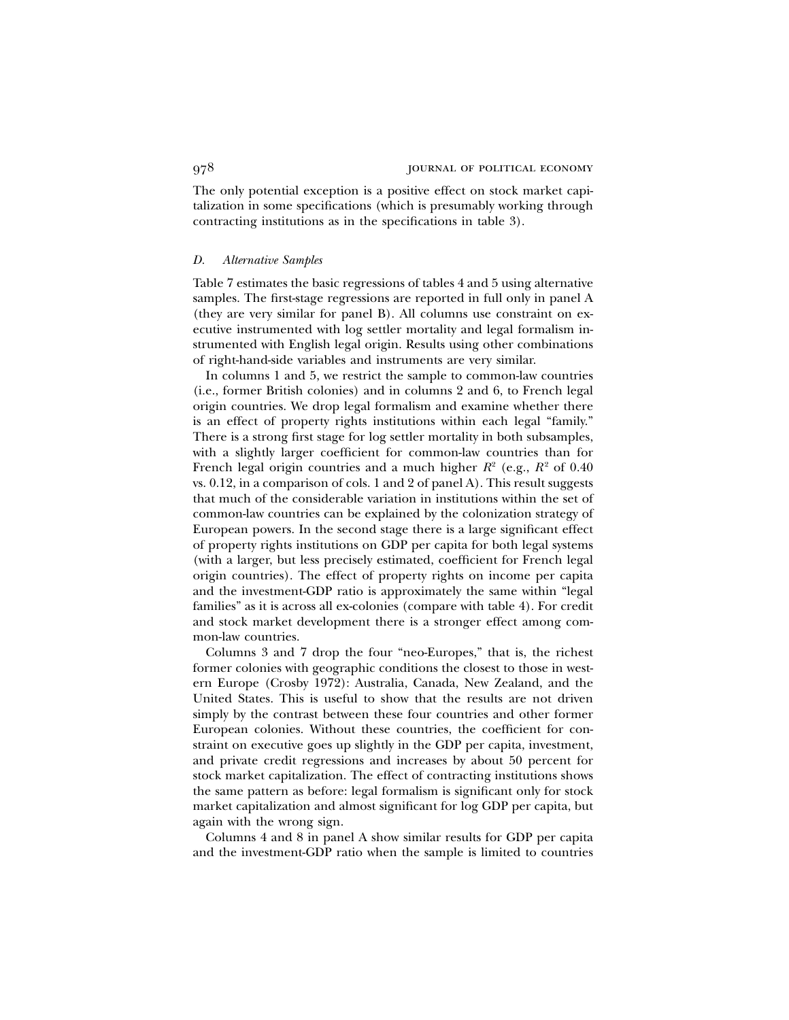The only potential exception is a positive effect on stock market capitalization in some specifications (which is presumably working through contracting institutions as in the specifications in table 3).

## *D. Alternative Samples*

Table 7 estimates the basic regressions of tables 4 and 5 using alternative samples. The first-stage regressions are reported in full only in panel A (they are very similar for panel B). All columns use constraint on executive instrumented with log settler mortality and legal formalism instrumented with English legal origin. Results using other combinations of right-hand-side variables and instruments are very similar.

In columns 1 and 5, we restrict the sample to common-law countries (i.e., former British colonies) and in columns 2 and 6, to French legal origin countries. We drop legal formalism and examine whether there is an effect of property rights institutions within each legal "family." There is a strong first stage for log settler mortality in both subsamples, with a slightly larger coefficient for common-law countries than for French legal origin countries and a much higher  $R^2$  (e.g.,  $R^2$  of 0.40 vs. 0.12, in a comparison of cols. 1 and 2 of panel A). This result suggests that much of the considerable variation in institutions within the set of common-law countries can be explained by the colonization strategy of European powers. In the second stage there is a large significant effect of property rights institutions on GDP per capita for both legal systems (with a larger, but less precisely estimated, coefficient for French legal origin countries). The effect of property rights on income per capita and the investment-GDP ratio is approximately the same within "legal families" as it is across all ex-colonies (compare with table 4). For credit and stock market development there is a stronger effect among common-law countries.

Columns 3 and 7 drop the four "neo-Europes," that is, the richest former colonies with geographic conditions the closest to those in western Europe (Crosby 1972): Australia, Canada, New Zealand, and the United States. This is useful to show that the results are not driven simply by the contrast between these four countries and other former European colonies. Without these countries, the coefficient for constraint on executive goes up slightly in the GDP per capita, investment, and private credit regressions and increases by about 50 percent for stock market capitalization. The effect of contracting institutions shows the same pattern as before: legal formalism is significant only for stock market capitalization and almost significant for log GDP per capita, but again with the wrong sign.

Columns 4 and 8 in panel A show similar results for GDP per capita and the investment-GDP ratio when the sample is limited to countries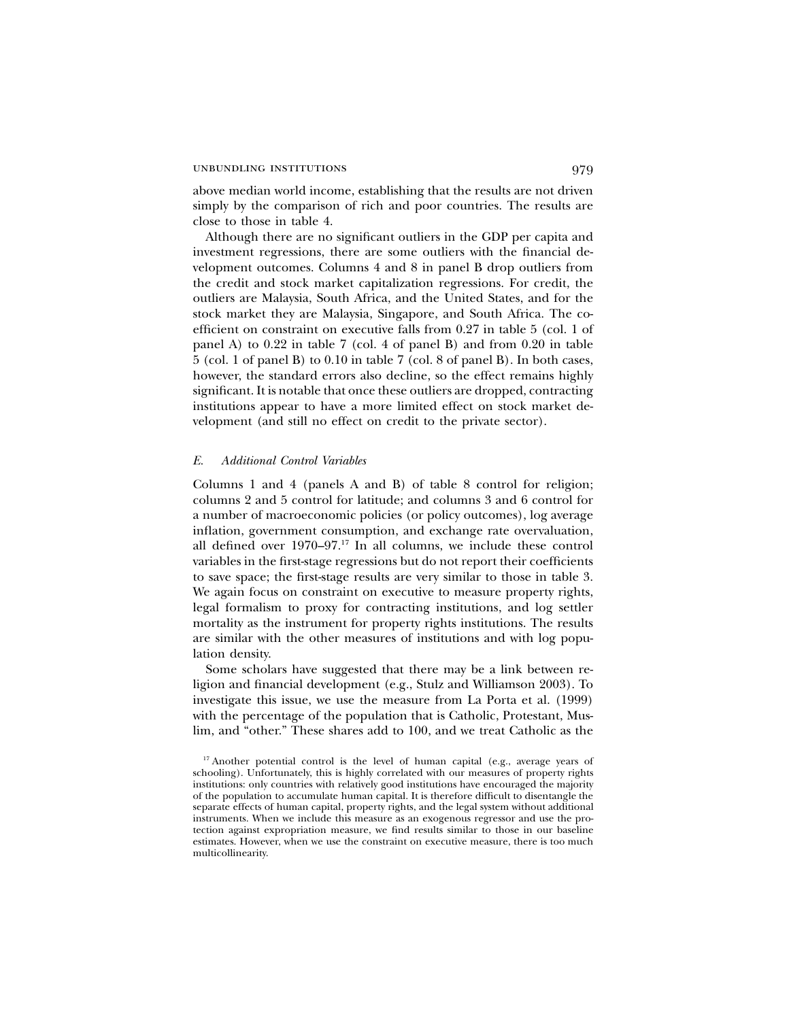above median world income, establishing that the results are not driven simply by the comparison of rich and poor countries. The results are close to those in table 4.

Although there are no significant outliers in the GDP per capita and investment regressions, there are some outliers with the financial development outcomes. Columns 4 and 8 in panel B drop outliers from the credit and stock market capitalization regressions. For credit, the outliers are Malaysia, South Africa, and the United States, and for the stock market they are Malaysia, Singapore, and South Africa. The coefficient on constraint on executive falls from 0.27 in table 5 (col. 1 of panel A) to 0.22 in table 7 (col. 4 of panel B) and from 0.20 in table 5 (col. 1 of panel B) to 0.10 in table 7 (col. 8 of panel B). In both cases, however, the standard errors also decline, so the effect remains highly significant. It is notable that once these outliers are dropped, contracting institutions appear to have a more limited effect on stock market development (and still no effect on credit to the private sector).

### *E. Additional Control Variables*

Columns 1 and 4 (panels A and B) of table 8 control for religion; columns 2 and 5 control for latitude; and columns 3 and 6 control for a number of macroeconomic policies (or policy outcomes), log average inflation, government consumption, and exchange rate overvaluation, all defined over 1970–97.<sup>17</sup> In all columns, we include these control variables in the first-stage regressions but do not report their coefficients to save space; the first-stage results are very similar to those in table 3. We again focus on constraint on executive to measure property rights, legal formalism to proxy for contracting institutions, and log settler mortality as the instrument for property rights institutions. The results are similar with the other measures of institutions and with log population density.

Some scholars have suggested that there may be a link between religion and financial development (e.g., Stulz and Williamson 2003). To investigate this issue, we use the measure from La Porta et al. (1999) with the percentage of the population that is Catholic, Protestant, Muslim, and "other." These shares add to 100, and we treat Catholic as the

<sup>&</sup>lt;sup>17</sup> Another potential control is the level of human capital (e.g., average years of schooling). Unfortunately, this is highly correlated with our measures of property rights institutions: only countries with relatively good institutions have encouraged the majority of the population to accumulate human capital. It is therefore difficult to disentangle the separate effects of human capital, property rights, and the legal system without additional instruments. When we include this measure as an exogenous regressor and use the protection against expropriation measure, we find results similar to those in our baseline estimates. However, when we use the constraint on executive measure, there is too much multicollinearity.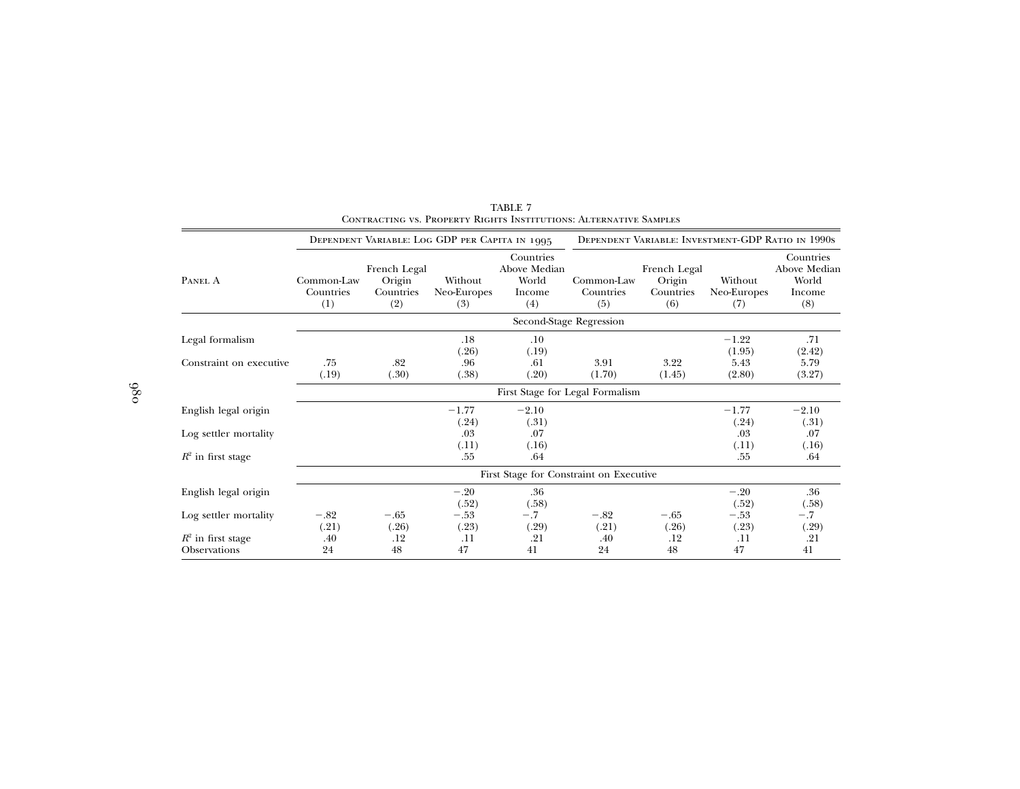|                                             |                                |                                            | DEPENDENT VARIABLE: LOG GDP PER CAPITA IN 1995 |                                                     | DEPENDENT VARIABLE: INVESTMENT-GDP RATIO IN 1990s |                                            |                               |                                                     |  |  |  |
|---------------------------------------------|--------------------------------|--------------------------------------------|------------------------------------------------|-----------------------------------------------------|---------------------------------------------------|--------------------------------------------|-------------------------------|-----------------------------------------------------|--|--|--|
| PANEL A                                     | Common-Law<br>Countries<br>(1) | French Legal<br>Origin<br>Countries<br>(2) | Without<br>Neo-Europes<br>(3)                  | Countries<br>Above Median<br>World<br>Income<br>(4) | Common-Law<br>Countries<br>(5)                    | French Legal<br>Origin<br>Countries<br>(6) | Without<br>Neo-Europes<br>(7) | Countries<br>Above Median<br>World<br>Income<br>(8) |  |  |  |
|                                             | Second-Stage Regression        |                                            |                                                |                                                     |                                                   |                                            |                               |                                                     |  |  |  |
| Legal formalism                             |                                |                                            | .18<br>(.26)                                   | .10<br>(.19)                                        |                                                   |                                            | $-1.22$<br>(1.95)             | .71<br>(2.42)                                       |  |  |  |
| Constraint on executive                     | .75<br>(.19)                   | .82<br>(.30)                               | .96<br>(.38)                                   | .61<br>(.20)                                        | 3.91<br>(1.70)                                    | 3.22<br>(1.45)                             | 5.43<br>(2.80)                | 5.79<br>(3.27)                                      |  |  |  |
|                                             |                                | First Stage for Legal Formalism            |                                                |                                                     |                                                   |                                            |                               |                                                     |  |  |  |
| English legal origin                        |                                |                                            | $-1.77$<br>(.24)                               | $-2.10$<br>(.31)                                    |                                                   |                                            | $-1.77$<br>(.24)              | $-2.10$<br>(.31)                                    |  |  |  |
| Log settler mortality                       |                                |                                            | .03<br>(.11)                                   | .07<br>(.16)                                        |                                                   |                                            | .03<br>(.11)                  | .07<br>(.16)                                        |  |  |  |
| $R^2$ in first stage                        |                                |                                            | .55                                            | .64                                                 |                                                   |                                            | .55                           | .64                                                 |  |  |  |
|                                             |                                |                                            |                                                |                                                     | First Stage for Constraint on Executive           |                                            |                               |                                                     |  |  |  |
| English legal origin                        |                                |                                            | $-.20$<br>(.52)                                | .36<br>(.58)                                        |                                                   |                                            | $-.20$<br>(.52)               | .36<br>(.58)                                        |  |  |  |
| Log settler mortality                       | $-.82$<br>(.21)                | $-.65$<br>(.26)                            | $-.53$<br>(.23)                                | $-.7$<br>(.29)                                      | $-.82$<br>(.21)                                   | $-.65$<br>(.26)                            | $-.53$<br>(.23)               | $-.7$<br>(.29)                                      |  |  |  |
| $R^2$ in first stage<br><b>Observations</b> | .40<br>24                      | .12<br>48                                  | .11<br>47                                      | .21<br>41                                           | .40<br>24                                         | .12<br>48                                  | .11<br>47                     | .21<br>41                                           |  |  |  |

TABLE 7 Contracting vs. Property Rights Institutions: Alternative Samples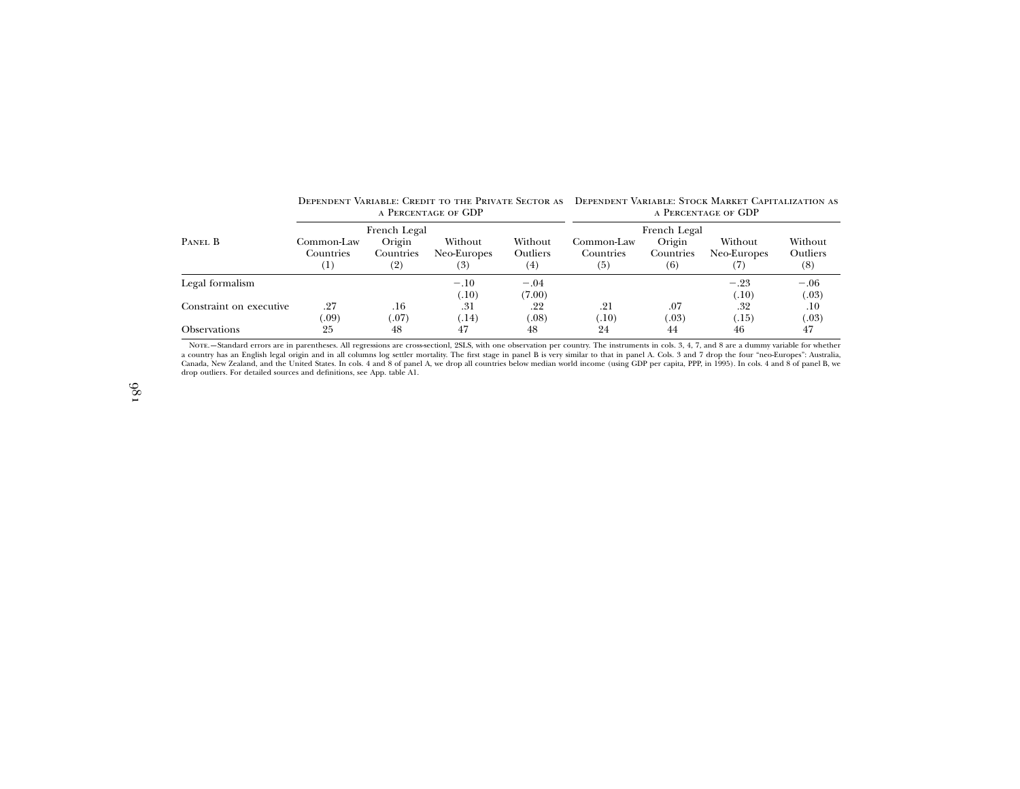|                         |                                             |                            | A FERCENTAGE OF GDF           |                            | A FERCENTAGE OF GDF            |                            |                        |                            |  |  |
|-------------------------|---------------------------------------------|----------------------------|-------------------------------|----------------------------|--------------------------------|----------------------------|------------------------|----------------------------|--|--|
|                         | French Legal                                |                            |                               |                            | French Legal                   |                            |                        |                            |  |  |
| PANEL B                 | Common-Law<br>Countries<br>$\left(1\right)$ | Origin<br>Countries<br>(2) | Without<br>Neo-Europes<br>(3) | Without<br>Outliers<br>(4) | Common-Law<br>Countries<br>(5) | Origin<br>Countries<br>(6) | Without<br>Neo-Europes | Without<br>Outliers<br>(8) |  |  |
| Legal formalism         |                                             |                            | $-.10$<br>(.10)               | $-.04$<br>(7.00)           |                                |                            | $-.23$<br>.10)         | $-.06$<br>(0.03)           |  |  |
| Constraint on executive | .27<br>(0.09)                               | .16<br>(07)                | .31<br>(.14)                  | .22<br>(0.08)              | .21<br>(.10)                   | .07<br>(.03)               | .32<br>(15)            | $.10\,$<br>(0.03)          |  |  |
| <b>Observations</b>     | 25                                          | 48                         | 47                            | 48                         | 24                             | 44                         | 46                     | 47                         |  |  |

Dependent Variable: Credit to the Private Sector as Dependent Variable: Stock Market Capitalization as PERCENTAGE OF CDP PERCENTAGE OF CDP

Nore.—Standard errors are in parentheses. All regressions are cross-sectionl, 2SLS, with one observation per country. The instruments in cols. 3, 4, 7, and 8 are a dummy variable for whether<br>a country has an English legal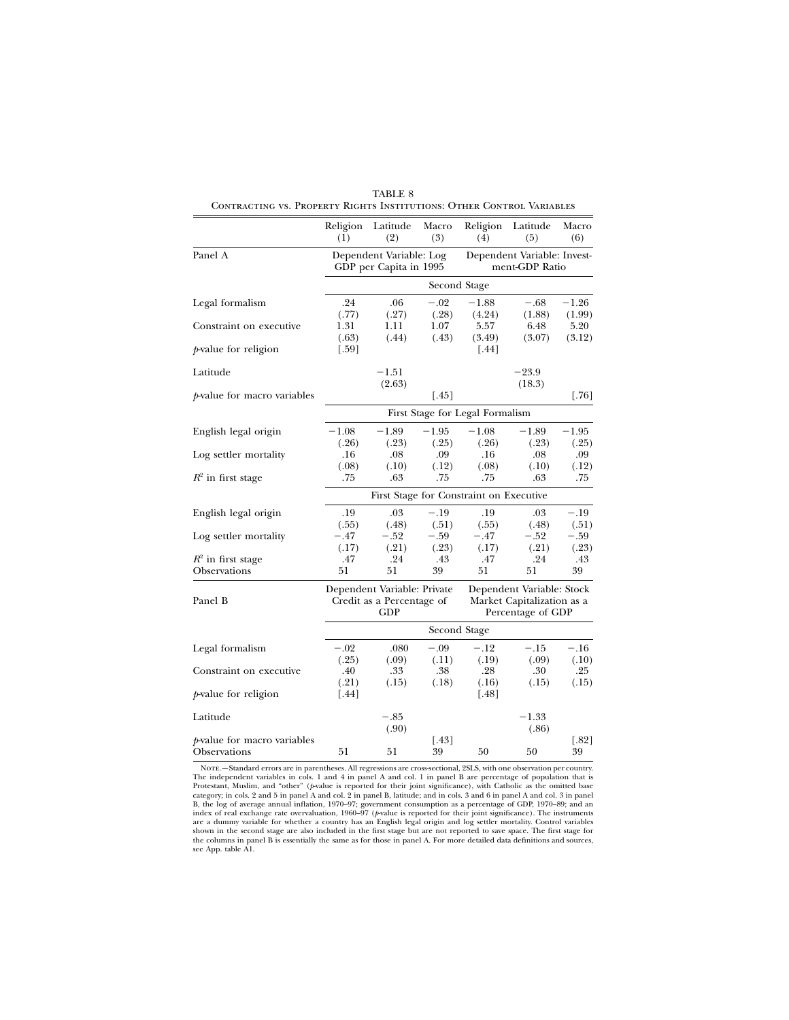|                                                | Religion<br>(1)                 | Latitude<br>(2)                                                 | Macro<br>(3)     | Religion<br>(4)                         | Latitude<br>(5)                                                              | Macro<br>(6)       |  |  |
|------------------------------------------------|---------------------------------|-----------------------------------------------------------------|------------------|-----------------------------------------|------------------------------------------------------------------------------|--------------------|--|--|
| Panel A                                        |                                 | Dependent Variable: Log<br>GDP per Capita in 1995               |                  |                                         | Dependent Variable: Invest-<br>ment-GDP Ratio                                |                    |  |  |
|                                                |                                 |                                                                 |                  | Second Stage                            |                                                                              |                    |  |  |
| Legal formalism                                | .24<br>(.77)                    | .06<br>(.27)                                                    | $-.02$<br>(.28)  | $-1.88$<br>(4.24)                       | $-.68$<br>(1.88)                                                             | $-1.26$<br>(1.99)  |  |  |
| Constraint on executive                        | 1.31<br>(.63)                   | 1.11<br>(.44)                                                   | 1.07<br>(.43)    | 5.57<br>(3.49)                          | 6.48<br>(3.07)                                                               | 5.20<br>(3.12)     |  |  |
| $p$ -value for religion                        | $[.59]$                         |                                                                 |                  | $[.44]$                                 |                                                                              |                    |  |  |
| Latitude                                       |                                 | $-1.51$<br>(2.63)                                               |                  |                                         | $-23.9$<br>(18.3)                                                            |                    |  |  |
| $p$ -value for macro variables                 |                                 |                                                                 | $[.45]$          |                                         |                                                                              | $[.76]$            |  |  |
|                                                | First Stage for Legal Formalism |                                                                 |                  |                                         |                                                                              |                    |  |  |
| English legal origin                           | $^{-1.08}$<br>(.26)             | $-1.89$<br>(.23)                                                | $-1.95$<br>(.25) | $-1.08$<br>(.26)                        | $-1.89$<br>(.23)                                                             | $-1.95\,$<br>(.25) |  |  |
| Log settler mortality                          | .16<br>(.08)                    | .08<br>(.10)                                                    | .09<br>(.12)     | .16<br>(.08)                            | .08<br>(.10)                                                                 | .09<br>(.12)       |  |  |
| $R^2$ in first stage                           | .75                             | .63                                                             | .75              | .75                                     | .63                                                                          | .75                |  |  |
|                                                |                                 |                                                                 |                  | First Stage for Constraint on Executive |                                                                              |                    |  |  |
| English legal origin                           | .19<br>(.55)                    | .03<br>(.48)                                                    | $-.19$<br>(.51)  | .19<br>(.55)                            | .03<br>(.48)                                                                 | $-.19$<br>(.51)    |  |  |
| Log settler mortality                          | $-.47$<br>(.17)                 | $-.52$<br>(.21)                                                 | $-.59$<br>(.23)  | $-.47$<br>(.17)                         | $-.52$<br>(.21)                                                              | $-.59$<br>(.23)    |  |  |
| $R^2$ in first stage                           | .47                             | .24                                                             | .43              | .47                                     | .24                                                                          | .43                |  |  |
| Observations                                   | 51                              | 51                                                              | 39               | 51                                      | 51                                                                           | 39                 |  |  |
| Panel B                                        |                                 | Dependent Variable: Private<br>Credit as a Percentage of<br>GDP |                  |                                         | Dependent Variable: Stock<br>Market Capitalization as a<br>Percentage of GDP |                    |  |  |
|                                                |                                 |                                                                 |                  | Second Stage                            |                                                                              |                    |  |  |
| Legal formalism                                | $-.02$<br>(.25)                 | .080<br>(.09)                                                   | $-.09$<br>(.11)  | $-.12$<br>(.19)                         | $-.15$<br>(.09)                                                              | $-.16$<br>(.10)    |  |  |
| Constraint on executive                        | .40<br>(.21)                    | .33<br>(.15)                                                    | .38<br>(.18)     | .28<br>(.16)                            | .30<br>(.15)                                                                 | .25<br>(.15)       |  |  |
| $p$ -value for religion                        | $[.44]$                         |                                                                 |                  | $[.48]$                                 |                                                                              |                    |  |  |
| Latitude                                       |                                 | $-.85$<br>(.90)                                                 |                  |                                         | $-1.33$<br>(.86)                                                             |                    |  |  |
| $p$ -value for macro variables<br>Observations | 51                              | 51                                                              | [.43]<br>39      | 50                                      | 50                                                                           | [.82]<br>39        |  |  |

TABLE 8 Contracting vs. Property Rights Institutions: Other Control Variables

Nore.—Standard errors are in parentheses. All regressions are cross-sectional, 2SLS, with one observation per country. The independent variables in cols. 1 and 4 in panel A and coll. 1 in panel B are percentage of populat are a dummy variable for whether a country has an English legal origin and log settler mortality. Control variables<br>shown in the second stage are also included in the first stage but are not reported to save space. The fir see App. table A1.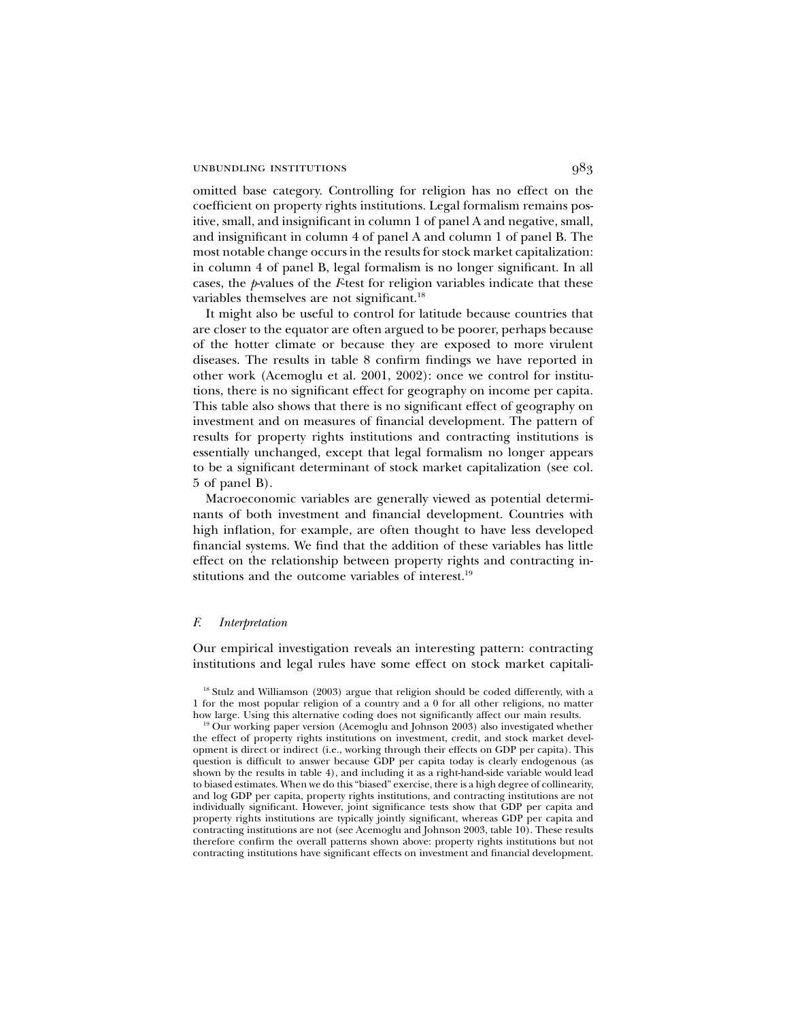omitted base category. Controlling for religion has no effect on the coefficient on property rights institutions. Legal formalism remains positive, small, and insignificant in column 1 of panel A and negative, small, and insignificant in column 4 of panel A and column 1 of panel B. The most notable change occurs in the results for stock market capitalization: in column 4 of panel B, legal formalism is no longer significant. In all cases, the *p*-values of the *F*-test for religion variables indicate that these variables themselves are not significant.<sup>18</sup>

It might also be useful to control for latitude because countries that are closer to the equator are often argued to be poorer, perhaps because of the hotter climate or because they are exposed to more virulent diseases. The results in table 8 confirm findings we have reported in other work (Acemoglu et al. 2001, 2002): once we control for institutions, there is no significant effect for geography on income per capita. This table also shows that there is no significant effect of geography on investment and on measures of financial development. The pattern of results for property rights institutions and contracting institutions is essentially unchanged, except that legal formalism no longer appears to be a significant determinant of stock market capitalization (see col. 5 of panel B).

Macroeconomic variables are generally viewed as potential determinants of both investment and financial development. Countries with high inflation, for example, are often thought to have less developed financial systems. We find that the addition of these variables has little effect on the relationship between property rights and contracting institutions and the outcome variables of interest.<sup>19</sup>

## *F. Interpretation*

Our empirical investigation reveals an interesting pattern: contracting institutions and legal rules have some effect on stock market capitali-

<sup>&</sup>lt;sup>18</sup> Stulz and Williamson (2003) argue that religion should be coded differently, with a 1 for the most popular religion of a country and a 0 for all other religions, no matter how large. Using this alternative coding does not significantly affect our main results.

<sup>&</sup>lt;sup>19</sup> Our working paper version (Acemoglu and Johnson 2003) also investigated whether the effect of property rights institutions on investment, credit, and stock market development is direct or indirect (i.e., working through their effects on GDP per capita). This question is difficult to answer because GDP per capita today is clearly endogenous (as shown by the results in table 4), and including it as a right-hand-side variable would lead to biased estimates. When we do this "biased" exercise, there is a high degree of collinearity, and log GDP per capita, property rights institutions, and contracting institutions are not individually significant. However, joint significance tests show that GDP per capita and property rights institutions are typically jointly significant, whereas GDP per capita and contracting institutions are not (see Acemoglu and Johnson 2003, table 10). These results therefore confirm the overall patterns shown above: property rights institutions but not contracting institutions have significant effects on investment and financial development.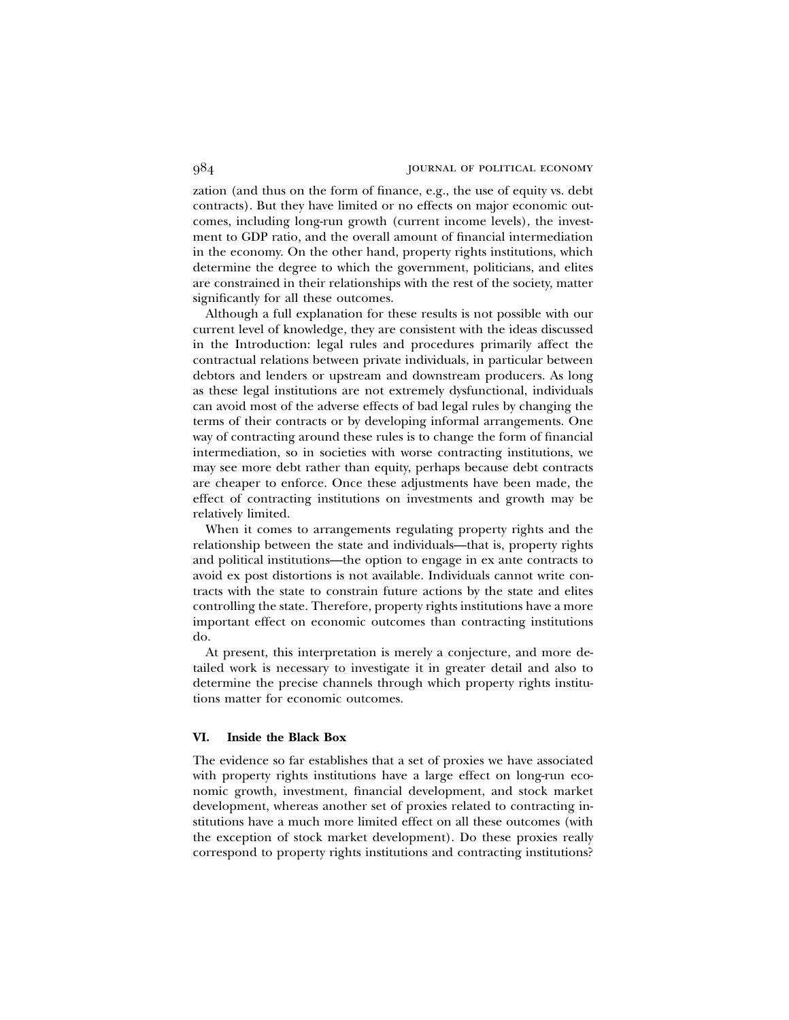zation (and thus on the form of finance, e.g., the use of equity vs. debt contracts). But they have limited or no effects on major economic outcomes, including long-run growth (current income levels), the investment to GDP ratio, and the overall amount of financial intermediation in the economy. On the other hand, property rights institutions, which determine the degree to which the government, politicians, and elites are constrained in their relationships with the rest of the society, matter significantly for all these outcomes.

Although a full explanation for these results is not possible with our current level of knowledge, they are consistent with the ideas discussed in the Introduction: legal rules and procedures primarily affect the contractual relations between private individuals, in particular between debtors and lenders or upstream and downstream producers. As long as these legal institutions are not extremely dysfunctional, individuals can avoid most of the adverse effects of bad legal rules by changing the terms of their contracts or by developing informal arrangements. One way of contracting around these rules is to change the form of financial intermediation, so in societies with worse contracting institutions, we may see more debt rather than equity, perhaps because debt contracts are cheaper to enforce. Once these adjustments have been made, the effect of contracting institutions on investments and growth may be relatively limited.

When it comes to arrangements regulating property rights and the relationship between the state and individuals—that is, property rights and political institutions—the option to engage in ex ante contracts to avoid ex post distortions is not available. Individuals cannot write contracts with the state to constrain future actions by the state and elites controlling the state. Therefore, property rights institutions have a more important effect on economic outcomes than contracting institutions do.

At present, this interpretation is merely a conjecture, and more detailed work is necessary to investigate it in greater detail and also to determine the precise channels through which property rights institutions matter for economic outcomes.

## **VI. Inside the Black Box**

The evidence so far establishes that a set of proxies we have associated with property rights institutions have a large effect on long-run economic growth, investment, financial development, and stock market development, whereas another set of proxies related to contracting institutions have a much more limited effect on all these outcomes (with the exception of stock market development). Do these proxies really correspond to property rights institutions and contracting institutions?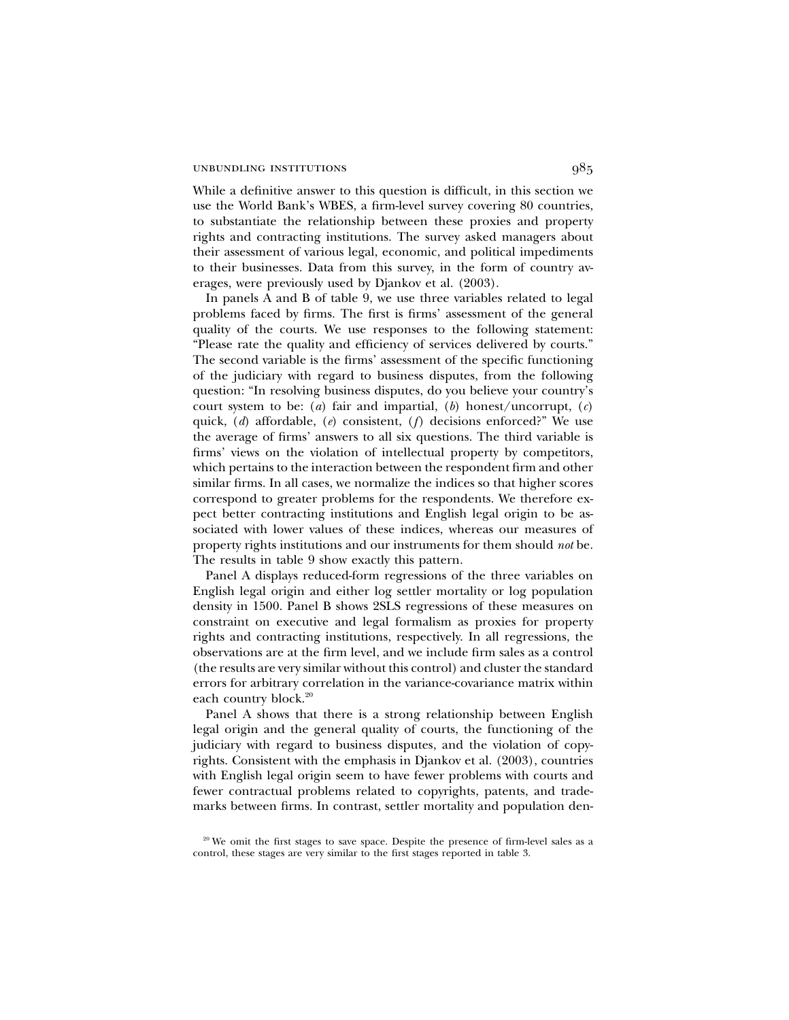### UNBUNDLING INSTITUTIONS  $985$

While a definitive answer to this question is difficult, in this section we use the World Bank's WBES, a firm-level survey covering 80 countries, to substantiate the relationship between these proxies and property rights and contracting institutions. The survey asked managers about their assessment of various legal, economic, and political impediments to their businesses. Data from this survey, in the form of country averages, were previously used by Djankov et al. (2003).

In panels A and B of table 9, we use three variables related to legal problems faced by firms. The first is firms' assessment of the general quality of the courts. We use responses to the following statement: "Please rate the quality and efficiency of services delivered by courts." The second variable is the firms' assessment of the specific functioning of the judiciary with regard to business disputes, from the following question: "In resolving business disputes, do you believe your country's court system to be: (*a*) fair and impartial, (*b*) honest/uncorrupt, (*c*) quick, (*d*) affordable, (*e*) consistent, (*f*) decisions enforced?" We use the average of firms' answers to all six questions. The third variable is firms' views on the violation of intellectual property by competitors, which pertains to the interaction between the respondent firm and other similar firms. In all cases, we normalize the indices so that higher scores correspond to greater problems for the respondents. We therefore expect better contracting institutions and English legal origin to be associated with lower values of these indices, whereas our measures of property rights institutions and our instruments for them should *not* be. The results in table 9 show exactly this pattern.

Panel A displays reduced-form regressions of the three variables on English legal origin and either log settler mortality or log population density in 1500. Panel B shows 2SLS regressions of these measures on constraint on executive and legal formalism as proxies for property rights and contracting institutions, respectively. In all regressions, the observations are at the firm level, and we include firm sales as a control (the results are very similar without this control) and cluster the standard errors for arbitrary correlation in the variance-covariance matrix within each country block.<sup>20</sup>

Panel A shows that there is a strong relationship between English legal origin and the general quality of courts, the functioning of the judiciary with regard to business disputes, and the violation of copyrights. Consistent with the emphasis in Djankov et al. (2003), countries with English legal origin seem to have fewer problems with courts and fewer contractual problems related to copyrights, patents, and trademarks between firms. In contrast, settler mortality and population den-

<sup>&</sup>lt;sup>20</sup> We omit the first stages to save space. Despite the presence of firm-level sales as a control, these stages are very similar to the first stages reported in table 3.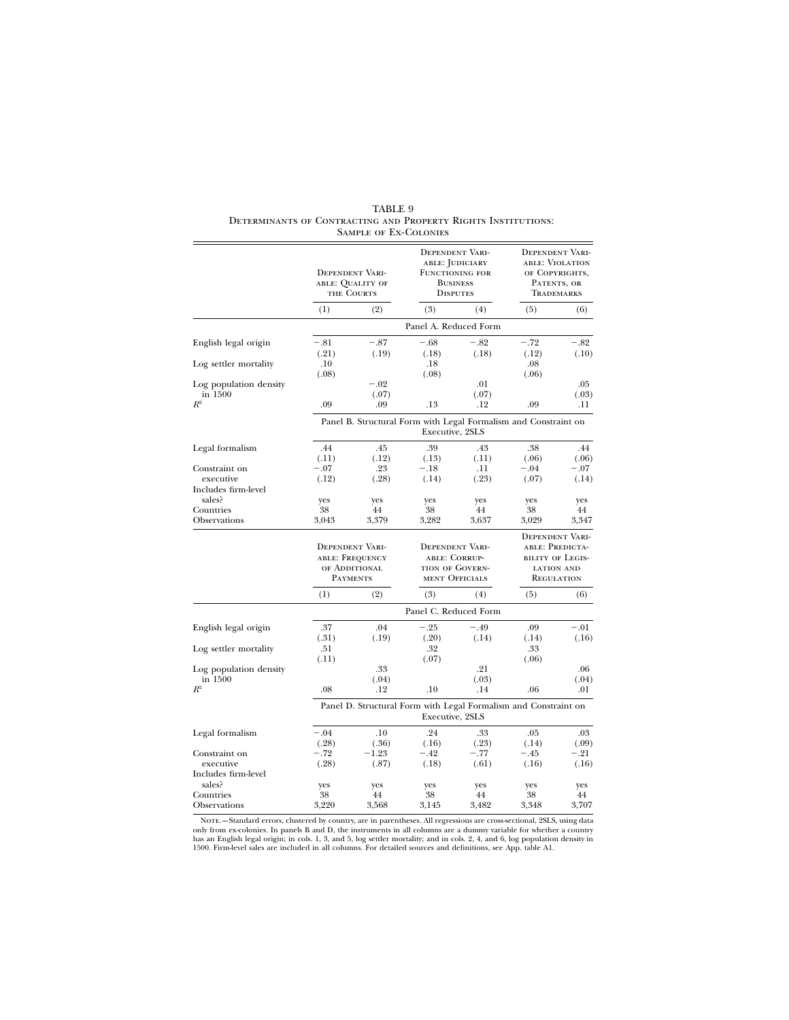|                           |                                                                                      | <b>DEPENDENT VARI-</b><br>ABLE: QUALITY OF<br>THE COURTS        |                       | <b>DEPENDENT VARI-</b><br><b>DEPENDENT VARI-</b><br>ABLE: UDICIARY<br><b>ABLE: VIOLATION</b><br><b>FUNCTIONING FOR</b><br>OF COPYRIGHTS,<br><b>BUSINESS</b><br>PATENTS, OR<br><b>DISPUTES</b><br><b>TRADEMARKS</b> |             |                                                                                                         |
|---------------------------|--------------------------------------------------------------------------------------|-----------------------------------------------------------------|-----------------------|--------------------------------------------------------------------------------------------------------------------------------------------------------------------------------------------------------------------|-------------|---------------------------------------------------------------------------------------------------------|
|                           | (1)                                                                                  | (2)                                                             | (3)                   | (4)                                                                                                                                                                                                                | (5)         | (6)                                                                                                     |
|                           |                                                                                      |                                                                 | Panel A. Reduced Form |                                                                                                                                                                                                                    |             |                                                                                                         |
| English legal origin      | $-.81$                                                                               | $-.87$                                                          | $-.68$                | $-.82$                                                                                                                                                                                                             | $-.72$      | $-.82$                                                                                                  |
|                           | (.21)                                                                                | (.19)                                                           | (.18)                 | (.18)                                                                                                                                                                                                              | (.12)       | (.10)                                                                                                   |
| Log settler mortality     | .10                                                                                  |                                                                 | .18                   |                                                                                                                                                                                                                    | $.08\,$     |                                                                                                         |
|                           | (.08)                                                                                |                                                                 | (.08)                 |                                                                                                                                                                                                                    | (.06)       |                                                                                                         |
| Log population density    |                                                                                      | $-.02$                                                          |                       | .01                                                                                                                                                                                                                |             | .05                                                                                                     |
| in 1500<br>$R^2$          | .09                                                                                  | (.07)<br>.09                                                    | .13                   | (.07)<br>.12                                                                                                                                                                                                       | .09         | (.03)                                                                                                   |
|                           |                                                                                      |                                                                 |                       |                                                                                                                                                                                                                    |             | .11                                                                                                     |
|                           |                                                                                      | Panel B. Structural Form with Legal Formalism and Constraint on | Executive, 2SLS       |                                                                                                                                                                                                                    |             |                                                                                                         |
| Legal formalism           | .44                                                                                  | .45                                                             | .39                   | .43                                                                                                                                                                                                                | .38         | .44                                                                                                     |
|                           | (.11)                                                                                | (.12)                                                           | (.13)                 | (.11)                                                                                                                                                                                                              | (.06)       | (.06)                                                                                                   |
| Constraint on             | $-.07$                                                                               | .23                                                             | $-.18$                | .11                                                                                                                                                                                                                | $-.04$      | $-.07$                                                                                                  |
| executive                 | (.12)                                                                                | (.28)                                                           | (.14)                 | (.23)                                                                                                                                                                                                              | (.07)       | (.14)                                                                                                   |
| Includes firm-level       |                                                                                      |                                                                 |                       |                                                                                                                                                                                                                    |             |                                                                                                         |
| sales?                    | yes                                                                                  | yes                                                             | yes                   | yes                                                                                                                                                                                                                | yes         | yes                                                                                                     |
| Countries<br>Observations | 38<br>3,043                                                                          | 44<br>3,379                                                     | 38<br>3,282           | 44<br>3,637                                                                                                                                                                                                        | 38<br>3,029 | 44<br>3,347                                                                                             |
|                           |                                                                                      |                                                                 |                       |                                                                                                                                                                                                                    |             |                                                                                                         |
|                           | <b>DEPENDENT VARI-</b><br><b>ABLE: FREQUENCY</b><br>OF ADDITIONAL<br><b>PAYMENTS</b> |                                                                 |                       | <b>DEPENDENT VARI-</b><br><b>ABLE: CORRUP-</b><br>TION OF GOVERN-<br>MENT OFFICIALS                                                                                                                                |             | <b>DEPENDENT VARI-</b><br>ABLE: PREDICTA-<br><b>BILITY OF LEGIS-</b><br><b>LATION AND</b><br>REGULATION |
|                           | (1)                                                                                  | (2)                                                             | (3)                   | (4)                                                                                                                                                                                                                | (5)         | (6)                                                                                                     |
|                           |                                                                                      |                                                                 | Panel C. Reduced Form |                                                                                                                                                                                                                    |             |                                                                                                         |
| English legal origin      | .37                                                                                  | .04                                                             | $-.25$                | $-.49$                                                                                                                                                                                                             | .09         | $-.01$                                                                                                  |
|                           | (.31)                                                                                | (.19)                                                           | (.20)                 | (.14)                                                                                                                                                                                                              | (.14)       | (.16)                                                                                                   |
| Log settler mortality     | .51                                                                                  |                                                                 | .32                   |                                                                                                                                                                                                                    | .33         |                                                                                                         |
|                           | (.11)                                                                                |                                                                 | (.07)                 |                                                                                                                                                                                                                    | (.06)       |                                                                                                         |
| Log population density    |                                                                                      | .33                                                             |                       | .21                                                                                                                                                                                                                |             | .06                                                                                                     |
| in 1500<br>$R^2$          | .08                                                                                  | (.04)<br>.12                                                    | .10                   | (.03)<br>.14                                                                                                                                                                                                       | .06         | (.04)<br>.01                                                                                            |
|                           |                                                                                      |                                                                 |                       |                                                                                                                                                                                                                    |             |                                                                                                         |
|                           |                                                                                      | Panel D. Structural Form with Legal Formalism and Constraint on | Executive, 2SLS       |                                                                                                                                                                                                                    |             |                                                                                                         |
| Legal formalism           | $-.04$                                                                               | .10                                                             | .24                   | .33                                                                                                                                                                                                                | .05         | .03                                                                                                     |
|                           | (.28)                                                                                | (.36)                                                           | (.16)                 | (.23)                                                                                                                                                                                                              | (.14)       | (.09)                                                                                                   |
| Constraint on             | $-.72$                                                                               | $-1.23$                                                         | $-.42$                | $-.77$                                                                                                                                                                                                             | $-.45$      | $-.21$                                                                                                  |
| executive                 | (.28)                                                                                | (.87)                                                           | (.18)                 | (.61)                                                                                                                                                                                                              | (.16)       | (.16)                                                                                                   |
| Includes firm-level       |                                                                                      |                                                                 |                       |                                                                                                                                                                                                                    |             |                                                                                                         |
| sales?                    | yes                                                                                  | yes                                                             | yes                   | yes                                                                                                                                                                                                                | yes         | yes                                                                                                     |
| Countries                 | 38                                                                                   | 44                                                              | 38                    | 44                                                                                                                                                                                                                 | 38          | 44                                                                                                      |
| Observations              | 3,220                                                                                | 3,568                                                           | 3,145                 | 3,482                                                                                                                                                                                                              | 3,348       | 3,707                                                                                                   |

TABLE 9 Determinants of Contracting and Property Rights Institutions: Sample of Ex-Colonies

NOTE.—Standard errors, clustered by country, are in parentheses. All regressions are cross-sectional, 2SLS, using data<br>only from ex-colonies. In panels B and D, the instruments in all columns are a dummy variable for wheth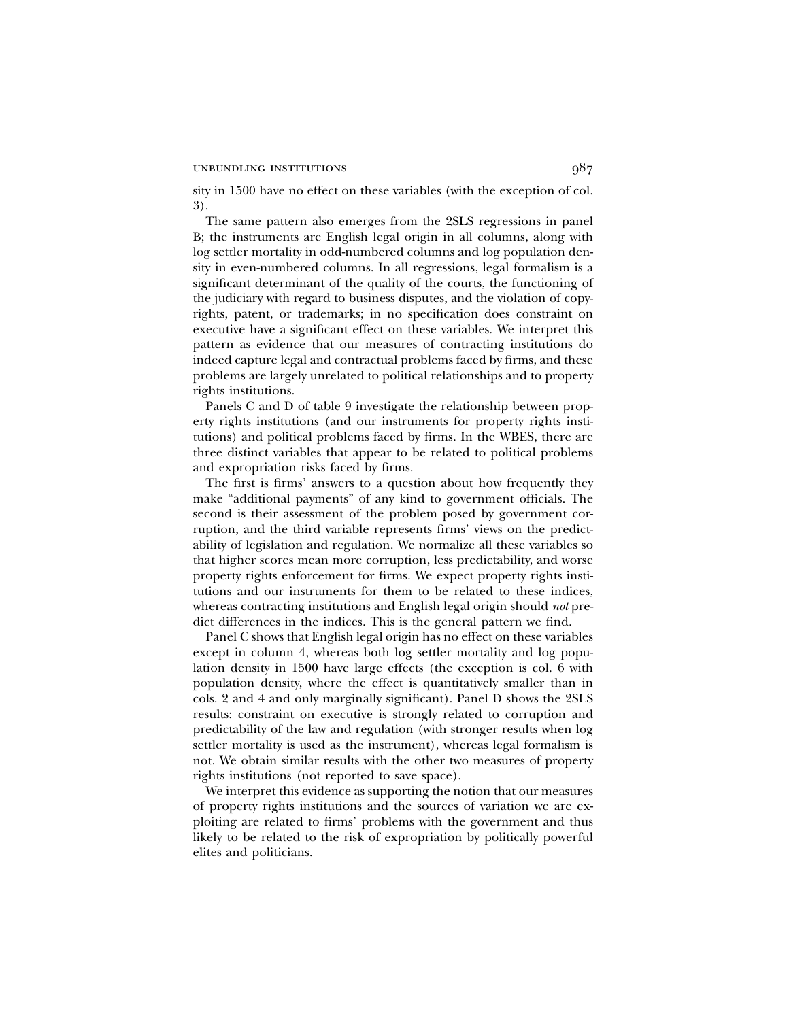## UNBUNDLING INSTITUTIONS  $987$

sity in 1500 have no effect on these variables (with the exception of col. 3).

The same pattern also emerges from the 2SLS regressions in panel B; the instruments are English legal origin in all columns, along with log settler mortality in odd-numbered columns and log population density in even-numbered columns. In all regressions, legal formalism is a significant determinant of the quality of the courts, the functioning of the judiciary with regard to business disputes, and the violation of copyrights, patent, or trademarks; in no specification does constraint on executive have a significant effect on these variables. We interpret this pattern as evidence that our measures of contracting institutions do indeed capture legal and contractual problems faced by firms, and these problems are largely unrelated to political relationships and to property rights institutions.

Panels C and D of table 9 investigate the relationship between property rights institutions (and our instruments for property rights institutions) and political problems faced by firms. In the WBES, there are three distinct variables that appear to be related to political problems and expropriation risks faced by firms.

The first is firms' answers to a question about how frequently they make "additional payments" of any kind to government officials. The second is their assessment of the problem posed by government corruption, and the third variable represents firms' views on the predictability of legislation and regulation. We normalize all these variables so that higher scores mean more corruption, less predictability, and worse property rights enforcement for firms. We expect property rights institutions and our instruments for them to be related to these indices, whereas contracting institutions and English legal origin should *not* predict differences in the indices. This is the general pattern we find.

Panel C shows that English legal origin has no effect on these variables except in column 4, whereas both log settler mortality and log population density in 1500 have large effects (the exception is col. 6 with population density, where the effect is quantitatively smaller than in cols. 2 and 4 and only marginally significant). Panel D shows the 2SLS results: constraint on executive is strongly related to corruption and predictability of the law and regulation (with stronger results when log settler mortality is used as the instrument), whereas legal formalism is not. We obtain similar results with the other two measures of property rights institutions (not reported to save space).

We interpret this evidence as supporting the notion that our measures of property rights institutions and the sources of variation we are exploiting are related to firms' problems with the government and thus likely to be related to the risk of expropriation by politically powerful elites and politicians.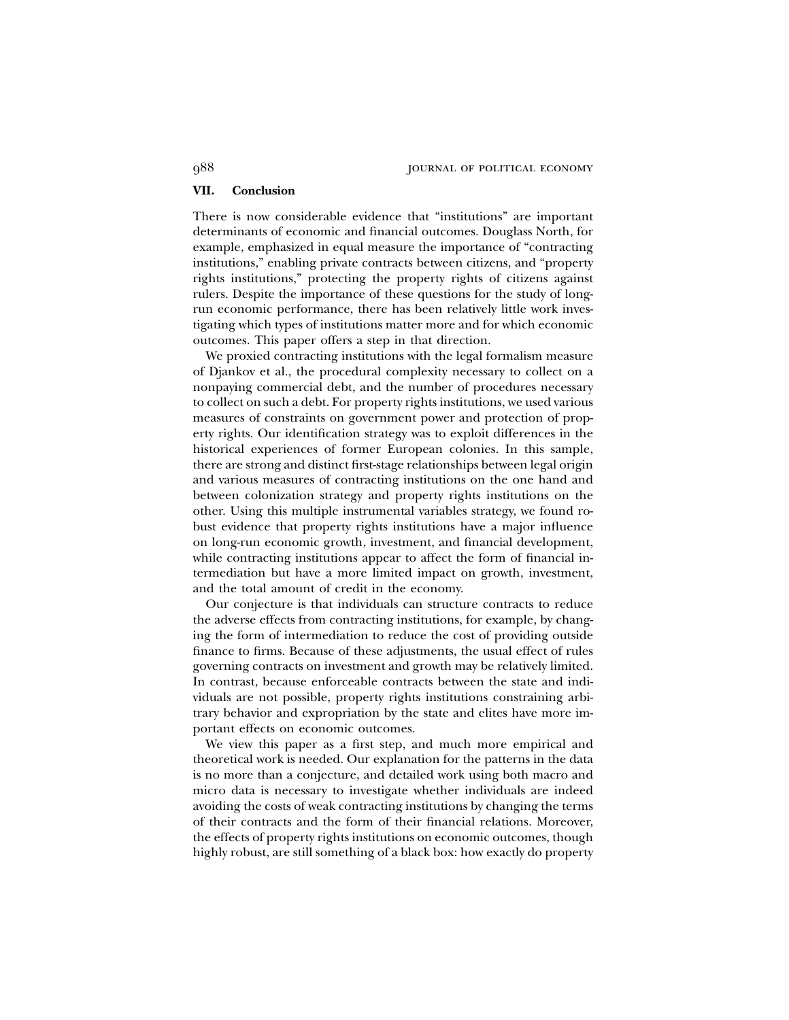## **VII. Conclusion**

There is now considerable evidence that "institutions" are important determinants of economic and financial outcomes. Douglass North, for example, emphasized in equal measure the importance of "contracting institutions," enabling private contracts between citizens, and "property rights institutions," protecting the property rights of citizens against rulers. Despite the importance of these questions for the study of longrun economic performance, there has been relatively little work investigating which types of institutions matter more and for which economic outcomes. This paper offers a step in that direction.

We proxied contracting institutions with the legal formalism measure of Djankov et al., the procedural complexity necessary to collect on a nonpaying commercial debt, and the number of procedures necessary to collect on such a debt. For property rights institutions, we used various measures of constraints on government power and protection of property rights. Our identification strategy was to exploit differences in the historical experiences of former European colonies. In this sample, there are strong and distinct first-stage relationships between legal origin and various measures of contracting institutions on the one hand and between colonization strategy and property rights institutions on the other. Using this multiple instrumental variables strategy, we found robust evidence that property rights institutions have a major influence on long-run economic growth, investment, and financial development, while contracting institutions appear to affect the form of financial intermediation but have a more limited impact on growth, investment, and the total amount of credit in the economy.

Our conjecture is that individuals can structure contracts to reduce the adverse effects from contracting institutions, for example, by changing the form of intermediation to reduce the cost of providing outside finance to firms. Because of these adjustments, the usual effect of rules governing contracts on investment and growth may be relatively limited. In contrast, because enforceable contracts between the state and individuals are not possible, property rights institutions constraining arbitrary behavior and expropriation by the state and elites have more important effects on economic outcomes.

We view this paper as a first step, and much more empirical and theoretical work is needed. Our explanation for the patterns in the data is no more than a conjecture, and detailed work using both macro and micro data is necessary to investigate whether individuals are indeed avoiding the costs of weak contracting institutions by changing the terms of their contracts and the form of their financial relations. Moreover, the effects of property rights institutions on economic outcomes, though highly robust, are still something of a black box: how exactly do property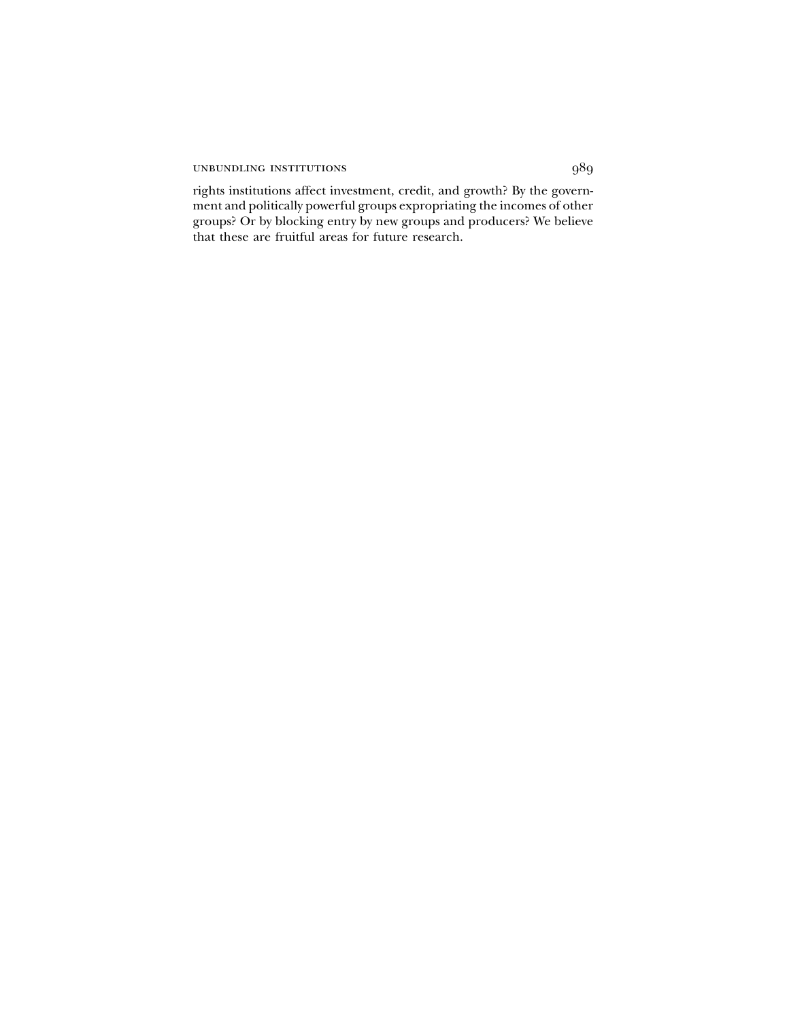rights institutions affect investment, credit, and growth? By the government and politically powerful groups expropriating the incomes of other groups? Or by blocking entry by new groups and producers? We believe that these are fruitful areas for future research.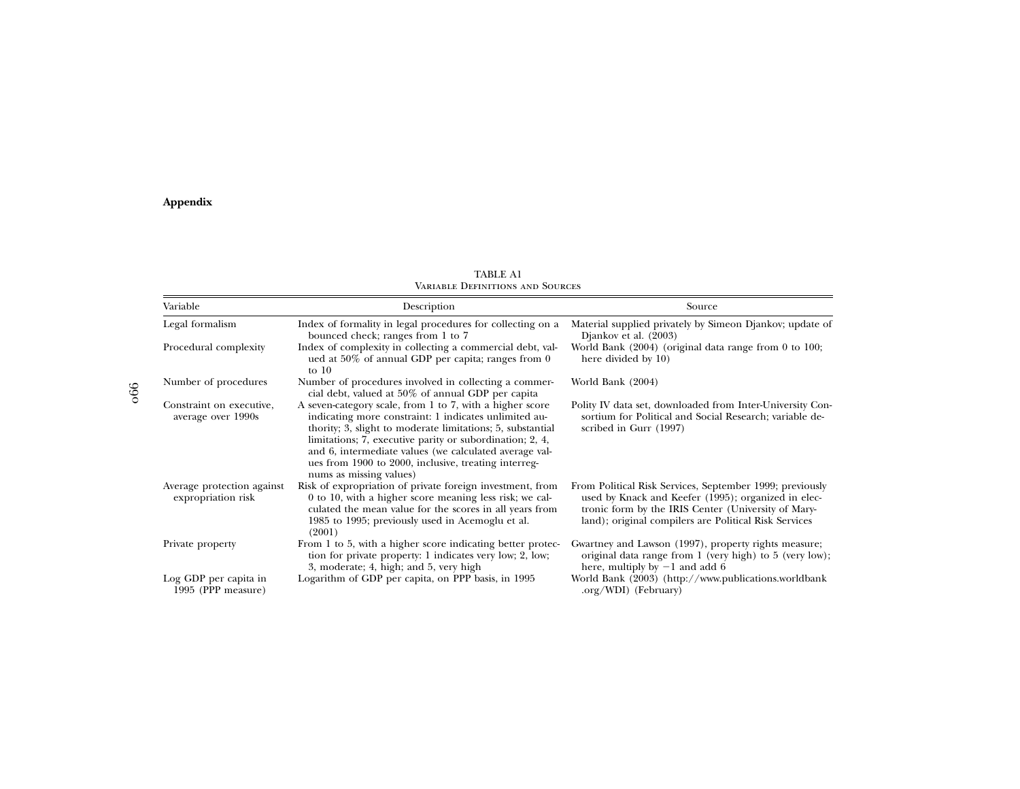#### **Appendix**

Variable Definitions and SourcesVariable Description Source Legal formalism Index of formality in legal procedures for collecting on <sup>a</sup> bounced check; ranges from <sup>1</sup> to 7 Material supplied privately by Simeon Djankov; update of Djankov et al. (2003) Procedural complexity Index of complexity in collecting a commercial debt, valued at 50% of annual GDP per capita; ranges from <sup>0</sup> to 10World Bank (2004) (original data range from 0 to 100; here divided by 10) Number of procedures Number of procedures involved in collecting a commerumber of procedures involved in collecting a commer- World Bank (2004) cial debt, valued at  $50\%$  of annual GDP per capita Constraint on executive, average over 1990s <sup>A</sup> seven-category scale, from <sup>1</sup> to 7, with <sup>a</sup> higher score indicating more constraint: 1 indicates unlimited authority; 3, slight to moderate limitations; 5, substantial limitations; 7, executive parity or subordination; 2, 4, and 6, intermediate values (we calculated average values from 1900 to 2000, inclusive, treating interregnums as missing values) Polity IV data set, downloaded from Inter-University Consortium for Political and Social Research; variable described in Gurr (1997) Average protection against expropriation risk Risk of expropriation of private foreign investment, from 0 to 10, with <sup>a</sup> higher score meaning less risk; we calculated the mean value for the scores in all years from 1985 to 1995; previously used in Acemoglu et al. (2001) From Political Risk Services, September 1999; previously used by Knack and Keefer (1995); organized in electronic form by the IRIS Center (University of Maryland); original compilers are Political Risk Services Private property From 1 to 5, with <sup>a</sup> higher score indicating better protection for private property: 1 indicates very low; 2, low; 3, moderate; 4, high; and 5, very high Gwartney and Lawson (1997), property rights measure; original data range from  $1$  (very high) to  $5$  (very low); here, multiply by -1 and add 6Log GDP per capita in 1995 (PPP measure) World Bank (2003) (http://www.publications.worldbank .org/WDI) (February)

| <b>TABLE A1</b>                 |  |
|---------------------------------|--|
| VARIABLE DEFINITIONS AND SOURCE |  |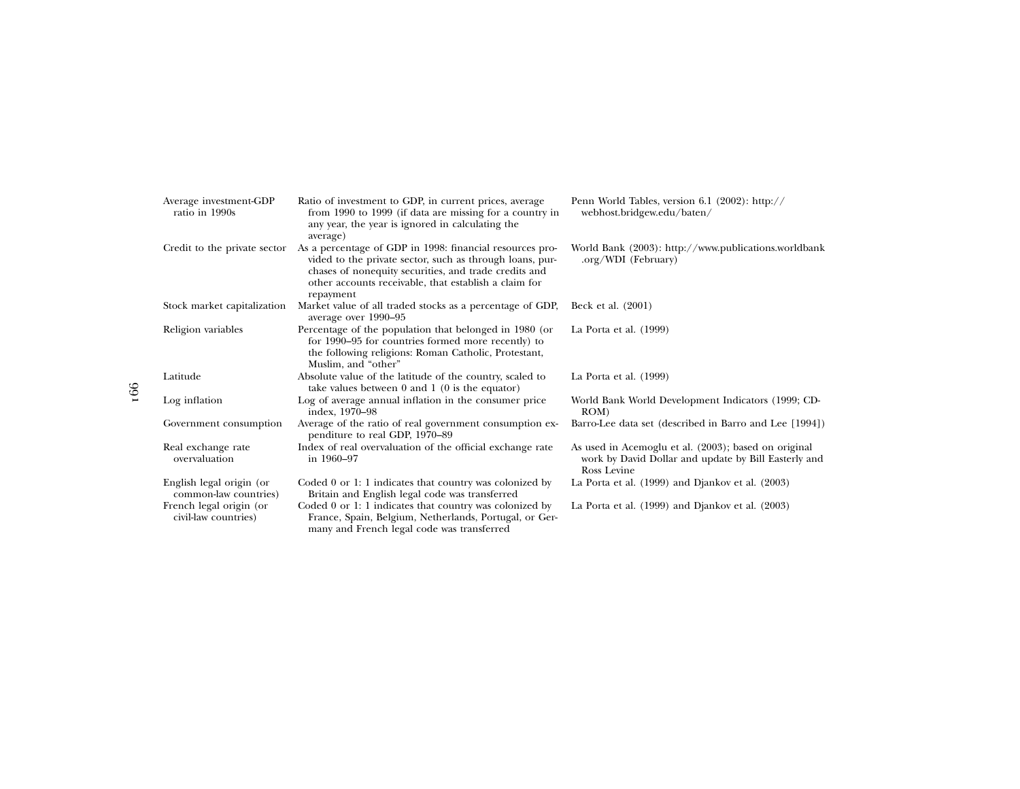| Average investment-GDP<br>ratio in 1990s          | Ratio of investment to GDP, in current prices, average<br>from 1990 to 1999 (if data are missing for a country in<br>any year, the year is ignored in calculating the<br>average)                                                                   | Penn World Tables, version 6.1 $(2002)$ : http://<br>webhost.bridgew.edu/baten/                                             |
|---------------------------------------------------|-----------------------------------------------------------------------------------------------------------------------------------------------------------------------------------------------------------------------------------------------------|-----------------------------------------------------------------------------------------------------------------------------|
| Credit to the private sector                      | As a percentage of GDP in 1998: financial resources pro-<br>vided to the private sector, such as through loans, pur-<br>chases of nonequity securities, and trade credits and<br>other accounts receivable, that establish a claim for<br>repayment | World Bank (2003): http://www.publications.worldbank<br>.org/WDI (February)                                                 |
| Stock market capitalization                       | Market value of all traded stocks as a percentage of GDP,<br>average over 1990-95                                                                                                                                                                   | Beck et al. (2001)                                                                                                          |
| Religion variables                                | Percentage of the population that belonged in 1980 (or<br>for 1990-95 for countries formed more recently) to<br>the following religions: Roman Catholic, Protestant,<br>Muslim, and "other"                                                         | La Porta et al. $(1999)$                                                                                                    |
| Latitude                                          | Absolute value of the latitude of the country, scaled to<br>take values between $0$ and $1$ ( $0$ is the equator)                                                                                                                                   | La Porta et al. $(1999)$                                                                                                    |
| Log inflation                                     | Log of average annual inflation in the consumer price<br>index, 1970–98                                                                                                                                                                             | World Bank World Development Indicators (1999; CD-<br>ROM)                                                                  |
| Government consumption                            | Average of the ratio of real government consumption ex-<br>penditure to real GDP, 1970–89                                                                                                                                                           | Barro-Lee data set (described in Barro and Lee [1994])                                                                      |
| Real exchange rate<br>overvaluation               | Index of real overvaluation of the official exchange rate<br>in 1960-97                                                                                                                                                                             | As used in Acemoglu et al. (2003); based on original<br>work by David Dollar and update by Bill Easterly and<br>Ross Levine |
| English legal origin (or<br>common-law countries) | Coded 0 or 1: 1 indicates that country was colonized by<br>Britain and English legal code was transferred                                                                                                                                           | La Porta et al. (1999) and Djankov et al. (2003)                                                                            |
| French legal origin (or<br>civil-law countries)   | Coded 0 or 1: 1 indicates that country was colonized by<br>France, Spain, Belgium, Netherlands, Portugal, or Ger-<br>many and French legal code was transferred                                                                                     | La Porta et al. (1999) and Djankov et al. (2003)                                                                            |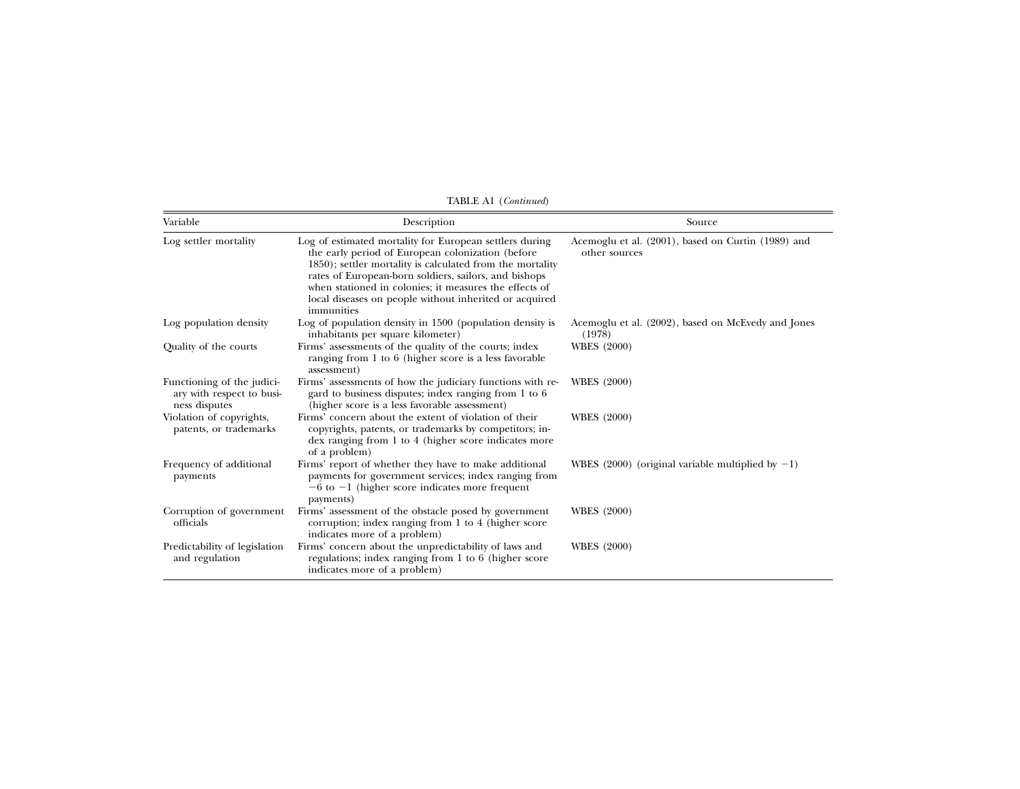| Variable                                                                 | Description                                                                                                                                                                                                                                                                                                                                                          | Source                                                              |
|--------------------------------------------------------------------------|----------------------------------------------------------------------------------------------------------------------------------------------------------------------------------------------------------------------------------------------------------------------------------------------------------------------------------------------------------------------|---------------------------------------------------------------------|
| Log settler mortality                                                    | Log of estimated mortality for European settlers during<br>the early period of European colonization (before<br>1850); settler mortality is calculated from the mortality<br>rates of European-born soldiers, sailors, and bishops<br>when stationed in colonies; it measures the effects of<br>local diseases on people without inherited or acquired<br>immunities | Acemoglu et al. (2001), based on Curtin (1989) and<br>other sources |
| Log population density                                                   | Log of population density in 1500 (population density is<br>inhabitants per square kilometer)                                                                                                                                                                                                                                                                        | Acemoglu et al. (2002), based on McEvedy and Jones<br>(1978)        |
| Quality of the courts                                                    | Firms' assessments of the quality of the courts; index<br>ranging from $1$ to $6$ (higher score is a less favorable<br>assessment)                                                                                                                                                                                                                                   | <b>WBES</b> (2000)                                                  |
| Functioning of the judici-<br>ary with respect to busi-<br>ness disputes | Firms' assessments of how the judiciary functions with re-<br>gard to business disputes; index ranging from 1 to 6<br>(higher score is a less favorable assessment)                                                                                                                                                                                                  | <b>WBES</b> (2000)                                                  |
| Violation of copyrights,<br>patents, or trademarks                       | Firms' concern about the extent of violation of their<br>copyrights, patents, or trademarks by competitors; in-<br>dex ranging from 1 to 4 (higher score indicates more<br>of a problem)                                                                                                                                                                             | <b>WBES</b> (2000)                                                  |
| Frequency of additional<br>payments                                      | Firms' report of whether they have to make additional<br>payments for government services; index ranging from<br>$-6$ to $-1$ (higher score indicates more frequent<br>payments)                                                                                                                                                                                     | WBES (2000) (original variable multiplied by $-1$ )                 |
| Corruption of government<br>officials                                    | Firms' assessment of the obstacle posed by government<br>corruption; index ranging from 1 to 4 (higher score<br>indicates more of a problem)                                                                                                                                                                                                                         | <b>WBES</b> (2000)                                                  |
| Predictability of legislation<br>and regulation                          | Firms' concern about the unpredictability of laws and<br>regulations; index ranging from 1 to 6 (higher score<br>indicates more of a problem)                                                                                                                                                                                                                        | <b>WBES</b> (2000)                                                  |

TABLE A1 (*Continued*)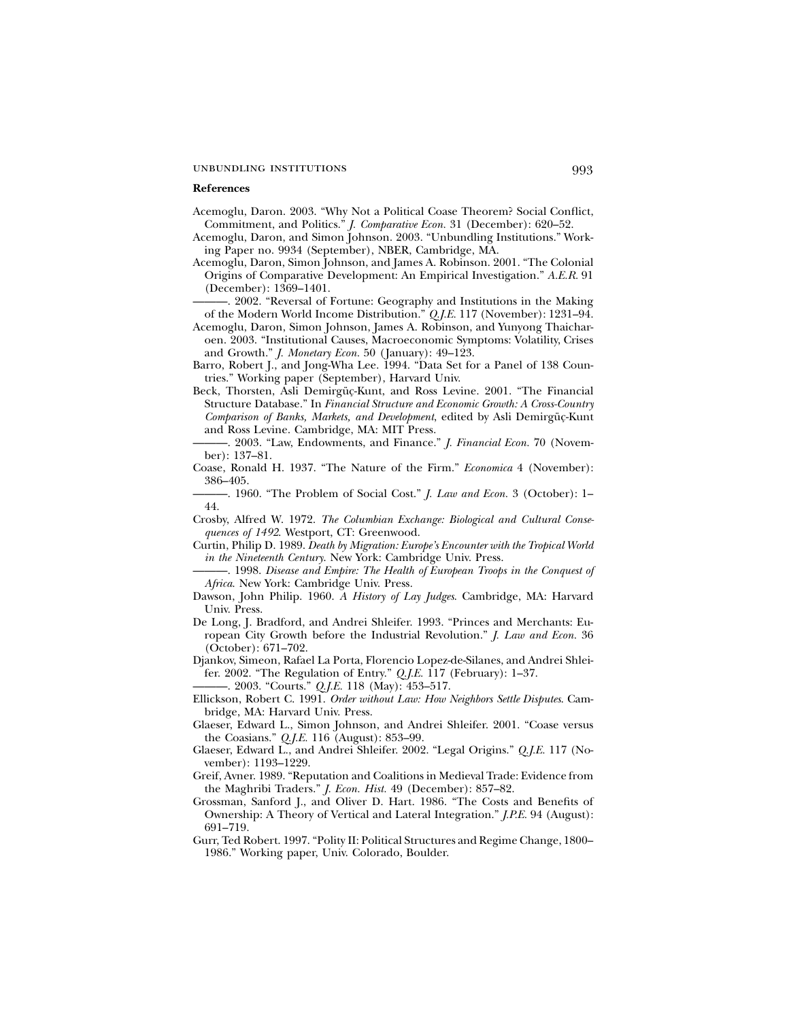#### **References**

- Acemoglu, Daron. 2003. "Why Not a Political Coase Theorem? Social Conflict, Commitment, and Politics." *J. Comparative Econ.* 31 (December): 620–52.
- Acemoglu, Daron, and Simon Johnson. 2003. "Unbundling Institutions." Working Paper no. 9934 (September), NBER, Cambridge, MA.
- Acemoglu, Daron, Simon Johnson, and James A. Robinson. 2001. "The Colonial Origins of Comparative Development: An Empirical Investigation." *A.E.R.* 91 (December): 1369–1401.
- . 2002. "Reversal of Fortune: Geography and Institutions in the Making of the Modern World Income Distribution." *Q.J.E.* 117 (November): 1231–94.
- Acemoglu, Daron, Simon Johnson, James A. Robinson, and Yunyong Thaicharoen. 2003. "Institutional Causes, Macroeconomic Symptoms: Volatility, Crises and Growth." *J. Monetary Econ.* 50 (January): 49–123.
- Barro, Robert J., and Jong-Wha Lee. 1994. "Data Set for a Panel of 138 Countries." Working paper (September), Harvard Univ.
- Beck, Thorsten, Asli Demirgüç-Kunt, and Ross Levine. 2001. "The Financial Structure Database." In *Financial Structure and Economic Growth: A Cross-Country Comparison of Banks, Markets, and Development*, edited by Asli Demirgüç-Kunt and Ross Levine. Cambridge, MA: MIT Press.
- ———. 2003. "Law, Endowments, and Finance." *J. Financial Econ.* 70 (November): 137–81.
- Coase, Ronald H. 1937. "The Nature of the Firm." *Economica* 4 (November): 386–405.
- ———. 1960. "The Problem of Social Cost." *J. Law and Econ.* 3 (October): 1– 44.
- Crosby, Alfred W. 1972. *The Columbian Exchange: Biological and Cultural Consequences of 1492*. Westport, CT: Greenwood.
- Curtin, Philip D. 1989. *Death by Migration: Europe's Encounter with the Tropical World in the Nineteenth Century*. New York: Cambridge Univ. Press.
- ———. 1998. *Disease and Empire: The Health of European Troops in the Conquest of Africa*. New York: Cambridge Univ. Press.
- Dawson, John Philip. 1960. *A History of Lay Judges*. Cambridge, MA: Harvard Univ. Press.
- De Long, J. Bradford, and Andrei Shleifer. 1993. "Princes and Merchants: European City Growth before the Industrial Revolution." *J. Law and Econ.* 36 (October): 671–702.
- Djankov, Simeon, Rafael La Porta, Florencio Lopez-de-Silanes, and Andrei Shleifer. 2002. "The Regulation of Entry." *Q.J.E.* 117 (February): 1–37.

———. 2003. "Courts." *Q.J.E.* 118 (May): 453–517.

- Ellickson, Robert C. 1991. *Order without Law: How Neighbors Settle Disputes*. Cambridge, MA: Harvard Univ. Press.
- Glaeser, Edward L., Simon Johnson, and Andrei Shleifer. 2001. "Coase versus the Coasians." *Q.J.E.* 116 (August): 853–99.
- Glaeser, Edward L., and Andrei Shleifer. 2002. "Legal Origins." *Q.J.E.* 117 (November): 1193–1229.
- Greif, Avner. 1989. "Reputation and Coalitions in Medieval Trade: Evidence from the Maghribi Traders." *J. Econ. Hist.* 49 (December): 857–82.
- Grossman, Sanford J., and Oliver D. Hart. 1986. "The Costs and Benefits of Ownership: A Theory of Vertical and Lateral Integration." *J.P.E.* 94 (August): 691–719.
- Gurr, Ted Robert. 1997. "Polity II: Political Structures and Regime Change, 1800– 1986." Working paper, Univ. Colorado, Boulder.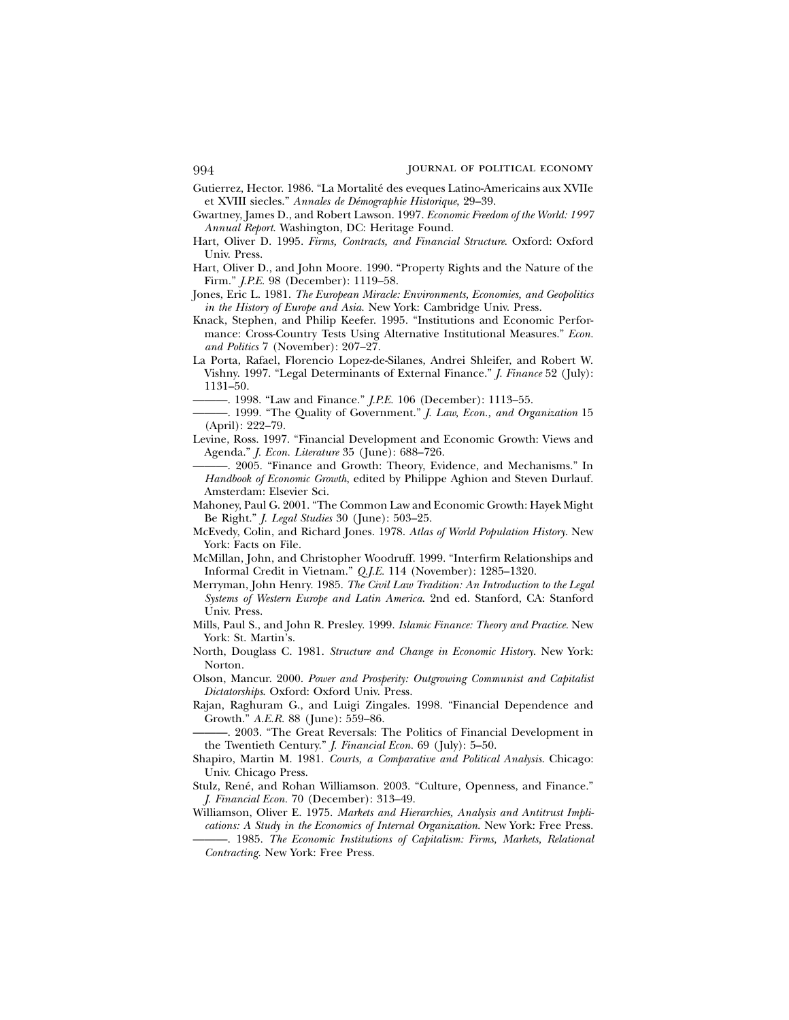- Gutierrez, Hector. 1986. "La Mortalité des eveques Latino-Americains aux XVIIe et XVIII siecles." *Annales de De´mographie Historique*, 29–39.
- Gwartney, James D., and Robert Lawson. 1997. *Economic Freedom of the World: 1997 Annual Report*. Washington, DC: Heritage Found.
- Hart, Oliver D. 1995. *Firms, Contracts, and Financial Structure*. Oxford: Oxford Univ. Press.
- Hart, Oliver D., and John Moore. 1990. "Property Rights and the Nature of the Firm." *J.P.E.* 98 (December): 1119–58.
- Jones, Eric L. 1981. *The European Miracle: Environments, Economies, and Geopolitics in the History of Europe and Asia*. New York: Cambridge Univ. Press.
- Knack, Stephen, and Philip Keefer. 1995. "Institutions and Economic Performance: Cross-Country Tests Using Alternative Institutional Measures." *Econ. and Politics* 7 (November): 207–27.
- La Porta, Rafael, Florencio Lopez-de-Silanes, Andrei Shleifer, and Robert W. Vishny. 1997. "Legal Determinants of External Finance." *J. Finance* 52 (July): 1131–50.
	- ———. 1998. "Law and Finance." *J.P.E.* 106 (December): 1113–55.
- ———. 1999. "The Quality of Government." *J. Law, Econ., and Organization* 15 (April): 222–79.
- Levine, Ross. 1997. "Financial Development and Economic Growth: Views and Agenda." *J. Econ. Literature* 35 (June): 688–726.
- . 2005. "Finance and Growth: Theory, Evidence, and Mechanisms." In *Handbook of Economic Growth*, edited by Philippe Aghion and Steven Durlauf. Amsterdam: Elsevier Sci.
- Mahoney, Paul G. 2001. "The Common Law and Economic Growth: Hayek Might Be Right." *J. Legal Studies* 30 (June): 503–25.
- McEvedy, Colin, and Richard Jones. 1978. *Atlas of World Population History*. New York: Facts on File.
- McMillan, John, and Christopher Woodruff. 1999. "Interfirm Relationships and Informal Credit in Vietnam." *Q.J.E.* 114 (November): 1285–1320.
- Merryman, John Henry. 1985. *The Civil Law Tradition: An Introduction to the Legal Systems of Western Europe and Latin America*. 2nd ed. Stanford, CA: Stanford Univ. Press.
- Mills, Paul S., and John R. Presley. 1999. *Islamic Finance: Theory and Practice.* New York: St. Martin's.
- North, Douglass C. 1981. *Structure and Change in Economic History*. New York: Norton.
- Olson, Mancur. 2000. *Power and Prosperity: Outgrowing Communist and Capitalist Dictatorships*. Oxford: Oxford Univ. Press.
- Rajan, Raghuram G., and Luigi Zingales. 1998. "Financial Dependence and Growth." *A.E.R.* 88 (June): 559–86.
- -. 2003. "The Great Reversals: The Politics of Financial Development in the Twentieth Century." *J. Financial Econ.* 69 (July): 5–50.

Shapiro, Martin M. 1981. *Courts, a Comparative and Political Analysis*. Chicago: Univ. Chicago Press.

- Stulz, René, and Rohan Williamson. 2003. "Culture, Openness, and Finance." *J. Financial Econ.* 70 (December): 313–49.
- Williamson, Oliver E. 1975. *Markets and Hierarchies, Analysis and Antitrust Implications: A Study in the Economics of Internal Organization*. New York: Free Press.
	- ———. 1985. *The Economic Institutions of Capitalism: Firms, Markets, Relational Contracting*. New York: Free Press.